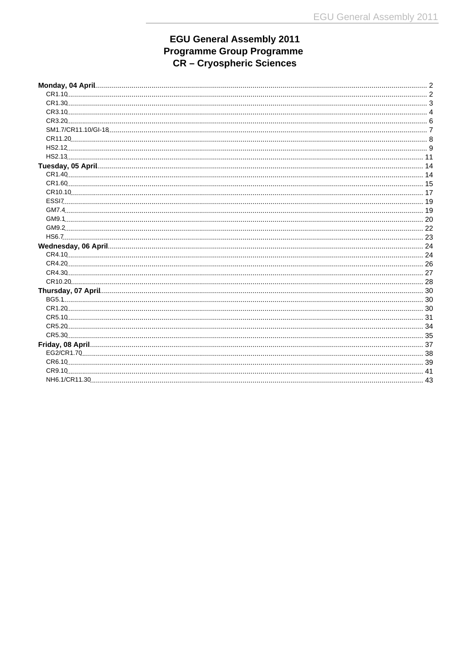# EGU General Assembly 2011<br>Programme Group Programme<br>CR – Cryospheric Sciences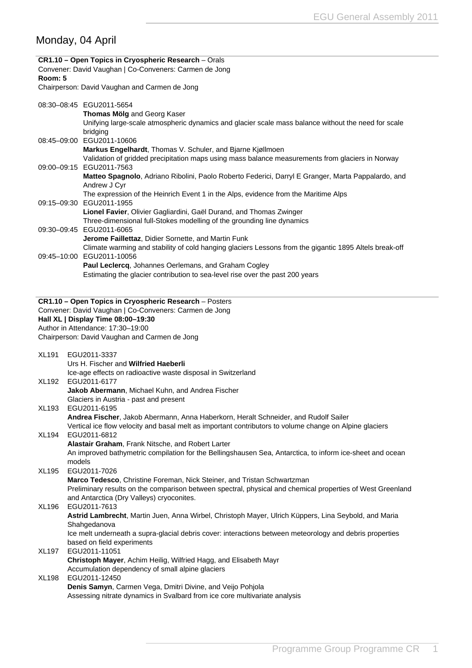# <span id="page-1-0"></span>Monday, 04 April

| Room: 5      | CR1.10 - Open Topics in Cryospheric Research - Orals<br>Convener: David Vaughan   Co-Conveners: Carmen de Jong                                                                                                                     |
|--------------|------------------------------------------------------------------------------------------------------------------------------------------------------------------------------------------------------------------------------------|
|              | Chairperson: David Vaughan and Carmen de Jong                                                                                                                                                                                      |
|              | 08:30-08:45 EGU2011-5654<br>Thomas Mölg and Georg Kaser<br>Unifying large-scale atmospheric dynamics and glacier scale mass balance without the need for scale<br>bridging                                                         |
|              | 08:45-09:00 EGU2011-10606<br>Markus Engelhardt, Thomas V. Schuler, and Bjarne Kjøllmoen<br>Validation of gridded precipitation maps using mass balance measurements from glaciers in Norway                                        |
|              | 09:00-09:15 EGU2011-7563<br>Matteo Spagnolo, Adriano Ribolini, Paolo Roberto Federici, Darryl E Granger, Marta Pappalardo, and                                                                                                     |
|              | Andrew J Cyr<br>The expression of the Heinrich Event 1 in the Alps, evidence from the Maritime Alps<br>09:15-09:30 EGU2011-1955                                                                                                    |
|              | Lionel Favier, Olivier Gagliardini, Gaël Durand, and Thomas Zwinger<br>Three-dimensional full-Stokes modelling of the grounding line dynamics                                                                                      |
|              | 09:30-09:45 EGU2011-6065<br>Jerome Faillettaz, Didier Sornette, and Martin Funk                                                                                                                                                    |
|              | Climate warming and stability of cold hanging glaciers Lessons from the gigantic 1895 Altels break-off<br>09:45-10:00 EGU2011-10056<br>Paul Leclercq, Johannes Oerlemans, and Graham Cogley                                        |
|              | Estimating the glacier contribution to sea-level rise over the past 200 years                                                                                                                                                      |
|              | CR1.10 - Open Topics in Cryospheric Research - Posters                                                                                                                                                                             |
|              | Convener: David Vaughan   Co-Conveners: Carmen de Jong                                                                                                                                                                             |
|              | Hall XL   Display Time 08:00-19:30<br>Author in Attendance: 17:30-19:00                                                                                                                                                            |
|              | Chairperson: David Vaughan and Carmen de Jong                                                                                                                                                                                      |
|              |                                                                                                                                                                                                                                    |
| <b>XL191</b> | EGU2011-3337<br>Urs H. Fischer and Wilfried Haeberli                                                                                                                                                                               |
| XL192        | Ice-age effects on radioactive waste disposal in Switzerland<br>EGU2011-6177<br>Jakob Abermann, Michael Kuhn, and Andrea Fischer                                                                                                   |
| <b>XL193</b> | Glaciers in Austria - past and present<br>EGU2011-6195                                                                                                                                                                             |
|              | Andrea Fischer, Jakob Abermann, Anna Haberkorn, Heralt Schneider, and Rudolf Sailer<br>Vertical ice flow velocity and basal melt as important contributors to volume change on Alpine glaciers                                     |
| <b>XL194</b> | EGU2011-6812<br>Alastair Graham, Frank Nitsche, and Robert Larter                                                                                                                                                                  |
| XL195        | An improved bathymetric compilation for the Bellingshausen Sea, Antarctica, to inform ice-sheet and ocean<br>models<br>EGU2011-7026                                                                                                |
|              | Marco Tedesco, Christine Foreman, Nick Steiner, and Tristan Schwartzman<br>Preliminary results on the comparison between spectral, physical and chemical properties of West Greenland<br>and Antarctica (Dry Valleys) cryoconites. |
| XL196        | EGU2011-7613<br>Astrid Lambrecht, Martin Juen, Anna Wirbel, Christoph Mayer, Ulrich Küppers, Lina Seybold, and Maria<br>Shahgedanova                                                                                               |
|              | Ice melt underneath a supra-glacial debris cover: interactions between meteorology and debris properties<br>based on field experiments                                                                                             |
| XL197        | EGU2011-11051<br><b>Christoph Mayer, Achim Heilig, Wilfried Hagg, and Elisabeth Mayr</b><br>Accumulation dependency of small alpine glaciers                                                                                       |
| <b>XL198</b> | EGU2011-12450<br>Denis Samyn, Carmen Vega, Dmitri Divine, and Veijo Pohjola                                                                                                                                                        |
|              | Assessing nitrate dynamics in Svalbard from ice core multivariate analysis                                                                                                                                                         |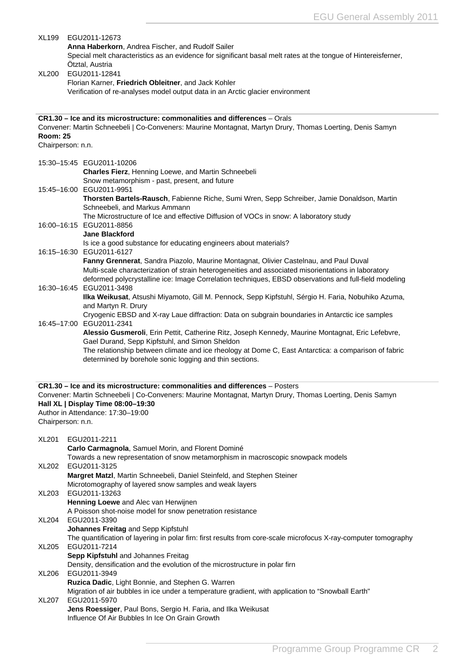<span id="page-2-0"></span>

| XL199<br>XL200                                                                                                                                                                                                                                                                            |  | EGU2011-12673<br>Anna Haberkorn, Andrea Fischer, and Rudolf Sailer<br>Special melt characteristics as an evidence for significant basal melt rates at the tongue of Hintereisferner,<br>Otztal, Austria<br>EGU2011-12841<br>Florian Karner, Friedrich Obleitner, and Jack Kohler<br>Verification of re-analyses model output data in an Arctic glacier environment |
|-------------------------------------------------------------------------------------------------------------------------------------------------------------------------------------------------------------------------------------------------------------------------------------------|--|--------------------------------------------------------------------------------------------------------------------------------------------------------------------------------------------------------------------------------------------------------------------------------------------------------------------------------------------------------------------|
| <b>Room: 25</b><br>Chairperson: n.n.                                                                                                                                                                                                                                                      |  | CR1.30 – Ice and its microstructure: commonalities and differences – Orals<br>Convener: Martin Schneebeli   Co-Conveners: Maurine Montagnat, Martyn Drury, Thomas Loerting, Denis Samyn                                                                                                                                                                            |
|                                                                                                                                                                                                                                                                                           |  | 15:30-15:45 EGU2011-10206<br>Charles Fierz, Henning Loewe, and Martin Schneebeli<br>Snow metamorphism - past, present, and future                                                                                                                                                                                                                                  |
|                                                                                                                                                                                                                                                                                           |  | 15:45-16:00 EGU2011-9951<br>Thorsten Bartels-Rausch, Fabienne Riche, Sumi Wren, Sepp Schreiber, Jamie Donaldson, Martin<br>Schneebeli, and Markus Ammann<br>The Microstructure of Ice and effective Diffusion of VOCs in snow: A laboratory study                                                                                                                  |
|                                                                                                                                                                                                                                                                                           |  | 16:00-16:15 EGU2011-8856<br><b>Jane Blackford</b><br>Is ice a good substance for educating engineers about materials?<br>16:15-16:30 EGU2011-6127                                                                                                                                                                                                                  |
|                                                                                                                                                                                                                                                                                           |  | Fanny Grennerat, Sandra Piazolo, Maurine Montagnat, Olivier Castelnau, and Paul Duval<br>Multi-scale characterization of strain heterogeneities and associated misorientations in laboratory<br>deformed polycrystalline ice: Image Correlation techniques, EBSD observations and full-field modeling                                                              |
|                                                                                                                                                                                                                                                                                           |  | 16:30-16:45 EGU2011-3498<br>Ilka Weikusat, Atsushi Miyamoto, Gill M. Pennock, Sepp Kipfstuhl, Sérgio H. Faria, Nobuhiko Azuma,<br>and Martyn R. Drury<br>Cryogenic EBSD and X-ray Laue diffraction: Data on subgrain boundaries in Antarctic ice samples                                                                                                           |
|                                                                                                                                                                                                                                                                                           |  | 16:45-17:00 EGU2011-2341<br>Alessio Gusmeroli, Erin Pettit, Catherine Ritz, Joseph Kennedy, Maurine Montagnat, Eric Lefebvre,<br>Gael Durand, Sepp Kipfstuhl, and Simon Sheldon<br>The relationship between climate and ice rheology at Dome C, East Antarctica: a comparison of fabric<br>determined by borehole sonic logging and thin sections.                 |
| CR1.30 - Ice and its microstructure: commonalities and differences - Posters<br>Convener: Martin Schneebeli   Co-Conveners: Maurine Montagnat, Martyn Drury, Thomas Loerting, Denis Samyn<br>Hall XL   Display Time 08:00-19:30<br>Author in Attendance: 17:30-19:00<br>Chairperson: n.n. |  |                                                                                                                                                                                                                                                                                                                                                                    |
| <b>XL201</b>                                                                                                                                                                                                                                                                              |  | EGU2011-2211<br>Carlo Carmagnola, Samuel Morin, and Florent Dominé<br>Towards a new representation of snow metamorphism in macroscopic snowpack models                                                                                                                                                                                                             |
| XL202                                                                                                                                                                                                                                                                                     |  | EGU2011-3125<br>Margret Matzl, Martin Schneebeli, Daniel Steinfeld, and Stephen Steiner<br>Microtomography of layered snow samples and weak layers                                                                                                                                                                                                                 |
| XL203                                                                                                                                                                                                                                                                                     |  | EGU2011-13263<br>Henning Loewe and Alec van Herwijnen<br>A Poisson shot-noise model for snow penetration resistance                                                                                                                                                                                                                                                |
| XL204                                                                                                                                                                                                                                                                                     |  | EGU2011-3390<br>Johannes Freitag and Sepp Kipfstuhl<br>The quantification of layering in polar firn: first results from core-scale microfocus X-ray-computer tomography                                                                                                                                                                                            |
| XL205                                                                                                                                                                                                                                                                                     |  | EGU2011-7214<br>Sepp Kipfstuhl and Johannes Freitag<br>Density, densification and the evolution of the microstructure in polar firn                                                                                                                                                                                                                                |
| XL206                                                                                                                                                                                                                                                                                     |  | EGU2011-3949<br>Ruzica Dadic, Light Bonnie, and Stephen G. Warren<br>Migration of air bubbles in ice under a temperature gradient, with application to "Snowball Earth"                                                                                                                                                                                            |
| XL207                                                                                                                                                                                                                                                                                     |  | EGU2011-5970<br>Jens Roessiger, Paul Bons, Sergio H. Faria, and Ilka Weikusat<br>Influence Of Air Bubbles In Ice On Grain Growth                                                                                                                                                                                                                                   |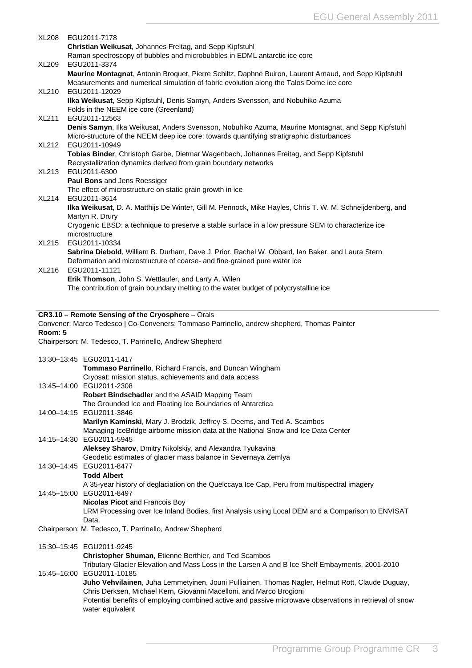<span id="page-3-0"></span>

| XL208   | EGU2011-7178                                                                                                                |
|---------|-----------------------------------------------------------------------------------------------------------------------------|
|         | Christian Weikusat, Johannes Freitag, and Sepp Kipfstuhl                                                                    |
|         | Raman spectroscopy of bubbles and microbubbles in EDML antarctic ice core                                                   |
| XL209   | EGU2011-3374                                                                                                                |
|         | Maurine Montagnat, Antonin Broquet, Pierre Schiltz, Daphné Buiron, Laurent Arnaud, and Sepp Kipfstuhl                       |
| XL210   | Measurements and numerical simulation of fabric evolution along the Talos Dome ice core<br>EGU2011-12029                    |
|         | Ilka Weikusat, Sepp Kipfstuhl, Denis Samyn, Anders Svensson, and Nobuhiko Azuma                                             |
|         | Folds in the NEEM ice core (Greenland)                                                                                      |
| XL211   | EGU2011-12563                                                                                                               |
|         | Denis Samyn, Ilka Weikusat, Anders Svensson, Nobuhiko Azuma, Maurine Montagnat, and Sepp Kipfstuhl                          |
|         | Micro-structure of the NEEM deep ice core: towards quantifying stratigraphic disturbances                                   |
| XL212   | EGU2011-10949                                                                                                               |
|         | Tobias Binder, Christoph Garbe, Dietmar Wagenbach, Johannes Freitag, and Sepp Kipfstuhl                                     |
|         | Recrystallization dynamics derived from grain boundary networks                                                             |
| XL213   | EGU2011-6300                                                                                                                |
|         | Paul Bons and Jens Roessiger                                                                                                |
|         | The effect of microstructure on static grain growth in ice                                                                  |
| XL214   | EGU2011-3614                                                                                                                |
|         | Ilka Weikusat, D. A. Matthijs De Winter, Gill M. Pennock, Mike Hayles, Chris T. W. M. Schneijdenberg, and                   |
|         | Martyn R. Drury                                                                                                             |
|         | Cryogenic EBSD: a technique to preserve a stable surface in a low pressure SEM to characterize ice                          |
|         | microstructure                                                                                                              |
| XL215   | EGU2011-10334                                                                                                               |
|         | Sabrina Diebold, William B. Durham, Dave J. Prior, Rachel W. Obbard, Ian Baker, and Laura Stern                             |
| XL216   | Deformation and microstructure of coarse- and fine-grained pure water ice<br>EGU2011-11121                                  |
|         | Erik Thomson, John S. Wettlaufer, and Larry A. Wilen                                                                        |
|         | The contribution of grain boundary melting to the water budget of polycrystalline ice                                       |
|         |                                                                                                                             |
|         |                                                                                                                             |
|         | CR3.10 - Remote Sensing of the Cryosphere - Orals                                                                           |
|         | Convener: Marco Tedesco   Co-Conveners: Tommaso Parrinello, andrew shepherd, Thomas Painter                                 |
| Room: 5 |                                                                                                                             |
|         | Chairperson: M. Tedesco, T. Parrinello, Andrew Shepherd                                                                     |
|         |                                                                                                                             |
|         |                                                                                                                             |
|         | 13:30-13:45 EGU2011-1417                                                                                                    |
|         | Tommaso Parrinello, Richard Francis, and Duncan Wingham                                                                     |
|         | Cryosat: mission status, achievements and data access                                                                       |
|         | 13:45-14:00 EGU2011-2308                                                                                                    |
|         | Robert Bindschadler and the ASAID Mapping Team                                                                              |
|         | The Grounded Ice and Floating Ice Boundaries of Antarctica                                                                  |
|         | 14:00-14:15 EGU2011-3846                                                                                                    |
|         | Marilyn Kaminski, Mary J. Brodzik, Jeffrey S. Deems, and Ted A. Scambos                                                     |
|         | Managing IceBridge airborne mission data at the National Snow and Ice Data Center                                           |
|         | 14:15-14:30 EGU2011-5945                                                                                                    |
|         | Aleksey Sharov, Dmitry Nikolskiy, and Alexandra Tyukavina                                                                   |
|         | Geodetic estimates of glacier mass balance in Severnaya Zemlya                                                              |
|         | 14:30-14:45 EGU2011-8477                                                                                                    |
|         | <b>Todd Albert</b>                                                                                                          |
|         | A 35-year history of deglaciation on the Quelccaya Ice Cap, Peru from multispectral imagery                                 |
|         | 14:45-15:00 EGU2011-8497                                                                                                    |
|         | <b>Nicolas Picot and Francois Boy</b>                                                                                       |
|         | LRM Processing over Ice Inland Bodies, first Analysis using Local DEM and a Comparison to ENVISAT<br>Data.                  |
|         |                                                                                                                             |
|         | Chairperson: M. Tedesco, T. Parrinello, Andrew Shepherd                                                                     |
|         | 15:30-15:45 EGU2011-9245                                                                                                    |
|         | Christopher Shuman, Etienne Berthier, and Ted Scambos                                                                       |
|         | Tributary Glacier Elevation and Mass Loss in the Larsen A and B Ice Shelf Embayments, 2001-2010                             |
|         | 15:45-16:00 EGU2011-10185                                                                                                   |
|         | Juho Vehvilainen, Juha Lemmetyinen, Jouni Pulliainen, Thomas Nagler, Helmut Rott, Claude Duguay,                            |
|         | Chris Derksen, Michael Kern, Giovanni Macelloni, and Marco Brogioni                                                         |
|         | Potential benefits of employing combined active and passive microwave observations in retrieval of snow<br>water equivalent |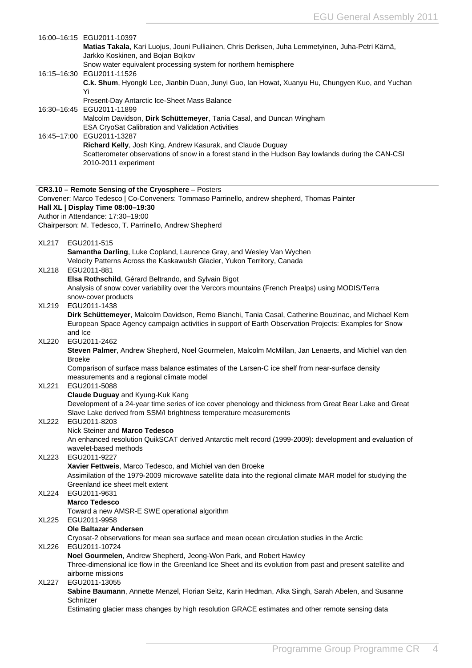|       | 16:00-16:15 EGU2011-10397<br>Matias Takala, Kari Luojus, Jouni Pulliainen, Chris Derksen, Juha Lemmetyinen, Juha-Petri Kärnä,                                                             |
|-------|-------------------------------------------------------------------------------------------------------------------------------------------------------------------------------------------|
|       | Jarkko Koskinen, and Bojan Bojkov                                                                                                                                                         |
|       | Snow water equivalent processing system for northern hemisphere<br>16:15-16:30 EGU2011-11526                                                                                              |
|       | C.k. Shum, Hyongki Lee, Jianbin Duan, Junyi Guo, Ian Howat, Xuanyu Hu, Chungyen Kuo, and Yuchan                                                                                           |
|       | Yi<br>Present-Day Antarctic Ice-Sheet Mass Balance                                                                                                                                        |
|       | 16:30-16:45 EGU2011-11899                                                                                                                                                                 |
|       | Malcolm Davidson, Dirk Schüttemeyer, Tania Casal, and Duncan Wingham<br>ESA CryoSat Calibration and Validation Activities                                                                 |
|       | 16:45-17:00 EGU2011-13287                                                                                                                                                                 |
|       | Richard Kelly, Josh King, Andrew Kasurak, and Claude Duguay<br>Scatterometer observations of snow in a forest stand in the Hudson Bay lowlands during the CAN-CSI<br>2010-2011 experiment |
|       | CR3.10 - Remote Sensing of the Cryosphere - Posters                                                                                                                                       |
|       | Convener: Marco Tedesco   Co-Conveners: Tommaso Parrinello, andrew shepherd, Thomas Painter                                                                                               |
|       | Hall XL   Display Time 08:00-19:30<br>Author in Attendance: 17:30-19:00                                                                                                                   |
|       | Chairperson: M. Tedesco, T. Parrinello, Andrew Shepherd                                                                                                                                   |
| XL217 | EGU2011-515                                                                                                                                                                               |
|       | Samantha Darling, Luke Copland, Laurence Gray, and Wesley Van Wychen                                                                                                                      |
| XL218 | Velocity Patterns Across the Kaskawulsh Glacier, Yukon Territory, Canada<br>EGU2011-881                                                                                                   |
|       | Elsa Rothschild, Gérard Beltrando, and Sylvain Bigot                                                                                                                                      |
|       | Analysis of snow cover variability over the Vercors mountains (French Prealps) using MODIS/Terra                                                                                          |
| XL219 | snow-cover products<br>EGU2011-1438                                                                                                                                                       |
|       | Dirk Schüttemeyer, Malcolm Davidson, Remo Bianchi, Tania Casal, Catherine Bouzinac, and Michael Kern                                                                                      |
|       | European Space Agency campaign activities in support of Earth Observation Projects: Examples for Snow                                                                                     |
| XL220 | and Ice<br>EGU2011-2462                                                                                                                                                                   |
|       | Steven Palmer, Andrew Shepherd, Noel Gourmelen, Malcolm McMillan, Jan Lenaerts, and Michiel van den<br><b>Broeke</b>                                                                      |
|       | Comparison of surface mass balance estimates of the Larsen-C ice shelf from near-surface density                                                                                          |
|       | measurements and a regional climate model                                                                                                                                                 |
| XL221 | EGU2011-5088<br>Claude Duguay and Kyung-Kuk Kang                                                                                                                                          |
|       | Development of a 24-year time series of ice cover phenology and thickness from Great Bear Lake and Great                                                                                  |
| XL222 | Slave Lake derived from SSM/I brightness temperature measurements<br>EGU2011-8203                                                                                                         |
|       | Nick Steiner and Marco Tedesco                                                                                                                                                            |
|       | An enhanced resolution QuikSCAT derived Antarctic melt record (1999-2009): development and evaluation of                                                                                  |
| XL223 | wavelet-based methods<br>EGU2011-9227                                                                                                                                                     |
|       | Xavier Fettweis, Marco Tedesco, and Michiel van den Broeke                                                                                                                                |
|       | Assimilation of the 1979-2009 microwave satellite data into the regional climate MAR model for studying the                                                                               |
| XL224 | Greenland ice sheet melt extent<br>EGU2011-9631                                                                                                                                           |
|       | <b>Marco Tedesco</b>                                                                                                                                                                      |
|       | Toward a new AMSR-E SWE operational algorithm                                                                                                                                             |
| XL225 | EGU2011-9958<br><b>Ole Baltazar Andersen</b>                                                                                                                                              |
|       | Cryosat-2 observations for mean sea surface and mean ocean circulation studies in the Arctic                                                                                              |
| XL226 | EGU2011-10724                                                                                                                                                                             |
|       | Noel Gourmelen, Andrew Shepherd, Jeong-Won Park, and Robert Hawley<br>Three-dimensional ice flow in the Greenland Ice Sheet and its evolution from past and present satellite and         |
|       | airborne missions                                                                                                                                                                         |
| XL227 | EGU2011-13055                                                                                                                                                                             |
|       | Sabine Baumann, Annette Menzel, Florian Seitz, Karin Hedman, Alka Singh, Sarah Abelen, and Susanne<br>Schnitzer                                                                           |
|       |                                                                                                                                                                                           |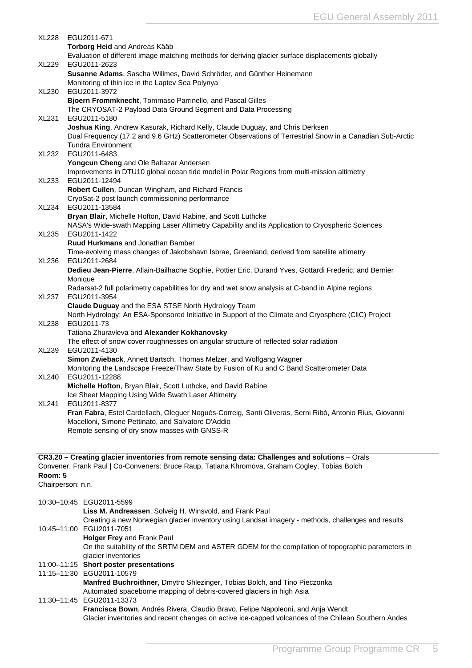<span id="page-5-0"></span>

|                              |         | XL228 EGU2011-671                                                                                                                                                                     |
|------------------------------|---------|---------------------------------------------------------------------------------------------------------------------------------------------------------------------------------------|
|                              |         | <b>Torborg Heid and Andreas Kääb</b>                                                                                                                                                  |
|                              |         | Evaluation of different image matching methods for deriving glacier surface displacements globally<br>XL229 EGU2011-2623                                                              |
|                              |         | Susanne Adams, Sascha Willmes, David Schröder, and Günther Heinemann                                                                                                                  |
|                              |         | Monitoring of thin ice in the Laptev Sea Polynya                                                                                                                                      |
| XL230                        |         | EGU2011-3972                                                                                                                                                                          |
|                              |         | Bjoern Frommknecht, Tommaso Parrinello, and Pascal Gilles<br>The CRYOSAT-2 Payload Data Ground Segment and Data Processing                                                            |
| <b>XL231</b>                 |         | EGU2011-5180                                                                                                                                                                          |
|                              |         | Joshua King, Andrew Kasurak, Richard Kelly, Claude Duguay, and Chris Derksen                                                                                                          |
|                              |         | Dual Frequency (17.2 and 9.6 GHz) Scatterometer Observations of Terrestrial Snow in a Canadian Sub-Arctic                                                                             |
| XL232                        |         | <b>Tundra Environment</b><br>EGU2011-6483                                                                                                                                             |
|                              |         | Yongcun Cheng and Ole Baltazar Andersen                                                                                                                                               |
|                              |         | Improvements in DTU10 global ocean tide model in Polar Regions from multi-mission altimetry                                                                                           |
| XL233                        |         | EGU2011-12494                                                                                                                                                                         |
|                              |         | Robert Cullen, Duncan Wingham, and Richard Francis<br>CryoSat-2 post launch commissioning performance                                                                                 |
| XL234                        |         | EGU2011-13584                                                                                                                                                                         |
|                              |         | Bryan Blair, Michelle Hofton, David Rabine, and Scott Luthcke                                                                                                                         |
|                              |         | NASA's Wide-swath Mapping Laser Altimetry Capability and its Application to Cryospheric Sciences<br>EGU2011-1422                                                                      |
| XL235                        |         | Ruud Hurkmans and Jonathan Bamber                                                                                                                                                     |
|                              |         | Time-evolving mass changes of Jakobshavn Isbrae, Greenland, derived from satellite altimetry                                                                                          |
| XL236                        |         | EGU2011-2684                                                                                                                                                                          |
|                              | Monique | Dedieu Jean-Pierre, Allain-Bailhache Sophie, Pottier Eric, Durand Yves, Gottardi Frederic, and Bernier                                                                                |
|                              |         | Radarsat-2 full polarimetry capabilities for dry and wet snow analysis at C-band in Alpine regions                                                                                    |
| XL237                        |         | EGU2011-3954                                                                                                                                                                          |
|                              |         | Claude Duguay and the ESA STSE North Hydrology Team                                                                                                                                   |
| XL238                        |         | North Hydrology: An ESA-Sponsored Initiative in Support of the Climate and Cryosphere (CliC) Project<br>EGU2011-73                                                                    |
|                              |         | Tatiana Zhuravleva and Alexander Kokhanovsky                                                                                                                                          |
|                              |         | The effect of snow cover roughnesses on angular structure of reflected solar radiation                                                                                                |
| XL239                        |         | EGU2011-4130                                                                                                                                                                          |
|                              |         | Simon Zwieback, Annett Bartsch, Thomas Melzer, and Wolfgang Wagner<br>Monitoring the Landscape Freeze/Thaw State by Fusion of Ku and C Band Scatterometer Data                        |
| XL240                        |         | EGU2011-12288                                                                                                                                                                         |
|                              |         | Michelle Hofton, Bryan Blair, Scott Luthcke, and David Rabine                                                                                                                         |
| <b>XL241</b>                 |         | Ice Sheet Mapping Using Wide Swath Laser Altimetry<br>EGU2011-8377                                                                                                                    |
|                              |         | Fran Fabra, Estel Cardellach, Oleguer Nogués-Correig, Santi Oliveras, Serni Ribó, Antonio Rius, Giovanni                                                                              |
|                              |         | Macelloni, Simone Pettinato, and Salvatore D'Addio                                                                                                                                    |
|                              |         | Remote sensing of dry snow masses with GNSS-R                                                                                                                                         |
|                              |         |                                                                                                                                                                                       |
|                              |         | CR3.20 - Creating glacier inventories from remote sensing data: Challenges and solutions - Orals                                                                                      |
|                              |         | Convener: Frank Paul   Co-Conveners: Bruce Raup, Tatiana Khromova, Graham Cogley, Tobias Bolch                                                                                        |
| Room: 5<br>Chairperson: n.n. |         |                                                                                                                                                                                       |
|                              |         |                                                                                                                                                                                       |
|                              |         | 10:30-10:45 EGU2011-5599                                                                                                                                                              |
|                              |         | Liss M. Andreassen, Solveig H. Winsvold, and Frank Paul                                                                                                                               |
|                              |         | Creating a new Norwegian glacier inventory using Landsat imagery - methods, challenges and results<br>10:45-11:00 EGU2011-7051                                                        |
|                              |         | Holger Frey and Frank Paul                                                                                                                                                            |
|                              |         | On the suitability of the SRTM DEM and ASTER GDEM for the compilation of topographic parameters in                                                                                    |
|                              |         | glacier inventories                                                                                                                                                                   |
|                              |         | 11:00-11:15 Short poster presentations<br>11:15-11:30 EGU2011-10579                                                                                                                   |
|                              |         | Manfred Buchroithner, Dmytro Shlezinger, Tobias Bolch, and Tino Pieczonka                                                                                                             |
|                              |         | Automated spaceborne mapping of debris-covered glaciers in high Asia                                                                                                                  |
|                              |         | 11:30-11:45 EGU2011-13373                                                                                                                                                             |
|                              |         | Francisca Bown, Andrés Rivera, Claudio Bravo, Felipe Napoleoni, and Anja Wendt<br>Glacier inventories and recent changes on active ice-capped volcanoes of the Chilean Southern Andes |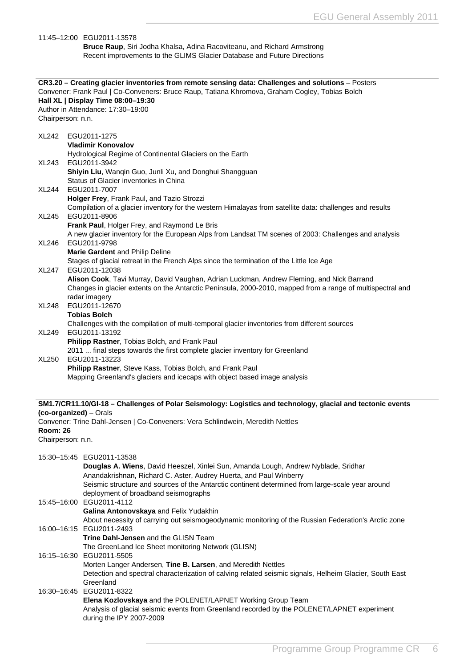<span id="page-6-0"></span>

|                                      | 11:45-12:00 EGU2011-13578<br>Bruce Raup, Siri Jodha Khalsa, Adina Racoviteanu, and Richard Armstrong<br>Recent improvements to the GLIMS Glacier Database and Future Directions                                                                                                                                                   |
|--------------------------------------|-----------------------------------------------------------------------------------------------------------------------------------------------------------------------------------------------------------------------------------------------------------------------------------------------------------------------------------|
| Chairperson: n.n.                    | CR3.20 - Creating glacier inventories from remote sensing data: Challenges and solutions - Posters<br>Convener: Frank Paul   Co-Conveners: Bruce Raup, Tatiana Khromova, Graham Cogley, Tobias Bolch<br>Hall XL   Display Time 08:00-19:30<br>Author in Attendance: 17:30-19:00                                                   |
|                                      | XL242 EGU2011-1275<br><b>Vladimir Konovalov</b><br>Hydrological Regime of Continental Glaciers on the Earth                                                                                                                                                                                                                       |
| XL243                                | EGU2011-3942<br>Shiyin Liu, Wanqin Guo, Junli Xu, and Donghui Shangguan                                                                                                                                                                                                                                                           |
| <b>XL244</b>                         | Status of Glacier inventories in China<br>EGU2011-7007<br>Holger Frey, Frank Paul, and Tazio Strozzi                                                                                                                                                                                                                              |
| <b>XL245</b>                         | Compilation of a glacier inventory for the western Himalayas from satellite data: challenges and results<br>EGU2011-8906<br>Frank Paul, Holger Frey, and Raymond Le Bris                                                                                                                                                          |
| XL246                                | A new glacier inventory for the European Alps from Landsat TM scenes of 2003: Challenges and analysis<br>EGU2011-9798<br>Marie Gardent and Philip Deline                                                                                                                                                                          |
| <b>XL247</b>                         | Stages of glacial retreat in the French Alps since the termination of the Little Ice Age<br>EGU2011-12038<br>Alison Cook, Tavi Murray, David Vaughan, Adrian Luckman, Andrew Fleming, and Nick Barrand<br>Changes in glacier extents on the Antarctic Peninsula, 2000-2010, mapped from a range of multispectral and              |
| <b>XL248</b>                         | radar imagery<br>EGU2011-12670<br><b>Tobias Bolch</b>                                                                                                                                                                                                                                                                             |
| XL249                                | Challenges with the compilation of multi-temporal glacier inventories from different sources<br>EGU2011-13192<br>Philipp Rastner, Tobias Bolch, and Frank Paul<br>2011  final steps towards the first complete glacier inventory for Greenland                                                                                    |
| XL250                                | EGU2011-13223<br>Philipp Rastner, Steve Kass, Tobias Bolch, and Frank Paul<br>Mapping Greenland's glaciers and icecaps with object based image analysis                                                                                                                                                                           |
| <b>Room: 26</b><br>Chairperson: n.n. | SM1.7/CR11.10/GI-18 - Challenges of Polar Seismology: Logistics and technology, glacial and tectonic events<br>(co-organized) - Orals<br>Convener: Trine Dahl-Jensen   Co-Conveners: Vera Schlindwein, Meredith Nettles                                                                                                           |
|                                      | 15:30-15:45 EGU2011-13538<br>Douglas A. Wiens, David Heeszel, Xinlei Sun, Amanda Lough, Andrew Nyblade, Sridhar<br>Anandakrishnan, Richard C. Aster, Audrey Huerta, and Paul Winberry<br>Seismic structure and sources of the Antarctic continent determined from large-scale year around<br>deployment of broadband seismographs |
|                                      | 15:45-16:00 EGU2011-4112<br>Galina Antonovskaya and Felix Yudakhin<br>About necessity of carrying out seismogeodynamic monitoring of the Russian Federation's Arctic zone                                                                                                                                                         |
|                                      | 16:00-16:15 EGU2011-2493<br>Trine Dahl-Jensen and the GLISN Team                                                                                                                                                                                                                                                                  |
|                                      | The GreenLand Ice Sheet monitoring Network (GLISN)<br>16:15-16:30 EGU2011-5505<br>Morten Langer Andersen, Tine B. Larsen, and Meredith Nettles<br>Detection and spectral characterization of calving related seismic signals, Helheim Glacier, South East<br>Greenland                                                            |
|                                      | 16:30-16:45 EGU2011-8322<br>Elena Kozlovskaya and the POLENET/LAPNET Working Group Team<br>Analysis of glacial seismic events from Greenland recorded by the POLENET/LAPNET experiment<br>during the IPY 2007-2009                                                                                                                |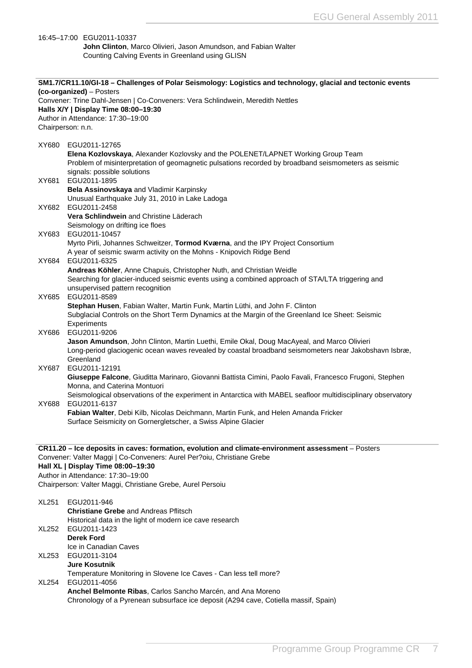<span id="page-7-0"></span>

|              | 16:45-17:00 EGU2011-10337<br>John Clinton, Marco Olivieri, Jason Amundson, and Fabian Walter                                                                                                        |
|--------------|-----------------------------------------------------------------------------------------------------------------------------------------------------------------------------------------------------|
|              | Counting Calving Events in Greenland using GLISN                                                                                                                                                    |
|              |                                                                                                                                                                                                     |
|              |                                                                                                                                                                                                     |
|              | SM1.7/CR11.10/GI-18 - Challenges of Polar Seismology: Logistics and technology, glacial and tectonic events<br>(co-organized) – Posters                                                             |
|              | Convener: Trine Dahl-Jensen   Co-Conveners: Vera Schlindwein, Meredith Nettles                                                                                                                      |
|              | Halls X/Y   Display Time 08:00-19:30                                                                                                                                                                |
|              | Author in Attendance: 17:30-19:00                                                                                                                                                                   |
|              | Chairperson: n.n.                                                                                                                                                                                   |
| XY680        | EGU2011-12765                                                                                                                                                                                       |
|              | Elena Kozlovskaya, Alexander Kozlovsky and the POLENET/LAPNET Working Group Team                                                                                                                    |
|              | Problem of misinterpretation of geomagnetic pulsations recorded by broadband seismometers as seismic                                                                                                |
|              | signals: possible solutions                                                                                                                                                                         |
| XY681        | EGU2011-1895<br>Bela Assinovskaya and Vladimir Karpinsky                                                                                                                                            |
|              | Unusual Earthquake July 31, 2010 in Lake Ladoga                                                                                                                                                     |
| XY682        | EGU2011-2458                                                                                                                                                                                        |
|              | Vera Schlindwein and Christine Läderach                                                                                                                                                             |
|              | Seismology on drifting ice floes                                                                                                                                                                    |
| XY683        | EGU2011-10457<br>Myrto Pirli, Johannes Schweitzer, Tormod Kværna, and the IPY Project Consortium                                                                                                    |
|              | A year of seismic swarm activity on the Mohns - Knipovich Ridge Bend                                                                                                                                |
| XY684        | EGU2011-6325                                                                                                                                                                                        |
|              | Andreas Köhler, Anne Chapuis, Christopher Nuth, and Christian Weidle                                                                                                                                |
|              | Searching for glacier-induced seismic events using a combined approach of STA/LTA triggering and                                                                                                    |
| XY685        | unsupervised pattern recognition<br>EGU2011-8589                                                                                                                                                    |
|              | Stephan Husen, Fabian Walter, Martin Funk, Martin Lüthi, and John F. Clinton                                                                                                                        |
|              | Subglacial Controls on the Short Term Dynamics at the Margin of the Greenland Ice Sheet: Seismic                                                                                                    |
|              | Experiments                                                                                                                                                                                         |
| XY686        | EGU2011-9206                                                                                                                                                                                        |
|              | Jason Amundson, John Clinton, Martin Luethi, Emile Okal, Doug MacAyeal, and Marco Olivieri<br>Long-period glaciogenic ocean waves revealed by coastal broadband seismometers near Jakobshavn Isbræ, |
|              | Greenland                                                                                                                                                                                           |
| XY687        | EGU2011-12191                                                                                                                                                                                       |
|              | Giuseppe Falcone, Giuditta Marinaro, Giovanni Battista Cimini, Paolo Favali, Francesco Frugoni, Stephen                                                                                             |
|              | Monna, and Caterina Montuori<br>Seismological observations of the experiment in Antarctica with MABEL seafloor multidisciplinary observatory                                                        |
| XY688        | EGU2011-6137                                                                                                                                                                                        |
|              | Fabian Walter, Debi Kilb, Nicolas Deichmann, Martin Funk, and Helen Amanda Fricker                                                                                                                  |
|              | Surface Seismicity on Gornergletscher, a Swiss Alpine Glacier                                                                                                                                       |
|              |                                                                                                                                                                                                     |
|              | CR11.20 - Ice deposits in caves: formation, evolution and climate-environment assessment - Posters                                                                                                  |
|              | Convener: Valter Maggi   Co-Conveners: Aurel Per?oiu, Christiane Grebe                                                                                                                              |
|              | Hall XL   Display Time 08:00-19:30                                                                                                                                                                  |
|              | Author in Attendance: 17:30-19:00                                                                                                                                                                   |
|              | Chairperson: Valter Maggi, Christiane Grebe, Aurel Persoiu                                                                                                                                          |
| <b>XL251</b> | EGU2011-946                                                                                                                                                                                         |
|              | <b>Christiane Grebe and Andreas Pflitsch</b>                                                                                                                                                        |
|              | Historical data in the light of modern ice cave research                                                                                                                                            |
| XL252        | EGU2011-1423<br><b>Derek Ford</b>                                                                                                                                                                   |
|              | Ice in Canadian Caves                                                                                                                                                                               |
| XL253        | EGU2011-3104                                                                                                                                                                                        |
|              | <b>Jure Kosutnik</b>                                                                                                                                                                                |
|              | Temperature Monitoring in Slovene Ice Caves - Can less tell more?                                                                                                                                   |
| XL254        | EGU2011-4056                                                                                                                                                                                        |
|              | Anchel Belmonte Ribas, Carlos Sancho Marcén, and Ana Moreno<br>Chronology of a Pyrenean subsurface ice deposit (A294 cave, Cotiella massif, Spain)                                                  |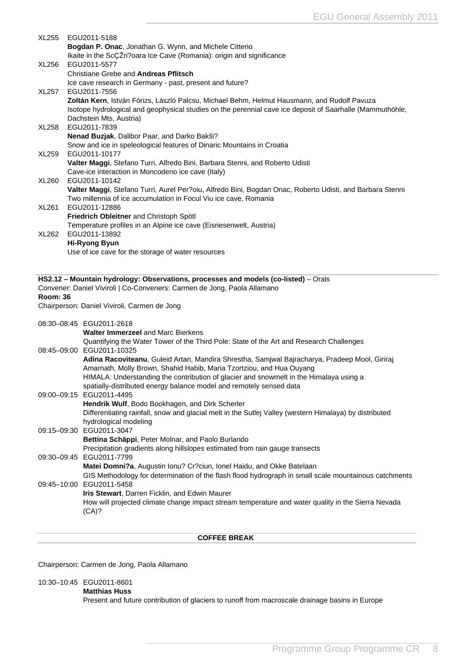<span id="page-8-0"></span>

| <b>XL255</b>    | EGU2011-5188                                                                                              |
|-----------------|-----------------------------------------------------------------------------------------------------------|
|                 | Bogdan P. Onac, Jonathan G. Wynn, and Michele Citterio                                                    |
|                 | Ikaite in the ScCZri?oara Ice Cave (Romania): origin and significance                                     |
| XL256           | EGU2011-5577                                                                                              |
|                 | <b>Christiane Grebe and Andreas Pflitsch</b>                                                              |
|                 | Ice cave research in Germany - past, present and future?                                                  |
| <b>XL257</b>    | EGU2011-7556                                                                                              |
|                 | Zoltán Kern, István Fórizs, László Palcsu, Michael Behm, Helmut Hausmann, and Rudolf Pavuza               |
|                 | Isotope hydrological and geophysical studies on the perennial cave ice deposit of Saarhalle (Mammuthöhle, |
| <b>XL258</b>    | Dachstein Mts, Austria)<br>EGU2011-7839                                                                   |
|                 | Nenad Buzjak, Dalibor Paar, and Darko Bakši?                                                              |
|                 | Snow and ice in speleological features of Dinaric Mountains in Croatia                                    |
| XL259           | EGU2011-10177                                                                                             |
|                 | Valter Maggi, Stefano Turri, Alfredo Bini, Barbara Stenni, and Roberto Udisti                             |
|                 | Cave-ice interaction in Moncodeno ice cave (Italy)                                                        |
| XL260           | EGU2011-10142                                                                                             |
|                 | Valter Maggi, Stefano Turri, Aurel Per?oiu, Alfredo Bini, Bogdan Onac, Roberto Udisti, and Barbara Stenni |
|                 | Two millennia of ice accumulation in Focul Viu ice cave, Romania                                          |
| XL261           | EGU2011-12886                                                                                             |
|                 | Friedrich Obleitner and Christoph Spötl                                                                   |
|                 | Temperature profiles in an Alpine ice cave (Eisriesenwelt, Austria)                                       |
| XL262           | EGU2011-13892                                                                                             |
|                 | <b>Hi-Ryong Byun</b>                                                                                      |
|                 | Use of ice cave for the storage of water resources                                                        |
|                 |                                                                                                           |
|                 | HS2.12 - Mountain hydrology: Observations, processes and models (co-listed) - Orals                       |
|                 | Convener: Daniel Viviroli   Co-Conveners: Carmen de Jong, Paola Allamano                                  |
| <b>Room: 36</b> |                                                                                                           |
|                 | Chairperson: Daniel Viviroli, Carmen de Jong                                                              |
|                 |                                                                                                           |
|                 | 08:30-08:45 EGU2011-2618                                                                                  |
|                 | <b>Walter Immerzeel and Marc Bierkens</b>                                                                 |
|                 | Quantifying the Water Tower of the Third Pole: State of the Art and Research Challenges                   |
|                 | 08:45-09:00 EGU2011-10325                                                                                 |
|                 | Adina Racoviteanu, Guleid Artan, Mandira Shrestha, Samjwal Bajracharya, Pradeep Mool, Giriraj             |
|                 | Amarnath, Molly Brown, Shahid Habib, Maria Tzortziou, and Hua Ouyang                                      |
|                 | HIMALA: Understanding the contribution of glacier and snowmelt in the Himalaya using a                    |
|                 | spatially-distributed energy balance model and remotely sensed data                                       |
|                 | 09:00-09:15 EGU2011-4495<br>Hendrik Wulf, Bodo Bookhagen, and Dirk Scherler                               |
|                 | Differentiating rainfall, snow and glacial melt in the Sutlej Valley (western Himalaya) by distributed    |
|                 | hydrological modeling                                                                                     |
|                 | 09:15-09:30 EGU2011-3047                                                                                  |
|                 | Bettina Schäppi, Peter Molnar, and Paolo Burlando                                                         |
|                 | Precipitation gradients along hillslopes estimated from rain gauge transects                              |
|                 |                                                                                                           |
|                 | 09:30-09:45 EGU2011-7799                                                                                  |
|                 | Matei Domni?a, Augustin Ionu? Cr?ciun, Ionel Haidu, and Okke Batelaan                                     |
|                 | GIS Methodology for determination of the flash flood hydrograph in small scale mountainous catchments     |
|                 | 09:45-10:00 EGU2011-5458                                                                                  |
|                 | Iris Stewart, Darren Ficklin, and Edwin Maurer                                                            |
|                 | How will projected climate change impact stream temperature and water quality in the Sierra Nevada        |
|                 | (CA)?                                                                                                     |
|                 |                                                                                                           |

Chairperson: Carmen de Jong, Paola Allamano

10:30–10:45 EGU2011-8601

**Matthias Huss**

Present and future contribution of glaciers to runoff from macroscale drainage basins in Europe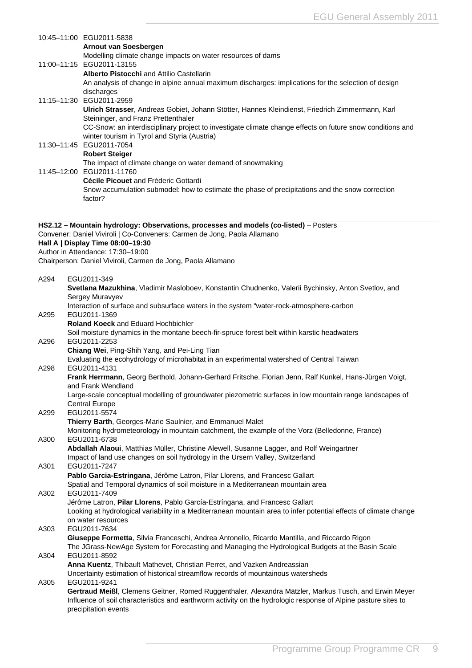|      | 10:45-11:00 EGU2011-5838<br>Arnout van Soesbergen                                                                                                                                                                                                               |
|------|-----------------------------------------------------------------------------------------------------------------------------------------------------------------------------------------------------------------------------------------------------------------|
|      | Modelling climate change impacts on water resources of dams<br>11:00-11:15 EGU2011-13155                                                                                                                                                                        |
|      | <b>Alberto Pistocchi</b> and Attilio Castellarin<br>An analysis of change in alpine annual maximum discharges: implications for the selection of design<br>discharges                                                                                           |
|      | 11:15-11:30 EGU2011-2959<br>Ulrich Strasser, Andreas Gobiet, Johann Stötter, Hannes Kleindienst, Friedrich Zimmermann, Karl                                                                                                                                     |
|      | Steininger, and Franz Prettenthaler<br>CC-Snow: an interdisciplinary project to investigate climate change effects on future snow conditions and<br>winter tourism in Tyrol and Styria (Austria)                                                                |
|      | 11:30-11:45 EGU2011-7054<br><b>Robert Steiger</b>                                                                                                                                                                                                               |
|      | The impact of climate change on water demand of snowmaking<br>11:45-12:00 EGU2011-11760                                                                                                                                                                         |
|      | Cécile Picouet and Fréderic Gottardi<br>Snow accumulation submodel: how to estimate the phase of precipitations and the snow correction<br>factor?                                                                                                              |
|      |                                                                                                                                                                                                                                                                 |
|      | HS2.12 - Mountain hydrology: Observations, processes and models (co-listed) - Posters<br>Convener: Daniel Viviroli   Co-Conveners: Carmen de Jong, Paola Allamano                                                                                               |
|      | Hall A   Display Time 08:00-19:30<br>Author in Attendance: 17:30-19:00                                                                                                                                                                                          |
|      | Chairperson: Daniel Viviroli, Carmen de Jong, Paola Allamano                                                                                                                                                                                                    |
| A294 | EGU2011-349<br>Svetlana Mazukhina, Vladimir Masloboev, Konstantin Chudnenko, Valerii Bychinsky, Anton Svetlov, and<br>Sergey Muravyev                                                                                                                           |
|      | Interaction of surface and subsurface waters in the system "water-rock-atmosphere-carbon                                                                                                                                                                        |
| A295 | EGU2011-1369<br>Roland Koeck and Eduard Hochbichler                                                                                                                                                                                                             |
| A296 | Soil moisture dynamics in the montane beech-fir-spruce forest belt within karstic headwaters<br>EGU2011-2253                                                                                                                                                    |
|      | Chiang Wei, Ping-Shih Yang, and Pei-Ling Tian<br>Evaluating the ecohydrology of microhabitat in an experimental watershed of Central Taiwan                                                                                                                     |
| A298 | EGU2011-4131<br>Frank Herrmann, Georg Berthold, Johann-Gerhard Fritsche, Florian Jenn, Ralf Kunkel, Hans-Jürgen Voigt,<br>and Frank Wendland                                                                                                                    |
|      | Large-scale conceptual modelling of groundwater piezometric surfaces in low mountain range landscapes of<br><b>Central Europe</b>                                                                                                                               |
| A299 | EGU2011-5574<br>Thierry Barth, Georges-Marie Saulnier, and Emmanuel Malet                                                                                                                                                                                       |
| A300 | Monitoring hydrometeorology in mountain catchment, the example of the Vorz (Belledonne, France)<br>EGU2011-6738                                                                                                                                                 |
|      | Abdallah Alaoui, Matthias Müller, Christine Alewell, Susanne Lagger, and Rolf Weingartner<br>Impact of land use changes on soil hydrology in the Ursern Valley, Switzerland                                                                                     |
| A301 | EGU2011-7247<br>Pablo Garcia-Estringana, Jérôme Latron, Pilar Llorens, and Francesc Gallart                                                                                                                                                                     |
| A302 | Spatial and Temporal dynamics of soil moisture in a Mediterranean mountain area<br>EGU2011-7409                                                                                                                                                                 |
|      | Jérôme Latron, Pilar Llorens, Pablo García-Estríngana, and Francesc Gallart<br>Looking at hydrological variability in a Mediterranean mountain area to infer potential effects of climate change                                                                |
| A303 | on water resources<br>EGU2011-7634                                                                                                                                                                                                                              |
| A304 | Giuseppe Formetta, Silvia Franceschi, Andrea Antonello, Ricardo Mantilla, and Riccardo Rigon<br>The JGrass-NewAge System for Forecasting and Managing the Hydrological Budgets at the Basin Scale<br>EGU2011-8592                                               |
|      | Anna Kuentz, Thibault Mathevet, Christian Perret, and Vazken Andreassian<br>Uncertainty estimation of historical streamflow records of mountainous watersheds                                                                                                   |
| A305 | EGU2011-9241<br>Gertraud Meißl, Clemens Geitner, Romed Ruggenthaler, Alexandra Mätzler, Markus Tusch, and Erwin Meyer<br>Influence of soil characteristics and earthworm activity on the hydrologic response of Alpine pasture sites to<br>precipitation events |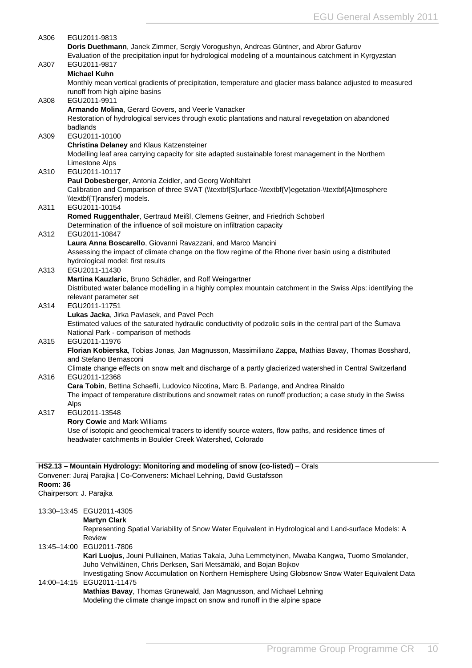<span id="page-10-0"></span>

| A306            |      | EGU2011-9813                                                                                                                                |
|-----------------|------|---------------------------------------------------------------------------------------------------------------------------------------------|
|                 |      | Doris Duethmann, Janek Zimmer, Sergiy Vorogushyn, Andreas Güntner, and Abror Gafurov                                                        |
|                 |      | Evaluation of the precipitation input for hydrological modeling of a mountainous catchment in Kyrgyzstan                                    |
| A307            |      | EGU2011-9817                                                                                                                                |
|                 |      | <b>Michael Kuhn</b>                                                                                                                         |
|                 |      | Monthly mean vertical gradients of precipitation, temperature and glacier mass balance adjusted to measured                                 |
|                 |      | runoff from high alpine basins                                                                                                              |
| A308            |      | EGU2011-9911                                                                                                                                |
|                 |      | Armando Molina, Gerard Govers, and Veerle Vanacker                                                                                          |
|                 |      | Restoration of hydrological services through exotic plantations and natural revegetation on abandoned                                       |
|                 |      | badlands                                                                                                                                    |
| A309            |      | EGU2011-10100                                                                                                                               |
|                 |      | Christina Delaney and Klaus Katzensteiner                                                                                                   |
|                 |      | Modelling leaf area carrying capacity for site adapted sustainable forest management in the Northern                                        |
|                 |      | Limestone Alps                                                                                                                              |
| A310            |      | EGU2011-10117                                                                                                                               |
|                 |      | Paul Dobesberger, Antonia Zeidler, and Georg Wohlfahrt                                                                                      |
|                 |      | Calibration and Comparison of three SVAT (\\textbf{S}urface-\\textbf{V}egetation-\\textbf{A}tmosphere                                       |
|                 |      | \\textbf{T}ransfer) models.                                                                                                                 |
| A311            |      | EGU2011-10154                                                                                                                               |
|                 |      | Romed Ruggenthaler, Gertraud Meißl, Clemens Geitner, and Friedrich Schöberl                                                                 |
|                 |      | Determination of the influence of soil moisture on infiltration capacity                                                                    |
| A312            |      | EGU2011-10847                                                                                                                               |
|                 |      | Laura Anna Boscarello, Giovanni Ravazzani, and Marco Mancini                                                                                |
|                 |      | Assessing the impact of climate change on the flow regime of the Rhone river basin using a distributed<br>hydrological model: first results |
| A313            |      | EGU2011-11430                                                                                                                               |
|                 |      | Martina Kauzlaric, Bruno Schädler, and Rolf Weingartner                                                                                     |
|                 |      | Distributed water balance modelling in a highly complex mountain catchment in the Swiss Alps: identifying the                               |
|                 |      | relevant parameter set                                                                                                                      |
| A314            |      | EGU2011-11751                                                                                                                               |
|                 |      | Lukas Jacka, Jirka Pavlasek, and Pavel Pech                                                                                                 |
|                 |      | Estimated values of the saturated hydraulic conductivity of podzolic soils in the central part of the Sumava                                |
|                 |      | National Park - comparison of methods                                                                                                       |
| A315            |      | EGU2011-11976                                                                                                                               |
|                 |      | Florian Kobierska, Tobias Jonas, Jan Magnusson, Massimiliano Zappa, Mathias Bavay, Thomas Bosshard,                                         |
|                 |      | and Stefano Bernasconi                                                                                                                      |
|                 |      | Climate change effects on snow melt and discharge of a partly glacierized watershed in Central Switzerland                                  |
| A316            |      | EGU2011-12368                                                                                                                               |
|                 |      | Cara Tobin, Bettina Schaefli, Ludovico Nicotina, Marc B. Parlange, and Andrea Rinaldo                                                       |
|                 |      | The impact of temperature distributions and snowmelt rates on runoff production; a case study in the Swiss                                  |
|                 | Alps |                                                                                                                                             |
| A317            |      | EGU2011-13548                                                                                                                               |
|                 |      | Rory Cowie and Mark Williams                                                                                                                |
|                 |      | Use of isotopic and geochemical tracers to identify source waters, flow paths, and residence times of                                       |
|                 |      | headwater catchments in Boulder Creek Watershed, Colorado                                                                                   |
|                 |      |                                                                                                                                             |
|                 |      |                                                                                                                                             |
|                 |      | HS2.13 - Mountain Hydrology: Monitoring and modeling of snow (co-listed) - Orals                                                            |
| <b>Room: 36</b> |      | Convener: Juraj Parajka   Co-Conveners: Michael Lehning, David Gustafsson                                                                   |
|                 |      | Chairperson: J. Parajka                                                                                                                     |
|                 |      |                                                                                                                                             |
|                 |      | 13:30-13:45 EGU2011-4305                                                                                                                    |
|                 |      | <b>Martyn Clark</b>                                                                                                                         |
|                 |      | Representing Spatial Variability of Snow Water Equivalent in Hydrological and Land-surface Models: A                                        |
|                 |      | Review                                                                                                                                      |
|                 |      | 13:45-14:00 EGU2011-7806                                                                                                                    |
|                 |      | Kari Luojus, Jouni Pulliainen, Matias Takala, Juha Lemmetyinen, Mwaba Kangwa, Tuomo Smolander,                                              |
|                 |      | Juho Vehviläinen, Chris Derksen, Sari Metsämäki, and Bojan Bojkov                                                                           |
|                 |      | Investigating Snow Accumulation on Northern Hemisphere Using Globsnow Snow Water Equivalent Data                                            |
|                 |      | 14:00-14:15 EGU2011-11475                                                                                                                   |
|                 |      | Mathias Bavay, Thomas Grünewald, Jan Magnusson, and Michael Lehning                                                                         |
|                 |      | Modeling the climate change impact on snow and runoff in the alpine space                                                                   |
|                 |      |                                                                                                                                             |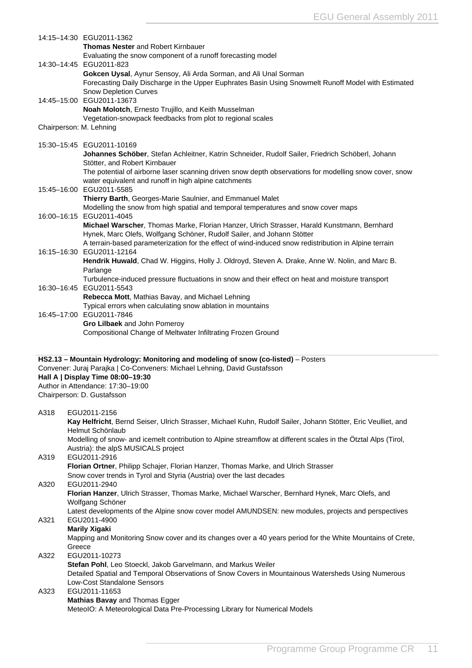|      | 14:15-14:30 EGU2011-1362                                                                                            |
|------|---------------------------------------------------------------------------------------------------------------------|
|      | <b>Thomas Nester and Robert Kirnbauer</b>                                                                           |
|      | Evaluating the snow component of a runoff forecasting model                                                         |
|      | 14:30-14:45 EGU2011-823                                                                                             |
|      | Gokcen Uysal, Aynur Sensoy, Ali Arda Sorman, and Ali Unal Sorman                                                    |
|      | Forecasting Daily Discharge in the Upper Euphrates Basin Using Snowmelt Runoff Model with Estimated                 |
|      | <b>Snow Depletion Curves</b>                                                                                        |
|      | 14:45-15:00 EGU2011-13673                                                                                           |
|      | Noah Molotch, Ernesto Trujillo, and Keith Musselman                                                                 |
|      | Vegetation-snowpack feedbacks from plot to regional scales                                                          |
|      | Chairperson: M. Lehning                                                                                             |
|      |                                                                                                                     |
|      | 15:30-15:45 EGU2011-10169                                                                                           |
|      | Johannes Schöber, Stefan Achleitner, Katrin Schneider, Rudolf Sailer, Friedrich Schöberl, Johann                    |
|      | Stötter, and Robert Kirnbauer                                                                                       |
|      | The potential of airborne laser scanning driven snow depth observations for modelling snow cover, snow              |
|      | water equivalent and runoff in high alpine catchments                                                               |
|      | 15:45-16:00 EGU2011-5585                                                                                            |
|      | Thierry Barth, Georges-Marie Saulnier, and Emmanuel Malet                                                           |
|      | Modelling the snow from high spatial and temporal temperatures and snow cover maps                                  |
|      | 16:00-16:15 EGU2011-4045                                                                                            |
|      | Michael Warscher, Thomas Marke, Florian Hanzer, Ulrich Strasser, Harald Kunstmann, Bernhard                         |
|      | Hynek, Marc Olefs, Wolfgang Schöner, Rudolf Sailer, and Johann Stötter                                              |
|      | A terrain-based parameterization for the effect of wind-induced snow redistribution in Alpine terrain               |
|      | 16:15-16:30 EGU2011-12164                                                                                           |
|      | Hendrik Huwald, Chad W. Higgins, Holly J. Oldroyd, Steven A. Drake, Anne W. Nolin, and Marc B.                      |
|      | Parlange                                                                                                            |
|      | Turbulence-induced pressure fluctuations in snow and their effect on heat and moisture transport                    |
|      | 16:30-16:45 EGU2011-5543                                                                                            |
|      | Rebecca Mott, Mathias Bavay, and Michael Lehning                                                                    |
|      | Typical errors when calculating snow ablation in mountains                                                          |
|      | 16:45-17:00 EGU2011-7846                                                                                            |
|      | Gro Lilbaek and John Pomeroy                                                                                        |
|      | Compositional Change of Meltwater Infiltrating Frozen Ground                                                        |
|      |                                                                                                                     |
|      |                                                                                                                     |
|      | HS2.13 - Mountain Hydrology: Monitoring and modeling of snow (co-listed) - Posters                                  |
|      | Convener: Juraj Parajka   Co-Conveners: Michael Lehning, David Gustafsson                                           |
|      | Hall A   Display Time 08:00-19:30                                                                                   |
|      | Author in Attendance: 17:30-19:00                                                                                   |
|      | Chairperson: D. Gustafsson                                                                                          |
|      |                                                                                                                     |
| A318 | EGU2011-2156                                                                                                        |
|      | Kay Helfricht, Bernd Seiser, Ulrich Strasser, Michael Kuhn, Rudolf Sailer, Johann Stötter, Eric Veulliet, and       |
|      | Helmut Schönlaub                                                                                                    |
|      | Modelling of snow- and icemelt contribution to Alpine streamflow at different scales in the Ötztal Alps (Tirol,     |
|      | Austria): the alpS MUSICALS project                                                                                 |
| A319 | EGU2011-2916                                                                                                        |
|      | Florian Ortner, Philipp Schajer, Florian Hanzer, Thomas Marke, and Ulrich Strasser                                  |
|      | Snow cover trends in Tyrol and Styria (Austria) over the last decades                                               |
| A320 | EGU2011-2940                                                                                                        |
|      | Florian Hanzer, Ulrich Strasser, Thomas Marke, Michael Warscher, Bernhard Hynek, Marc Olefs, and                    |
|      | Wolfgang Schöner                                                                                                    |
| A321 | Latest developments of the Alpine snow cover model AMUNDSEN: new modules, projects and perspectives<br>EGU2011-4900 |
|      |                                                                                                                     |

## **Marily Xigaki**

Mapping and Monitoring Snow cover and its changes over a 40 years period for the White Mountains of Crete, Greece

#### A322 EGU2011-10273

**Stefan Pohl**, Leo Stoeckl, Jakob Garvelmann, and Markus Weiler Detailed Spatial and Temporal Observations of Snow Covers in Mountainous Watersheds Using Numerous Low-Cost Standalone Sensors A323 EGU2011-11653 **Mathias Bavay** and Thomas Egger

MeteoIO: A Meteorological Data Pre-Processing Library for Numerical Models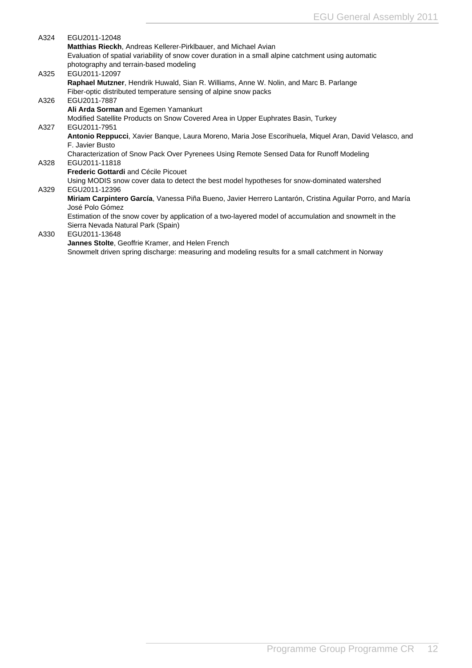| A324 | EGU2011-12048                                                                                                               |
|------|-----------------------------------------------------------------------------------------------------------------------------|
|      | Matthias Rieckh, Andreas Kellerer-Pirklbauer, and Michael Avian                                                             |
|      | Evaluation of spatial variability of snow cover duration in a small alpine catchment using automatic                        |
|      | photography and terrain-based modeling                                                                                      |
| A325 | EGU2011-12097                                                                                                               |
|      | Raphael Mutzner, Hendrik Huwald, Sian R. Williams, Anne W. Nolin, and Marc B. Parlange                                      |
|      | Fiber-optic distributed temperature sensing of alpine snow packs                                                            |
| A326 | EGU2011-7887                                                                                                                |
|      | Ali Arda Sorman and Egemen Yamankurt                                                                                        |
|      | Modified Satellite Products on Snow Covered Area in Upper Euphrates Basin, Turkey                                           |
| A327 | EGU2011-7951                                                                                                                |
|      | Antonio Reppucci, Xavier Banque, Laura Moreno, Maria Jose Escorihuela, Miquel Aran, David Velasco, and                      |
|      | F. Javier Busto                                                                                                             |
|      | Characterization of Snow Pack Over Pyrenees Using Remote Sensed Data for Runoff Modeling                                    |
| A328 | EGU2011-11818                                                                                                               |
|      | <b>Frederic Gottardi</b> and Cécile Picouet                                                                                 |
|      | Using MODIS snow cover data to detect the best model hypotheses for snow-dominated watershed                                |
| A329 | EGU2011-12396                                                                                                               |
|      | Miriam Carpintero García, Vanessa Piña Bueno, Javier Herrero Lantarón, Cristina Aguilar Porro, and María<br>José Polo Gómez |
|      | Estimation of the snow cover by application of a two-layered model of accumulation and snowmelt in the                      |
|      | Sierra Nevada Natural Park (Spain)                                                                                          |
| A330 | EGU2011-13648                                                                                                               |
|      | Jannes Stolte, Geoffrie Kramer, and Helen French                                                                            |
|      | Snowmelt driven spring discharge: measuring and modeling results for a small catchment in Norway                            |
|      |                                                                                                                             |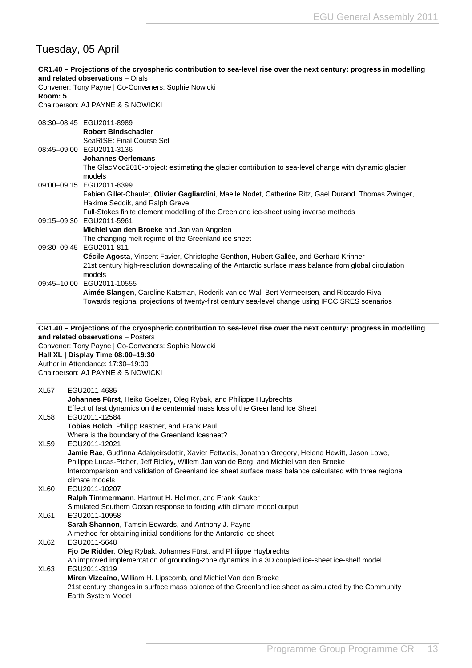# <span id="page-13-0"></span>Tuesday, 05 April

| CR1.40 - Projections of the cryospheric contribution to sea-level rise over the next century: progress in modelling<br>and related observations - Orals<br>Convener: Tony Payne   Co-Conveners: Sophie Nowicki |                                                                                                                                                                                                                                                                                                                                              |
|----------------------------------------------------------------------------------------------------------------------------------------------------------------------------------------------------------------|----------------------------------------------------------------------------------------------------------------------------------------------------------------------------------------------------------------------------------------------------------------------------------------------------------------------------------------------|
| Room: 5                                                                                                                                                                                                        | Chairperson: AJ PAYNE & S NOWICKI                                                                                                                                                                                                                                                                                                            |
|                                                                                                                                                                                                                | 08:30-08:45 EGU2011-8989<br><b>Robert Bindschadler</b><br>SeaRISE: Final Course Set                                                                                                                                                                                                                                                          |
|                                                                                                                                                                                                                | 08:45-09:00 EGU2011-3136<br><b>Johannes Oerlemans</b><br>The GlacMod2010-project: estimating the glacier contribution to sea-level change with dynamic glacier<br>models                                                                                                                                                                     |
|                                                                                                                                                                                                                | 09:00-09:15 EGU2011-8399<br>Fabien Gillet-Chaulet, Olivier Gagliardini, Maelle Nodet, Catherine Ritz, Gael Durand, Thomas Zwinger,<br>Hakime Seddik, and Ralph Greve<br>Full-Stokes finite element modelling of the Greenland ice-sheet using inverse methods                                                                                |
|                                                                                                                                                                                                                | 09:15-09:30 EGU2011-5961<br>Michiel van den Broeke and Jan van Angelen<br>The changing melt regime of the Greenland ice sheet                                                                                                                                                                                                                |
|                                                                                                                                                                                                                | 09:30-09:45 EGU2011-811<br>Cécile Agosta, Vincent Favier, Christophe Genthon, Hubert Gallée, and Gerhard Krinner<br>21st century high-resolution downscaling of the Antarctic surface mass balance from global circulation<br>models                                                                                                         |
|                                                                                                                                                                                                                | 09:45-10:00 EGU2011-10555<br>Aimée Slangen, Caroline Katsman, Roderik van de Wal, Bert Vermeersen, and Riccardo Riva<br>Towards regional projections of twenty-first century sea-level change using IPCC SRES scenarios                                                                                                                      |
|                                                                                                                                                                                                                | CR1.40 - Projections of the cryospheric contribution to sea-level rise over the next century: progress in modelling<br>and related observations - Posters                                                                                                                                                                                    |
|                                                                                                                                                                                                                | Convener: Tony Payne   Co-Conveners: Sophie Nowicki                                                                                                                                                                                                                                                                                          |
|                                                                                                                                                                                                                | Hall XL   Display Time 08:00-19:30<br>Author in Attendance: 17:30-19:00                                                                                                                                                                                                                                                                      |
|                                                                                                                                                                                                                | Chairperson: AJ PAYNE & S NOWICKI                                                                                                                                                                                                                                                                                                            |
| XL57                                                                                                                                                                                                           | EGU2011-4685<br>Johannes Fürst, Heiko Goelzer, Oleg Rybak, and Philippe Huybrechts<br>Effect of fast dynamics on the centennial mass loss of the Greenland Ice Sheet                                                                                                                                                                         |
| XL <sub>58</sub>                                                                                                                                                                                               | EGU2011-12584<br>Tobias Bolch, Philipp Rastner, and Frank Paul<br>Where is the boundary of the Greenland Icesheet?                                                                                                                                                                                                                           |
| XL <sub>59</sub>                                                                                                                                                                                               | EGU2011-12021<br>Jamie Rae, Gudfinna Adalgeirsdottir, Xavier Fettweis, Jonathan Gregory, Helene Hewitt, Jason Lowe,<br>Philippe Lucas-Picher, Jeff Ridley, Willem Jan van de Berg, and Michiel van den Broeke<br>Intercomparison and validation of Greenland ice sheet surface mass balance calculated with three regional<br>climate models |
| XL <sub>60</sub>                                                                                                                                                                                               | EGU2011-10207<br>Ralph Timmermann, Hartmut H. Hellmer, and Frank Kauker<br>Simulated Southern Ocean response to forcing with climate model output                                                                                                                                                                                            |
| XL61                                                                                                                                                                                                           | EGU2011-10958<br>Sarah Shannon, Tamsin Edwards, and Anthony J. Payne                                                                                                                                                                                                                                                                         |
| XL <sub>62</sub>                                                                                                                                                                                               | A method for obtaining initial conditions for the Antarctic ice sheet<br>EGU2011-5648<br>Fjo De Ridder, Oleg Rybak, Johannes Fürst, and Philippe Huybrechts                                                                                                                                                                                  |
| XL63                                                                                                                                                                                                           | An improved implementation of grounding-zone dynamics in a 3D coupled ice-sheet ice-shelf model<br>EGU2011-3119<br>Miren Vizcaíno, William H. Lipscomb, and Michiel Van den Broeke<br>21st century changes in surface mass balance of the Greenland ice sheet as simulated by the Community<br>Earth System Model                            |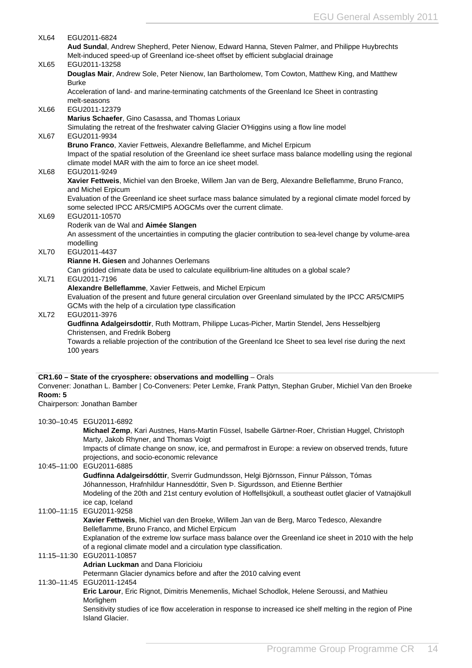<span id="page-14-0"></span>

| XL64    | EGU2011-6824                                                                                                   |
|---------|----------------------------------------------------------------------------------------------------------------|
|         | Aud Sundal, Andrew Shepherd, Peter Nienow, Edward Hanna, Steven Palmer, and Philippe Huybrechts                |
|         | Melt-induced speed-up of Greenland ice-sheet offset by efficient subglacial drainage                           |
| XL65    | EGU2011-13258                                                                                                  |
|         | Douglas Mair, Andrew Sole, Peter Nienow, Ian Bartholomew, Tom Cowton, Matthew King, and Matthew                |
|         | Burke                                                                                                          |
|         | Acceleration of land- and marine-terminating catchments of the Greenland Ice Sheet in contrasting              |
|         | melt-seasons                                                                                                   |
| XL66    | EGU2011-12379                                                                                                  |
|         | Marius Schaefer, Gino Casassa, and Thomas Loriaux                                                              |
|         | Simulating the retreat of the freshwater calving Glacier O'Higgins using a flow line model                     |
| XL67    | EGU2011-9934                                                                                                   |
|         | Bruno Franco, Xavier Fettweis, Alexandre Belleflamme, and Michel Erpicum                                       |
|         | Impact of the spatial resolution of the Greenland ice sheet surface mass balance modelling using the regional  |
|         | climate model MAR with the aim to force an ice sheet model.                                                    |
| XL68    | EGU2011-9249                                                                                                   |
|         | Xavier Fettweis, Michiel van den Broeke, Willem Jan van de Berg, Alexandre Belleflamme, Bruno Franco,          |
|         | and Michel Erpicum                                                                                             |
|         | Evaluation of the Greenland ice sheet surface mass balance simulated by a regional climate model forced by     |
|         | some selected IPCC AR5/CMIP5 AOGCMs over the current climate.                                                  |
| XL69    | EGU2011-10570                                                                                                  |
|         | Roderik van de Wal and Aimée Slangen                                                                           |
|         | An assessment of the uncertainties in computing the glacier contribution to sea-level change by volume-area    |
|         |                                                                                                                |
|         | modelling                                                                                                      |
| XL70    | EGU2011-4437                                                                                                   |
|         | <b>Rianne H. Giesen and Johannes Oerlemans</b>                                                                 |
|         | Can gridded climate data be used to calculate equilibrium-line altitudes on a global scale?                    |
| XL71    | EGU2011-7196                                                                                                   |
|         | Alexandre Belleflamme, Xavier Fettweis, and Michel Erpicum                                                     |
|         | Evaluation of the present and future general circulation over Greenland simulated by the IPCC AR5/CMIP5        |
|         | GCMs with the help of a circulation type classification                                                        |
| XL72    | EGU2011-3976                                                                                                   |
|         | Gudfinna Adalgeirsdottir, Ruth Mottram, Philippe Lucas-Picher, Martin Stendel, Jens Hesselbjerg                |
|         | Christensen, and Fredrik Boberg                                                                                |
|         | Towards a reliable projection of the contribution of the Greenland Ice Sheet to sea level rise during the next |
|         | 100 years                                                                                                      |
|         |                                                                                                                |
|         |                                                                                                                |
|         | CR1.60 - State of the cryosphere: observations and modelling - Orals                                           |
|         | Convener: Jonathan L. Bamber   Co-Conveners: Peter Lemke, Frank Pattyn, Stephan Gruber, Michiel Van den Broeke |
| Room: 5 |                                                                                                                |
|         | Chairperson: Jonathan Bamber                                                                                   |
|         |                                                                                                                |
|         | 10:30-10:45 EGU2011-6892                                                                                       |
|         | Michael Zemp, Kari Austnes, Hans-Martin Füssel, Isabelle Gärtner-Roer, Christian Huggel, Christoph             |
|         | Marty, Jakob Rhyner, and Thomas Voigt                                                                          |
|         | Impacts of climate change on snow, ice, and permafrost in Europe: a review on observed trends, future          |
|         | projections, and socio-economic relevance                                                                      |
|         | 10:45-11:00 EGU2011-6885                                                                                       |
|         | Gudfinna Adalgeirsdóttir, Sverrir Gudmundsson, Helgi Björnsson, Finnur Pálsson, Tómas                          |
|         |                                                                                                                |
|         | Jóhannesson, Hrafnhildur Hannesdóttir, Sven Þ. Sigurdsson, and Etienne Berthier                                |
|         | Modeling of the 20th and 21st century evolution of Hoffellsjökull, a southeast outlet glacier of Vatnajökull   |
|         | ice cap, Iceland                                                                                               |
|         | 11:00-11:15 EGU2011-9258                                                                                       |
|         | Xavier Fettweis, Michiel van den Broeke, Willem Jan van de Berg, Marco Tedesco, Alexandre                      |
|         | Belleflamme, Bruno Franco, and Michel Erpicum                                                                  |
|         | Explanation of the extreme low surface mass balance over the Greenland ice sheet in 2010 with the help         |
|         | of a regional climate model and a circulation type classification.                                             |
|         | 11:15-11:30 EGU2011-10857                                                                                      |
|         | <b>Adrian Luckman and Dana Floricioiu</b>                                                                      |
|         | Petermann Glacier dynamics before and after the 2010 calving event                                             |
|         | 11:30-11:45 EGU2011-12454                                                                                      |
|         |                                                                                                                |
|         | Eric Larour, Eric Rignot, Dimitris Menemenlis, Michael Schodlok, Helene Seroussi, and Mathieu                  |
|         | Morlighem                                                                                                      |
|         | Sensitivity studies of ice flow acceleration in response to increased ice shelf melting in the region of Pine  |
|         | <b>Island Glacier.</b>                                                                                         |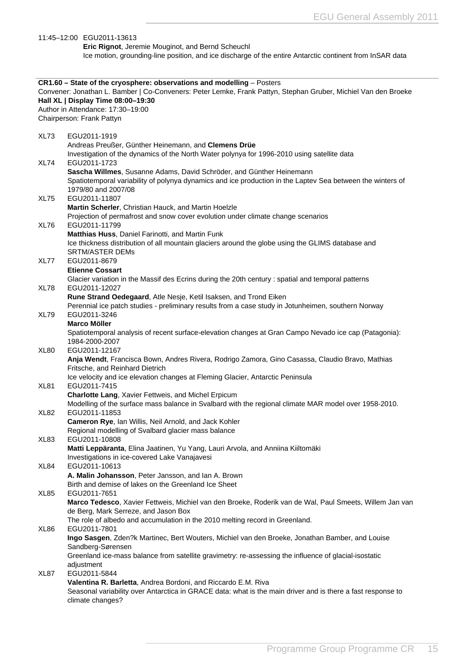|                  | 11:45-12:00 EGU2011-13613                                                                                                                                                                                                                                                                        |
|------------------|--------------------------------------------------------------------------------------------------------------------------------------------------------------------------------------------------------------------------------------------------------------------------------------------------|
|                  | Eric Rignot, Jeremie Mouginot, and Bernd Scheuchl                                                                                                                                                                                                                                                |
|                  | Ice motion, grounding-line position, and ice discharge of the entire Antarctic continent from InSAR data                                                                                                                                                                                         |
|                  |                                                                                                                                                                                                                                                                                                  |
|                  | CR1.60 - State of the cryosphere: observations and modelling - Posters<br>Convener: Jonathan L. Bamber   Co-Conveners: Peter Lemke, Frank Pattyn, Stephan Gruber, Michiel Van den Broeke<br>Hall XL   Display Time 08:00-19:30<br>Author in Attendance: 17:30-19:00<br>Chairperson: Frank Pattyn |
| XL73             | EGU2011-1919                                                                                                                                                                                                                                                                                     |
| XL74             | Andreas Preußer, Günther Heinemann, and Clemens Drüe<br>Investigation of the dynamics of the North Water polynya for 1996-2010 using satellite data<br>EGU2011-1723                                                                                                                              |
|                  | Sascha Willmes, Susanne Adams, David Schröder, and Günther Heinemann<br>Spatiotemporal variability of polynya dynamics and ice production in the Laptev Sea between the winters of<br>1979/80 and 2007/08                                                                                        |
| XL75             | EGU2011-11807<br>Martin Scherler, Christian Hauck, and Martin Hoelzle                                                                                                                                                                                                                            |
| XL76             | Projection of permafrost and snow cover evolution under climate change scenarios<br>EGU2011-11799                                                                                                                                                                                                |
|                  | Matthias Huss, Daniel Farinotti, and Martin Funk<br>Ice thickness distribution of all mountain glaciers around the globe using the GLIMS database and<br><b>SRTM/ASTER DEMs</b>                                                                                                                  |
| XL77             | EGU2011-8679<br><b>Etienne Cossart</b>                                                                                                                                                                                                                                                           |
| XL78             | Glacier variation in the Massif des Ecrins during the 20th century : spatial and temporal patterns<br>EGU2011-12027                                                                                                                                                                              |
|                  | Rune Strand Oedegaard, Atle Nesje, Ketil Isaksen, and Trond Eiken                                                                                                                                                                                                                                |
| XL79             | Perennial ice patch studies - preliminary results from a case study in Jotunheimen, southern Norway<br>EGU2011-3246<br><b>Marco Möller</b>                                                                                                                                                       |
|                  | Spatiotemporal analysis of recent surface-elevation changes at Gran Campo Nevado ice cap (Patagonia):<br>1984-2000-2007                                                                                                                                                                          |
| XL <sub>80</sub> | EGU2011-12167<br>Anja Wendt, Francisca Bown, Andres Rivera, Rodrigo Zamora, Gino Casassa, Claudio Bravo, Mathias<br>Fritsche, and Reinhard Dietrich                                                                                                                                              |
|                  | Ice velocity and ice elevation changes at Fleming Glacier, Antarctic Peninsula                                                                                                                                                                                                                   |
| XL81             | EGU2011-7415                                                                                                                                                                                                                                                                                     |
|                  | Charlotte Lang, Xavier Fettweis, and Michel Erpicum<br>Modelling of the surface mass balance in Svalbard with the regional climate MAR model over 1958-2010.                                                                                                                                     |
| XL82             | EGU2011-11853                                                                                                                                                                                                                                                                                    |
|                  | Cameron Rye, Ian Willis, Neil Arnold, and Jack Kohler                                                                                                                                                                                                                                            |
| XL83             | Regional modelling of Svalbard glacier mass balance<br>EGU2011-10808                                                                                                                                                                                                                             |
|                  | Matti Leppäranta, Elina Jaatinen, Yu Yang, Lauri Arvola, and Anniina Kiiltomäki                                                                                                                                                                                                                  |
|                  | Investigations in ice-covered Lake Vanajavesi                                                                                                                                                                                                                                                    |
| XL84             | EGU2011-10613                                                                                                                                                                                                                                                                                    |
| XL85             | A. Malin Johansson, Peter Jansson, and Ian A. Brown<br>Birth and demise of lakes on the Greenland Ice Sheet<br>EGU2011-7651                                                                                                                                                                      |
|                  | Marco Tedesco, Xavier Fettweis, Michiel van den Broeke, Roderik van de Wal, Paul Smeets, Willem Jan van<br>de Berg, Mark Serreze, and Jason Box                                                                                                                                                  |
|                  | The role of albedo and accumulation in the 2010 melting record in Greenland.<br>EGU2011-7801                                                                                                                                                                                                     |
| XL86             | Ingo Sasgen, Zden?k Martinec, Bert Wouters, Michiel van den Broeke, Jonathan Bamber, and Louise<br>Sandberg-Sørensen                                                                                                                                                                             |
|                  | Greenland ice-mass balance from satellite gravimetry: re-assessing the influence of glacial-isostatic<br>adjustment                                                                                                                                                                              |
| XL87             | EGU2011-5844                                                                                                                                                                                                                                                                                     |
|                  | Valentina R. Barletta, Andrea Bordoni, and Riccardo E.M. Riva<br>Seasonal variability over Antarctica in GRACE data: what is the main driver and is there a fast response to<br>climate changes?                                                                                                 |
|                  |                                                                                                                                                                                                                                                                                                  |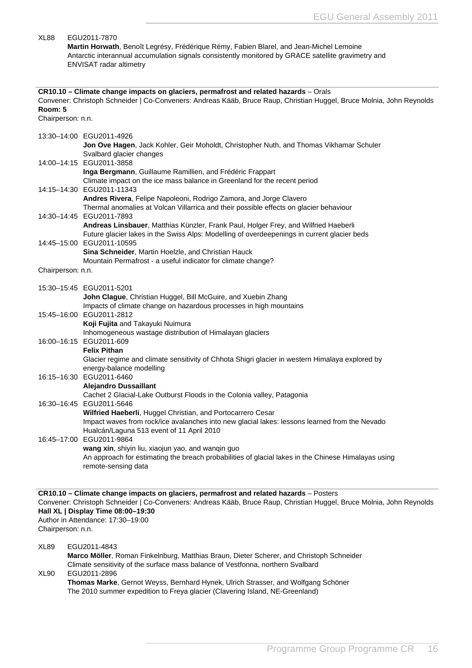<span id="page-16-0"></span>

| XL88                         | EGU2011-7870<br>Martin Horwath, Benoît Legrésy, Frédérique Rémy, Fabien Blarel, and Jean-Michel Lemoine<br>Antarctic interannual accumulation signals consistently monitored by GRACE satellite gravimetry and<br>ENVISAT radar altimetry                                                  |
|------------------------------|--------------------------------------------------------------------------------------------------------------------------------------------------------------------------------------------------------------------------------------------------------------------------------------------|
| Room: 5<br>Chairperson: n.n. | CR10.10 - Climate change impacts on glaciers, permafrost and related hazards - Orals<br>Convener: Christoph Schneider   Co-Conveners: Andreas Kääb, Bruce Raup, Christian Huggel, Bruce Molnia, John Reynolds                                                                              |
|                              | 13:30-14:00 EGU2011-4926<br>Jon Ove Hagen, Jack Kohler, Geir Moholdt, Christopher Nuth, and Thomas Vikhamar Schuler<br>Svalbard glacier changes                                                                                                                                            |
|                              | 14:00-14:15 EGU2011-3858<br>Inga Bergmann, Guillaume Ramillien, and Frédéric Frappart<br>Climate impact on the ice mass balance in Greenland for the recent period                                                                                                                         |
|                              | 14:15-14:30 EGU2011-11343<br>Andres Rivera, Felipe Napoleoni, Rodrigo Zamora, and Jorge Clavero<br>Thermal anomalies at Volcan Villarrica and their possible effects on glacier behaviour                                                                                                  |
|                              | 14:30-14:45 EGU2011-7893<br>Andreas Linsbauer, Matthias Künzler, Frank Paul, Holger Frey, and Wilfried Haeberli<br>Future glacier lakes in the Swiss Alps: Modelling of overdeepenings in current glacier beds                                                                             |
|                              | 14:45-15:00 EGU2011-10595<br>Sina Schneider, Martin Hoelzle, and Christian Hauck<br>Mountain Permafrost - a useful indicator for climate change?                                                                                                                                           |
| Chairperson: n.n.            |                                                                                                                                                                                                                                                                                            |
|                              | 15:30-15:45 EGU2011-5201<br>John Clague, Christian Huggel, Bill McGuire, and Xuebin Zhang<br>Impacts of climate change on hazardous processes in high mountains                                                                                                                            |
|                              | 15:45-16:00 EGU2011-2812<br>Koji Fujita and Takayuki Nuimura<br>Inhomogeneous wastage distribution of Himalayan glaciers                                                                                                                                                                   |
|                              | 16:00-16:15 EGU2011-609<br><b>Felix Pithan</b><br>Glacier regime and climate sensitivity of Chhota Shigri glacier in western Himalaya explored by                                                                                                                                          |
|                              | energy-balance modelling<br>16:15-16:30 EGU2011-6460<br><b>Alejandro Dussaillant</b>                                                                                                                                                                                                       |
|                              | Cachet 2 Glacial-Lake Outburst Floods in the Colonia valley, Patagonia<br>16:30-16:45 EGU2011-5646<br>Wilfried Haeberli, Huggel Christian, and Portocarrero Cesar                                                                                                                          |
|                              | Impact waves from rock/ice avalanches into new glacial lakes: lessons learned from the Nevado<br>Hualcán/Laguna 513 event of 11 April 2010<br>16:45-17:00 EGU2011-9864                                                                                                                     |
|                              | wang xin, shiyin liu, xiaojun yao, and wanqin guo<br>An approach for estimating the breach probabilities of glacial lakes in the Chinese Himalayas using<br>remote-sensing data                                                                                                            |
| Chairperson: n.n.            | CR10.10 - Climate change impacts on glaciers, permafrost and related hazards - Posters<br>Convener: Christoph Schneider   Co-Conveners: Andreas Kääb, Bruce Raup, Christian Huggel, Bruce Molnia, John Reynolds<br>Hall XL   Display Time 08:00-19:30<br>Author in Attendance: 17:30-19:00 |
| XL89                         | EGU2011-4843<br>Marco Möller, Roman Finkelnburg, Matthias Braun, Dieter Scherer, and Christoph Schneider<br>Climate sensitivity of the surface mass balance of Vestfonna, northern Svalbard                                                                                                |
| XL <sub>90</sub>             | EGU2011-2896<br><b>Thomas Marke</b> , Gernot Weyss, Bernhard Hynek, Ulrich Strasser, and Wolfgang Schöner                                                                                                                                                                                  |

**Thomas Marke**, Gernot Weyss, Bernhard Hynek, Ulrich Strasser, and Wolfgang Schöner The 2010 summer expedition to Freya glacier (Clavering Island, NE-Greenland)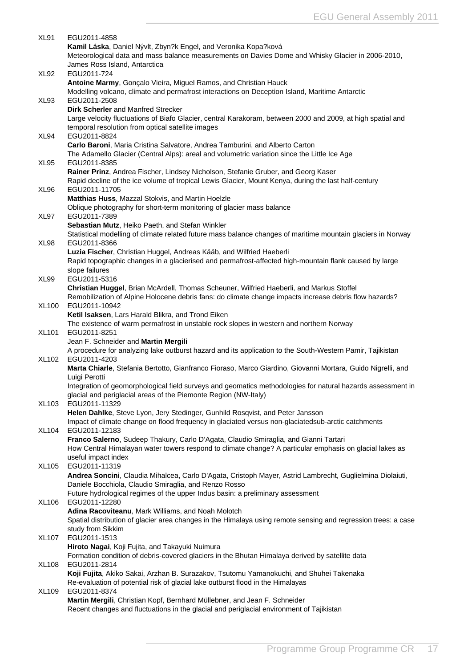| <b>XL91</b>  | EGU2011-4858                                                                                                            |
|--------------|-------------------------------------------------------------------------------------------------------------------------|
|              | Kamil Láska, Daniel Nývlt, Zbyn?k Engel, and Veronika Kopa?ková                                                         |
|              | Meteorological data and mass balance measurements on Davies Dome and Whisky Glacier in 2006-2010,                       |
|              | James Ross Island, Antarctica                                                                                           |
| XL92         | EGU2011-724                                                                                                             |
|              | Antoine Marmy, Gonçalo Vieira, Miguel Ramos, and Christian Hauck                                                        |
|              | Modelling volcano, climate and permafrost interactions on Deception Island, Maritime Antarctic                          |
| XL93         | EGU2011-2508                                                                                                            |
|              | <b>Dirk Scherler and Manfred Strecker</b>                                                                               |
|              | Large velocity fluctuations of Biafo Glacier, central Karakoram, between 2000 and 2009, at high spatial and             |
|              | temporal resolution from optical satellite images                                                                       |
| XL94         | EGU2011-8824                                                                                                            |
|              | Carlo Baroni, Maria Cristina Salvatore, Andrea Tamburini, and Alberto Carton                                            |
|              | The Adamello Glacier (Central Alps): areal and volumetric variation since the Little Ice Age                            |
| XL95         | EGU2011-8385                                                                                                            |
|              | Rainer Prinz, Andrea Fischer, Lindsey Nicholson, Stefanie Gruber, and Georg Kaser                                       |
|              | Rapid decline of the ice volume of tropical Lewis Glacier, Mount Kenya, during the last half-century                    |
| XL96         | EGU2011-11705                                                                                                           |
|              | Matthias Huss, Mazzal Stokvis, and Martin Hoelzle                                                                       |
|              | Oblique photography for short-term monitoring of glacier mass balance                                                   |
| XL97         | EGU2011-7389                                                                                                            |
|              | Sebastian Mutz, Heiko Paeth, and Stefan Winkler                                                                         |
|              | Statistical modelling of climate related future mass balance changes of maritime mountain glaciers in Norway            |
| XL98         | EGU2011-8366                                                                                                            |
|              | Luzia Fischer, Christian Huggel, Andreas Kääb, and Wilfried Haeberli                                                    |
|              | Rapid topographic changes in a glacierised and permafrost-affected high-mountain flank caused by large                  |
|              | slope failures                                                                                                          |
| XL99         | EGU2011-5316                                                                                                            |
|              | Christian Huggel, Brian McArdell, Thomas Scheuner, Wilfried Haeberli, and Markus Stoffel                                |
| <b>XL100</b> | Remobilization of Alpine Holocene debris fans: do climate change impacts increase debris flow hazards?<br>EGU2011-10942 |
|              | Ketil Isaksen, Lars Harald Blikra, and Trond Eiken                                                                      |
|              | The existence of warm permafrost in unstable rock slopes in western and northern Norway                                 |
| XL101        | EGU2011-8251                                                                                                            |
|              | Jean F. Schneider and Martin Mergili                                                                                    |
|              | A procedure for analyzing lake outburst hazard and its application to the South-Western Pamir, Tajikistan               |
| XL102        | EGU2011-4203                                                                                                            |
|              | Marta Chiarle, Stefania Bertotto, Gianfranco Fioraso, Marco Giardino, Giovanni Mortara, Guido Nigrelli, and             |
|              | Luigi Perotti                                                                                                           |
|              | Integration of geomorphological field surveys and geomatics methodologies for natural hazards assessment in             |
|              | glacial and periglacial areas of the Piemonte Region (NW-Italy)                                                         |
| XL103        | EGU2011-11329                                                                                                           |
|              | Helen Dahlke, Steve Lyon, Jery Stedinger, Gunhild Rosqvist, and Peter Jansson                                           |
|              | Impact of climate change on flood frequency in glaciated versus non-glaciatedsub-arctic catchments                      |
| <b>XL104</b> | EGU2011-12183                                                                                                           |
|              | Franco Salerno, Sudeep Thakury, Carlo D'Agata, Claudio Smiraglia, and Gianni Tartari                                    |
|              | How Central Himalayan water towers respond to climate change? A particular emphasis on glacial lakes as                 |
|              | useful impact index                                                                                                     |
| <b>XL105</b> | EGU2011-11319                                                                                                           |
|              | Andrea Soncini, Claudia Mihalcea, Carlo D'Agata, Cristoph Mayer, Astrid Lambrecht, Guglielmina Diolaiuti,               |
|              | Daniele Bocchiola, Claudio Smiraglia, and Renzo Rosso                                                                   |
|              | Future hydrological regimes of the upper Indus basin: a preliminary assessment                                          |
| XL106        | EGU2011-12280                                                                                                           |
|              | Adina Racoviteanu, Mark Williams, and Noah Molotch                                                                      |
|              | Spatial distribution of glacier area changes in the Himalaya using remote sensing and regression trees: a case          |
|              | study from Sikkim<br>EGU2011-1513                                                                                       |
| XL107        | Hiroto Nagai, Koji Fujita, and Takayuki Nuimura                                                                         |
|              | Formation condition of debris-covered glaciers in the Bhutan Himalaya derived by satellite data                         |
| XL108        | EGU2011-2814                                                                                                            |
|              | Koji Fujita, Akiko Sakai, Arzhan B. Surazakov, Tsutomu Yamanokuchi, and Shuhei Takenaka                                 |
|              | Re-evaluation of potential risk of glacial lake outburst flood in the Himalayas                                         |
| XL109        | EGU2011-8374                                                                                                            |
|              | Martin Mergili, Christian Kopf, Bernhard Müllebner, and Jean F. Schneider                                               |
|              | Recent changes and fluctuations in the glacial and periglacial environment of Tajikistan                                |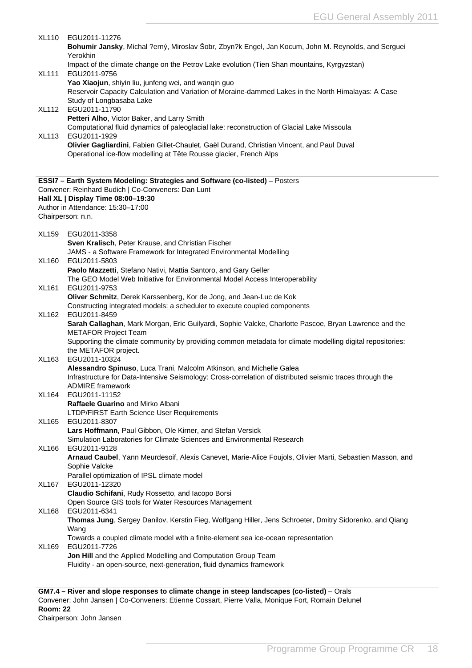<span id="page-18-0"></span>

| <b>XL110</b> | EGU2011-11276<br>Bohumir Jansky, Michal ?erný, Miroslav Šobr, Zbyn?k Engel, Jan Kocum, John M. Reynolds, and Serguei<br>Yerokhin                                                        |
|--------------|-----------------------------------------------------------------------------------------------------------------------------------------------------------------------------------------|
| <b>XL111</b> | Impact of the climate change on the Petrov Lake evolution (Tien Shan mountains, Kyrgyzstan)<br>EGU2011-9756                                                                             |
|              | Yao Xiaojun, shiyin liu, junfeng wei, and wanqin guo<br>Reservoir Capacity Calculation and Variation of Moraine-dammed Lakes in the North Himalayas: A Case<br>Study of Longbasaba Lake |
| <b>XL112</b> | EGU2011-11790<br>Petteri Alho, Victor Baker, and Larry Smith                                                                                                                            |
| <b>XL113</b> | Computational fluid dynamics of paleoglacial lake: reconstruction of Glacial Lake Missoula<br>EGU2011-1929                                                                              |
|              | Olivier Gagliardini, Fabien Gillet-Chaulet, Gaël Durand, Christian Vincent, and Paul Duval<br>Operational ice-flow modelling at Tête Rousse glacier, French Alps                        |
|              | ESSI7 - Earth System Modeling: Strategies and Software (co-listed) - Posters<br>Convener: Reinhard Budich   Co-Conveners: Dan Lunt                                                      |
|              | Hall XL   Display Time 08:00-19:30                                                                                                                                                      |
|              | Author in Attendance: 15:30-17:00<br>Chairperson: n.n.                                                                                                                                  |
| <b>XL159</b> | EGU2011-3358                                                                                                                                                                            |
|              | Sven Kralisch, Peter Krause, and Christian Fischer<br>JAMS - a Software Framework for Integrated Environmental Modelling                                                                |
| <b>XL160</b> | EGU2011-5803                                                                                                                                                                            |
|              | Paolo Mazzetti, Stefano Nativi, Mattia Santoro, and Gary Geller<br>The GEO Model Web Initiative for Environmental Model Access Interoperability                                         |
| <b>XL161</b> | EGU2011-9753                                                                                                                                                                            |
|              | Oliver Schmitz, Derek Karssenberg, Kor de Jong, and Jean-Luc de Kok<br>Constructing integrated models: a scheduler to execute coupled components                                        |
| XL162        | EGU2011-8459<br>Sarah Callaghan, Mark Morgan, Eric Guilyardi, Sophie Valcke, Charlotte Pascoe, Bryan Lawrence and the                                                                   |
|              | <b>METAFOR Project Team</b><br>Supporting the climate community by providing common metadata for climate modelling digital repositories:                                                |
|              | the METAFOR project.                                                                                                                                                                    |
| XL163        | EGU2011-10324<br>Alessandro Spinuso, Luca Trani, Malcolm Atkinson, and Michelle Galea                                                                                                   |
|              | Infrastructure for Data-Intensive Seismology: Cross-correlation of distributed seismic traces through the<br>ADMIRE framework                                                           |
| XL164        | EGU2011-11152                                                                                                                                                                           |
|              | Raffaele Guarino and Mirko Albani<br>LTDP/FIRST Earth Science User Requirements                                                                                                         |
| XL165        | EGU2011-8307                                                                                                                                                                            |
|              | Lars Hoffmann, Paul Gibbon, Ole Kirner, and Stefan Versick<br>Simulation Laboratories for Climate Sciences and Environmental Research                                                   |
| XL166        | EGU2011-9128<br>Arnaud Caubel, Yann Meurdesoif, Alexis Canevet, Marie-Alice Foujols, Olivier Marti, Sebastien Masson, and                                                               |
|              | Sophie Valcke                                                                                                                                                                           |
| <b>XL167</b> | Parallel optimization of IPSL climate model<br>EGU2011-12320                                                                                                                            |
|              | Claudio Schifani, Rudy Rossetto, and lacopo Borsi<br>Open Source GIS tools for Water Resources Management                                                                               |
| XL168        | EGU2011-6341                                                                                                                                                                            |
|              | Thomas Jung, Sergey Danilov, Kerstin Fieg, Wolfgang Hiller, Jens Schroeter, Dmitry Sidorenko, and Qiang<br>Wang                                                                         |
| XL169        | Towards a coupled climate model with a finite-element sea ice-ocean representation<br>EGU2011-7726                                                                                      |
|              | Jon Hill and the Applied Modelling and Computation Group Team                                                                                                                           |
|              | Fluidity - an open-source, next-generation, fluid dynamics framework                                                                                                                    |

**GM7.4 – River and slope responses to climate change in steep landscapes (co-listed)** – Orals Convener: John Jansen | Co-Conveners: Etienne Cossart, Pierre Valla, Monique Fort, Romain Delunel **Room: 22** Chairperson: John Jansen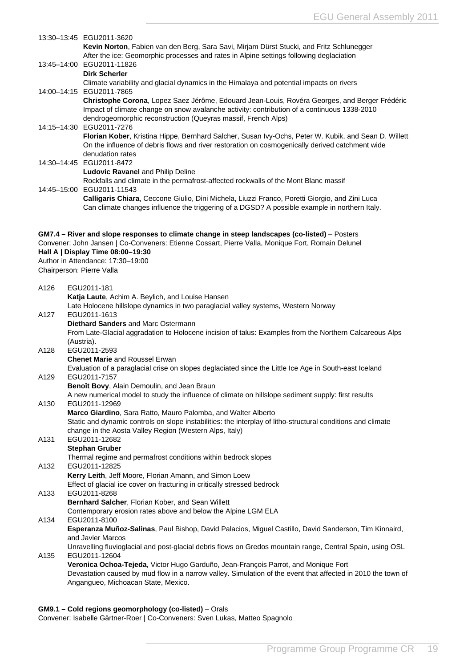<span id="page-19-0"></span>

|      | 13:30-13:45 EGU2011-3620                                                                                                                                                                        |
|------|-------------------------------------------------------------------------------------------------------------------------------------------------------------------------------------------------|
|      | Kevin Norton, Fabien van den Berg, Sara Savi, Mirjam Dürst Stucki, and Fritz Schlunegger                                                                                                        |
|      | After the ice: Geomorphic processes and rates in Alpine settings following deglaciation                                                                                                         |
|      | 13:45-14:00 EGU2011-11826                                                                                                                                                                       |
|      | <b>Dirk Scherler</b>                                                                                                                                                                            |
|      | Climate variability and glacial dynamics in the Himalaya and potential impacts on rivers                                                                                                        |
|      | 14:00-14:15 EGU2011-7865<br>Christophe Corona, Lopez Saez Jérôme, Edouard Jean-Louis, Rovéra Georges, and Berger Frédéric                                                                       |
|      | Impact of climate change on snow avalanche activity: contribution of a continuous 1338-2010                                                                                                     |
|      | dendrogeomorphic reconstruction (Queyras massif, French Alps)                                                                                                                                   |
|      | 14:15-14:30 EGU2011-7276                                                                                                                                                                        |
|      | Florian Kober, Kristina Hippe, Bernhard Salcher, Susan Ivy-Ochs, Peter W. Kubik, and Sean D. Willett                                                                                            |
|      | On the influence of debris flows and river restoration on cosmogenically derived catchment wide                                                                                                 |
|      | denudation rates                                                                                                                                                                                |
|      | 14:30-14:45 EGU2011-8472                                                                                                                                                                        |
|      | <b>Ludovic Ravanel and Philip Deline</b>                                                                                                                                                        |
|      | Rockfalls and climate in the permafrost-affected rockwalls of the Mont Blanc massif                                                                                                             |
|      | 14:45-15:00 EGU2011-11543                                                                                                                                                                       |
|      | Calligaris Chiara, Ceccone Giulio, Dini Michela, Liuzzi Franco, Poretti Giorgio, and Zini Luca<br>Can climate changes influence the triggering of a DGSD? A possible example in northern Italy. |
|      |                                                                                                                                                                                                 |
|      |                                                                                                                                                                                                 |
|      | GM7.4 - River and slope responses to climate change in steep landscapes (co-listed) - Posters                                                                                                   |
|      | Convener: John Jansen   Co-Conveners: Etienne Cossart, Pierre Valla, Monique Fort, Romain Delunel                                                                                               |
|      | Hall A   Display Time 08:00-19:30                                                                                                                                                               |
|      | Author in Attendance: 17:30-19:00                                                                                                                                                               |
|      | Chairperson: Pierre Valla                                                                                                                                                                       |
| A126 | EGU2011-181                                                                                                                                                                                     |
|      | Katja Laute, Achim A. Beylich, and Louise Hansen                                                                                                                                                |
|      | Late Holocene hillslope dynamics in two paraglacial valley systems, Western Norway                                                                                                              |
| A127 | EGU2011-1613                                                                                                                                                                                    |
|      | Diethard Sanders and Marc Ostermann                                                                                                                                                             |
|      | From Late-Glacial aggradation to Holocene incision of talus: Examples from the Northern Calcareous Alps                                                                                         |
|      | (Austria).                                                                                                                                                                                      |
| A128 | EGU2011-2593                                                                                                                                                                                    |
|      | <b>Chenet Marie and Roussel Erwan</b>                                                                                                                                                           |
| A129 | Evaluation of a paraglacial crise on slopes deglaciated since the Little Ice Age in South-east Iceland<br>EGU2011-7157                                                                          |
|      | Benoît Bovy, Alain Demoulin, and Jean Braun                                                                                                                                                     |
|      | A new numerical model to study the influence of climate on hillslope sediment supply: first results                                                                                             |
| A130 | EGU2011-12969                                                                                                                                                                                   |
|      | Marco Giardino, Sara Ratto, Mauro Palomba, and Walter Alberto                                                                                                                                   |
|      | Static and dynamic controls on slope instabilities: the interplay of litho-structural conditions and climate                                                                                    |
|      | change in the Aosta Valley Region (Western Alps, Italy)                                                                                                                                         |
| A131 | EGU2011-12682                                                                                                                                                                                   |
|      | <b>Stephan Gruber</b>                                                                                                                                                                           |
|      | Thermal regime and permafrost conditions within bedrock slopes                                                                                                                                  |
| A132 | EGU2011-12825                                                                                                                                                                                   |
|      | Kerry Leith, Jeff Moore, Florian Amann, and Simon Loew<br>Effect of glacial ice cover on fracturing in critically stressed bedrock                                                              |
| A133 | EGU2011-8268                                                                                                                                                                                    |
|      | Bernhard Salcher, Florian Kober, and Sean Willett                                                                                                                                               |
|      | Contemporary erosion rates above and below the Alpine LGM ELA                                                                                                                                   |
| A134 | EGU2011-8100                                                                                                                                                                                    |
|      | Esperanza Muñoz-Salinas, Paul Bishop, David Palacios, Miguel Castillo, David Sanderson, Tim Kinnaird,                                                                                           |
|      | and Javier Marcos                                                                                                                                                                               |
|      | Unravelling fluvioglacial and post-glacial debris flows on Gredos mountain range, Central Spain, using OSL                                                                                      |
| A135 | EGU2011-12604                                                                                                                                                                                   |
|      | Veronica Ochoa-Tejeda, Victor Hugo Garduño, Jean-François Parrot, and Monique Fort                                                                                                              |
|      | Devastation caused by mud flow in a narrow valley. Simulation of the event that affected in 2010 the town of                                                                                    |
|      | Angangueo, Michoacan State, Mexico.                                                                                                                                                             |

**GM9.1 – Cold regions geomorphology (co-listed)** – Orals Convener: Isabelle Gärtner-Roer | Co-Conveners: Sven Lukas, Matteo Spagnolo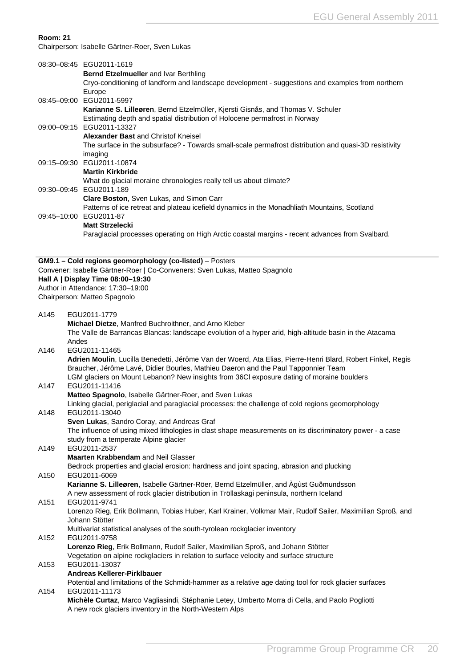#### **Room: 21**

Chairperson: Isabelle Gärtner-Roer, Sven Lukas

|      | 08:30-08:45 EGU2011-1619<br>Bernd Etzelmueller and Ivar Berthling<br>Cryo-conditioning of landform and landscape development - suggestions and examples from northern<br>Europe                                                                                                                |
|------|------------------------------------------------------------------------------------------------------------------------------------------------------------------------------------------------------------------------------------------------------------------------------------------------|
|      | 08:45-09:00 EGU2011-5997<br>Karianne S. Lilleøren, Bernd Etzelmüller, Kjersti Gisnås, and Thomas V. Schuler                                                                                                                                                                                    |
|      | Estimating depth and spatial distribution of Holocene permafrost in Norway<br>09:00-09:15 EGU2011-13327                                                                                                                                                                                        |
|      | Alexander Bast and Christof Kneisel<br>The surface in the subsurface? - Towards small-scale permafrost distribution and quasi-3D resistivity                                                                                                                                                   |
|      | imaging<br>09:15-09:30 EGU2011-10874                                                                                                                                                                                                                                                           |
|      | <b>Martin Kirkbride</b><br>What do glacial moraine chronologies really tell us about climate?                                                                                                                                                                                                  |
|      | 09:30-09:45 EGU2011-189<br>Clare Boston, Sven Lukas, and Simon Carr                                                                                                                                                                                                                            |
|      | Patterns of ice retreat and plateau icefield dynamics in the Monadhliath Mountains, Scotland<br>09:45-10:00 EGU2011-87                                                                                                                                                                         |
|      | <b>Matt Strzelecki</b>                                                                                                                                                                                                                                                                         |
|      | Paraglacial processes operating on High Arctic coastal margins - recent advances from Svalbard.                                                                                                                                                                                                |
|      | GM9.1 - Cold regions geomorphology (co-listed) - Posters<br>Convener: Isabelle Gärtner-Roer   Co-Conveners: Sven Lukas, Matteo Spagnolo                                                                                                                                                        |
|      | Hall A   Display Time 08:00-19:30                                                                                                                                                                                                                                                              |
|      | Author in Attendance: 17:30-19:00                                                                                                                                                                                                                                                              |
|      | Chairperson: Matteo Spagnolo                                                                                                                                                                                                                                                                   |
| A145 | EGU2011-1779                                                                                                                                                                                                                                                                                   |
|      | Michael Dietze, Manfred Buchroithner, and Arno Kleber                                                                                                                                                                                                                                          |
|      | The Valle de Barrancas Blancas: landscape evolution of a hyper arid, high-altitude basin in the Atacama<br>Andes                                                                                                                                                                               |
| A146 | EGU2011-11465                                                                                                                                                                                                                                                                                  |
|      | Adrien Moulin, Lucilla Benedetti, Jérôme Van der Woerd, Ata Elias, Pierre-Henri Blard, Robert Finkel, Regis<br>Braucher, Jérôme Lavé, Didier Bourles, Mathieu Daeron and the Paul Tapponnier Team<br>LGM glaciers on Mount Lebanon? New insights from 36Cl exposure dating of moraine boulders |
| A147 | EGU2011-11416                                                                                                                                                                                                                                                                                  |
|      | Matteo Spagnolo, Isabelle Gärtner-Roer, and Sven Lukas                                                                                                                                                                                                                                         |
| A148 | Linking glacial, periglacial and paraglacial processes: the challenge of cold regions geomorphology<br>EGU2011-13040                                                                                                                                                                           |
|      | Sven Lukas, Sandro Coray, and Andreas Graf                                                                                                                                                                                                                                                     |
|      | The influence of using mixed lithologies in clast shape measurements on its discriminatory power - a case                                                                                                                                                                                      |
| A149 | study from a temperate Alpine glacier<br>EGU2011-2537                                                                                                                                                                                                                                          |
|      | Maarten Krabbendam and Neil Glasser                                                                                                                                                                                                                                                            |
|      | Bedrock properties and glacial erosion: hardness and joint spacing, abrasion and plucking                                                                                                                                                                                                      |
| A150 | EGU2011-6069                                                                                                                                                                                                                                                                                   |
|      | Karianne S. Lilleøren, Isabelle Gärtner-Röer, Bernd Etzelmüller, and Agùst Guðmundsson<br>A new assessment of rock glacier distribution in Tröllaskagi peninsula, northern Iceland                                                                                                             |
| A151 | EGU2011-9741<br>Lorenzo Rieg, Erik Bollmann, Tobias Huber, Karl Krainer, Volkmar Mair, Rudolf Sailer, Maximilian Sproß, and                                                                                                                                                                    |
|      | Johann Stötter                                                                                                                                                                                                                                                                                 |
| A152 | Multivariat statistical analyses of the south-tyrolean rockglacier inventory<br>EGU2011-9758                                                                                                                                                                                                   |
|      | Lorenzo Rieg, Erik Bollmann, Rudolf Sailer, Maximilian Sproß, and Johann Stötter<br>Vegetation on alpine rockglaciers in relation to surface velocity and surface structure                                                                                                                    |
| A153 | EGU2011-13037                                                                                                                                                                                                                                                                                  |
|      | Andreas Kellerer-Pirklbauer<br>Potential and limitations of the Schmidt-hammer as a relative age dating tool for rock glacier surfaces                                                                                                                                                         |
| A154 | EGU2011-11173                                                                                                                                                                                                                                                                                  |
|      | Michèle Curtaz, Marco Vagliasindi, Stéphanie Letey, Umberto Morra di Cella, and Paolo Pogliotti<br>A new rock glaciers inventory in the North-Western Alps                                                                                                                                     |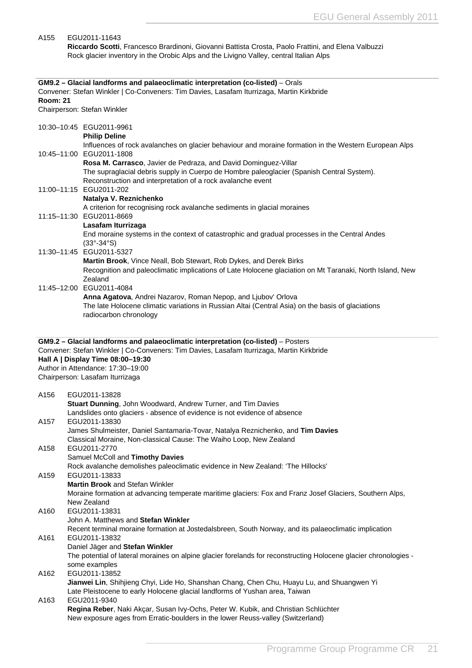#### <span id="page-21-0"></span>A155 EGU2011-11643 **Riccardo Scotti**, Francesco Brardinoni, Giovanni Battista Crosta, Paolo Frattini, and Elena Valbuzzi Rock glacier inventory in the Orobic Alps and the Livigno Valley, central Italian Alps **GM9.2 – Glacial landforms and palaeoclimatic interpretation (co-listed)** – Orals Convener: Stefan Winkler | Co-Conveners: Tim Davies, Lasafam Iturrizaga, Martin Kirkbride **Room: 21** Chairperson: Stefan Winkler 10:30–10:45 EGU2011-9961 **Philip Deline** Influences of rock avalanches on glacier behaviour and moraine formation in the Western European Alps 10:45–11:00 EGU2011-1808 **Rosa M. Carrasco**, Javier de Pedraza, and David Dominguez-Villar The supraglacial debris supply in Cuerpo de Hombre paleoglacier (Spanish Central System). Reconstruction and interpretation of a rock avalanche event 11:00–11:15 EGU2011-202 **Natalya V. Reznichenko** A criterion for recognising rock avalanche sediments in glacial moraines 11:15–11:30 EGU2011-8669 **Lasafam Iturrizaga** End moraine systems in the context of catastrophic and gradual processes in the Central Andes (33°-34°S) 11:30–11:45 EGU2011-5327 **Martin Brook**, Vince Neall, Bob Stewart, Rob Dykes, and Derek Birks Recognition and paleoclimatic implications of Late Holocene glaciation on Mt Taranaki, North Island, New Zealand 11:45–12:00 EGU2011-4084 **Anna Agatova**, Andrei Nazarov, Roman Nepop, and Ljubov' Orlova The late Holocene climatic variations in Russian Altai (Central Asia) on the basis of glaciations radiocarbon chronology **GM9.2 – Glacial landforms and palaeoclimatic interpretation (co-listed)** – Posters Convener: Stefan Winkler | Co-Conveners: Tim Davies, Lasafam Iturrizaga, Martin Kirkbride **Hall A | Display Time 08:00–19:30** Author in Attendance: 17:30–19:00 Chairperson: Lasafam Iturrizaga A156 EGU2011-13828 **Stuart Dunning**, John Woodward, Andrew Turner, and Tim Davies Landslides onto glaciers - absence of evidence is not evidence of absence A157 EGU2011-13830 James Shulmeister, Daniel Santamaria-Tovar, Natalya Reznichenko, and **Tim Davies** Classical Moraine, Non-classical Cause: The Waiho Loop, New Zealand A158 EGU2011-2770 Samuel McColl and **Timothy Davies** Rock avalanche demolishes paleoclimatic evidence in New Zealand: 'The Hillocks' A159 EGU2011-13833 **Martin Brook** and Stefan Winkler Moraine formation at advancing temperate maritime glaciers: Fox and Franz Josef Glaciers, Southern Alps, New Zealand A160 EGU2011-13831 John A. Matthews and **Stefan Winkler** Recent terminal moraine formation at Jostedalsbreen, South Norway, and its palaeoclimatic implication A161 EGU2011-13832 Daniel Jäger and **Stefan Winkler** The potential of lateral moraines on alpine glacier forelands for reconstructing Holocene glacier chronologies some examples A162 EGU2011-13852 **Jianwei Lin**, Shihjieng Chyi, Lide Ho, Shanshan Chang, Chen Chu, Huayu Lu, and Shuangwen Yi Late Pleistocene to early Holocene glacial landforms of Yushan area, Taiwan A163 EGU2011-9340 **Regina Reber**, Naki Akçar, Susan Ivy-Ochs, Peter W. Kubik, and Christian Schlüchter New exposure ages from Erratic-boulders in the lower Reuss-valley (Switzerland)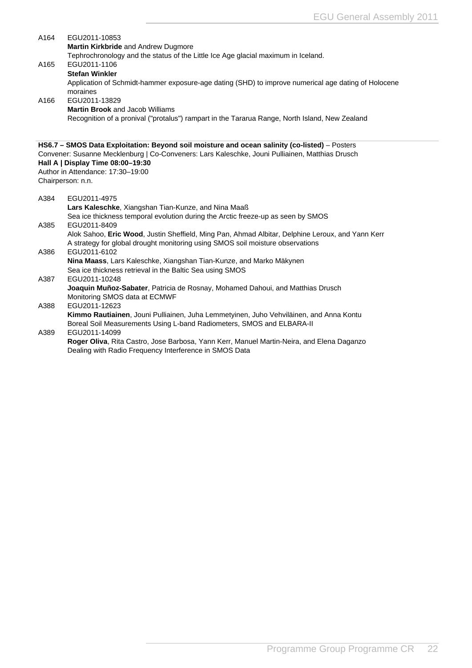<span id="page-22-0"></span>

| <b>Martin Kirkbride and Andrew Dugmore</b><br>Tephrochronology and the status of the Little Ice Age glacial maximum in Iceland. |
|---------------------------------------------------------------------------------------------------------------------------------|
|                                                                                                                                 |
|                                                                                                                                 |
| A165<br>EGU2011-1106                                                                                                            |
| <b>Stefan Winkler</b>                                                                                                           |
| Application of Schmidt-hammer exposure-age dating (SHD) to improve numerical age dating of Holocene                             |
| moraines                                                                                                                        |
| EGU2011-13829<br>A166                                                                                                           |
| <b>Martin Brook and Jacob Williams</b>                                                                                          |
| Recognition of a pronival ("protalus") rampart in the Tararua Range, North Island, New Zealand                                  |
|                                                                                                                                 |
| HS6.7 - SMOS Data Exploitation: Beyond soil moisture and ocean salinity (co-listed) - Posters                                   |
| Convener: Susanne Mecklenburg   Co-Conveners: Lars Kaleschke, Jouni Pulliainen, Matthias Drusch                                 |
| Hall A   Display Time 08:00-19:30                                                                                               |
| Author in Attendance: 17:30-19:00                                                                                               |
| Chairperson: n.n.                                                                                                               |
| A384<br>EGU2011-4975                                                                                                            |
| Lars Kaleschke, Xiangshan Tian-Kunze, and Nina Maaß                                                                             |
| Sea ice thickness temporal evolution during the Arctic freeze-up as seen by SMOS                                                |
| A385<br>EGU2011-8409                                                                                                            |
| Alok Sahoo, Eric Wood, Justin Sheffield, Ming Pan, Ahmad Albitar, Delphine Leroux, and Yann Kerr                                |
| A strategy for global drought monitoring using SMOS soil moisture observations                                                  |
| EGU2011-6102<br>A386                                                                                                            |
| Nina Maass, Lars Kaleschke, Xiangshan Tian-Kunze, and Marko Mäkynen                                                             |
| Sea ice thickness retrieval in the Baltic Sea using SMOS                                                                        |
| A387<br>EGU2011-10248                                                                                                           |
| Joaquin Muñoz-Sabater, Patricia de Rosnay, Mohamed Dahoui, and Matthias Drusch                                                  |
| Monitoring SMOS data at ECMWF                                                                                                   |
| EGU2011-12623<br>A388                                                                                                           |
| Kimmo Rautiainen, Jouni Pulliainen, Juha Lemmetyinen, Juho Vehviläinen, and Anna Kontu                                          |
| Boreal Soil Measurements Using L-band Radiometers, SMOS and ELBARA-II                                                           |
| EGU2011-14099<br>A389                                                                                                           |
| Roger Oliva, Rita Castro, Jose Barbosa, Yann Kerr, Manuel Martin-Neira, and Elena Daganzo                                       |

Dealing with Radio Frequency Interference in SMOS Data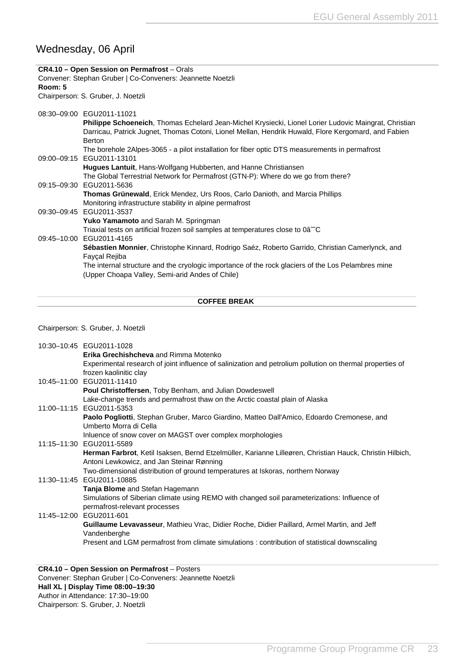## <span id="page-23-0"></span>Wednesday, 06 April

|         | CR4.10 - Open Session on Permafrost - Orals                                                                                                                                                                                   |
|---------|-------------------------------------------------------------------------------------------------------------------------------------------------------------------------------------------------------------------------------|
|         | Convener: Stephan Gruber   Co-Conveners: Jeannette Noetzli                                                                                                                                                                    |
| Room: 5 |                                                                                                                                                                                                                               |
|         | Chairperson: S. Gruber, J. Noetzli                                                                                                                                                                                            |
|         | 08:30-09:00 EGU2011-11021                                                                                                                                                                                                     |
|         | Philippe Schoeneich, Thomas Echelard Jean-Michel Krysiecki, Lionel Lorier Ludovic Maingrat, Christian<br>Darricau, Patrick Jugnet, Thomas Cotoni, Lionel Mellan, Hendrik Huwald, Flore Kergomard, and Fabien<br><b>Berton</b> |
|         | The borehole 2Alpes-3065 - a pilot installation for fiber optic DTS measurements in permafrost                                                                                                                                |
|         | 09:00-09:15 EGU2011-13101                                                                                                                                                                                                     |
|         | <b>Hugues Lantuit, Hans-Wolfgang Hubberten, and Hanne Christiansen</b>                                                                                                                                                        |
|         | The Global Terrestrial Network for Permafrost (GTN-P): Where do we go from there?                                                                                                                                             |
|         | 09:15-09:30 EGU2011-5636                                                                                                                                                                                                      |
|         | <b>Thomas Grünewald, Erick Mendez, Urs Roos, Carlo Danioth, and Marcia Phillips</b>                                                                                                                                           |
|         | Monitoring infrastructure stability in alpine permafrost                                                                                                                                                                      |
|         | 09:30-09:45 EGU2011-3537                                                                                                                                                                                                      |
|         | <b>Yuko Yamamoto</b> and Sarah M. Springman                                                                                                                                                                                   |
|         | Triaxial tests on artificial frozen soil samples at temperatures close to 0â <sup>ne</sup> C                                                                                                                                  |
|         | 09:45-10:00 EGU2011-4165                                                                                                                                                                                                      |
|         | Sébastien Monnier, Christophe Kinnard, Rodrigo Saéz, Roberto Garrido, Christian Camerlynck, and<br>Fayçal Rejiba                                                                                                              |
|         | The internal structure and the cryologic importance of the rock glaciers of the Los Pelambres mine<br>(Upper Choapa Valley, Semi-arid Andes of Chile)                                                                         |
|         |                                                                                                                                                                                                                               |

#### **COFFEE BREAK**

#### Chairperson: S. Gruber, J. Noetzli

| 10:30-10:45 EGU2011-1028                                                                                  |
|-----------------------------------------------------------------------------------------------------------|
| <b>Erika Grechishcheva</b> and Rimma Motenko                                                              |
| Experimental research of joint influence of salinization and petrolium pollution on thermal properties of |
| frozen kaolinitic clay                                                                                    |
| 10:45-11:00 EGU2011-11410                                                                                 |
| Poul Christoffersen, Toby Benham, and Julian Dowdeswell                                                   |
| Lake-change trends and permafrost thaw on the Arctic coastal plain of Alaska                              |
| 11:00-11:15 EGU2011-5353                                                                                  |
| Paolo Pogliotti, Stephan Gruber, Marco Giardino, Matteo Dall'Amico, Edoardo Cremonese, and                |
| Umberto Morra di Cella                                                                                    |
| Inluence of snow cover on MAGST over complex morphologies                                                 |
| 11:15-11:30 EGU2011-5589                                                                                  |
| Herman Farbrot, Ketil Isaksen, Bernd Etzelmüller, Karianne Lilleøren, Christian Hauck, Christin Hilbich,  |
| Antoni Lewkowicz, and Jan Steinar Rønning                                                                 |
| Two-dimensional distribution of ground temperatures at Iskoras, northern Norway                           |
| 11:30-11:45 EGU2011-10885                                                                                 |
| <b>Tanja Blome</b> and Stefan Hagemann                                                                    |
| Simulations of Siberian climate using REMO with changed soil parameterizations: Influence of              |
| permafrost-relevant processes                                                                             |
| 11:45-12:00 EGU2011-601                                                                                   |
| <b>Guillaume Levavasseur, Mathieu Vrac, Didier Roche, Didier Paillard, Armel Martin, and Jeff</b>         |
| Vandenberghe                                                                                              |
| Present and LGM permafrost from climate simulations : contribution of statistical downscaling             |

#### **CR4.10 – Open Session on Permafrost** – Posters Convener: Stephan Gruber | Co-Conveners: Jeannette Noetzli **Hall XL | Display Time 08:00–19:30** Author in Attendance: 17:30–19:00 Chairperson: S. Gruber, J. Noetzli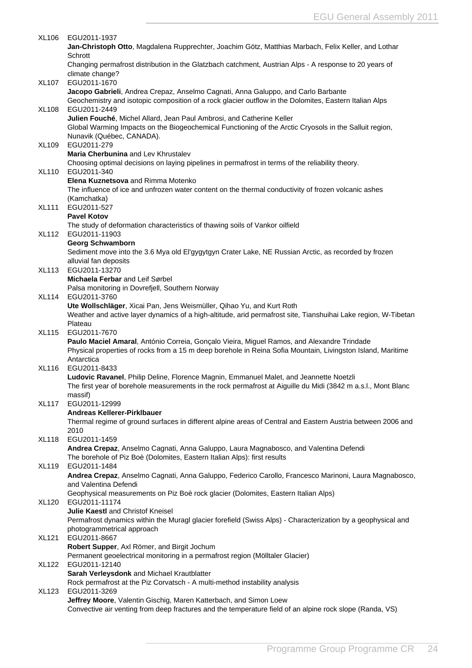| XL106        | EGU2011-1937                                                                                                   |
|--------------|----------------------------------------------------------------------------------------------------------------|
|              | Jan-Christoph Otto, Magdalena Rupprechter, Joachim Götz, Matthias Marbach, Felix Keller, and Lothar            |
|              | Schrott                                                                                                        |
|              | Changing permafrost distribution in the Glatzbach catchment, Austrian Alps - A response to 20 years of         |
|              | climate change?                                                                                                |
| <b>XL107</b> | EGU2011-1670                                                                                                   |
|              | Jacopo Gabrieli, Andrea Crepaz, Anselmo Cagnati, Anna Galuppo, and Carlo Barbante                              |
|              | Geochemistry and isotopic composition of a rock glacier outflow in the Dolomites, Eastern Italian Alps         |
| <b>XL108</b> | EGU2011-2449                                                                                                   |
|              | Julien Fouché, Michel Allard, Jean Paul Ambrosi, and Catherine Keller                                          |
|              | Global Warming Impacts on the Biogeochemical Functioning of the Arctic Cryosols in the Salluit region,         |
|              | Nunavik (Québec, CANADA).                                                                                      |
| XL109        | EGU2011-279                                                                                                    |
|              | Maria Cherbunina and Lev Khrustalev                                                                            |
|              | Choosing optimal decisions on laying pipelines in permafrost in terms of the reliability theory.               |
| XL110        | EGU2011-340                                                                                                    |
|              | Elena Kuznetsova and Rimma Motenko                                                                             |
|              | The influence of ice and unfrozen water content on the thermal conductivity of frozen volcanic ashes           |
|              | (Kamchatka)                                                                                                    |
| <b>XL111</b> | EGU2011-527                                                                                                    |
|              | <b>Pavel Kotov</b>                                                                                             |
|              | The study of deformation characteristics of thawing soils of Vankor oilfield                                   |
| <b>XL112</b> | EGU2011-11903                                                                                                  |
|              | <b>Georg Schwamborn</b>                                                                                        |
|              | Sediment move into the 3.6 Mya old El'gygytgyn Crater Lake, NE Russian Arctic, as recorded by frozen           |
|              | alluvial fan deposits                                                                                          |
| XL113        | EGU2011-13270                                                                                                  |
|              | Michaela Ferbar and Leif Sørbel                                                                                |
|              | Palsa monitoring in Dovrefjell, Southern Norway                                                                |
| <b>XL114</b> | EGU2011-3760                                                                                                   |
|              | Ute Wollschläger, Xicai Pan, Jens Weismüller, Qihao Yu, and Kurt Roth                                          |
|              | Weather and active layer dynamics of a high-altitude, arid permafrost site, Tianshuihai Lake region, W-Tibetan |
|              | Plateau                                                                                                        |
| XL115        | EGU2011-7670                                                                                                   |
|              | Paulo Maciel Amaral, António Correia, Gonçalo Vieira, Miguel Ramos, and Alexandre Trindade                     |
|              | Physical properties of rocks from a 15 m deep borehole in Reina Sofia Mountain, Livingston Island, Maritime    |
|              | Antarctica                                                                                                     |
| XL116        | EGU2011-8433                                                                                                   |
|              | Ludovic Ravanel, Philip Deline, Florence Magnin, Emmanuel Malet, and Jeannette Noetzli                         |
|              | The first year of borehole measurements in the rock permafrost at Aiguille du Midi (3842 m a.s.l., Mont Blanc  |
|              | massif)                                                                                                        |
| <b>XL117</b> | EGU2011-12999                                                                                                  |
|              | Andreas Kellerer-Pirklbauer                                                                                    |
|              | Thermal regime of ground surfaces in different alpine areas of Central and Eastern Austria between 2006 and    |
|              | 2010                                                                                                           |
| <b>XL118</b> | EGU2011-1459                                                                                                   |
|              | Andrea Crepaz, Anselmo Cagnati, Anna Galuppo, Laura Magnabosco, and Valentina Defendi                          |
|              | The borehole of Piz Boè (Dolomites, Eastern Italian Alps): first results                                       |
| <b>XL119</b> | EGU2011-1484                                                                                                   |
|              | Andrea Crepaz, Anselmo Cagnati, Anna Galuppo, Federico Carollo, Francesco Marinoni, Laura Magnabosco,          |
|              | and Valentina Defendi                                                                                          |
|              | Geophysical measurements on Piz Boè rock glacier (Dolomites, Eastern Italian Alps)                             |
| <b>XL120</b> | EGU2011-11174                                                                                                  |
|              | Julie Kaestl and Christof Kneisel                                                                              |
|              | Permafrost dynamics within the Muragl glacier forefield (Swiss Alps) - Characterization by a geophysical and   |
|              | photogrammetrical approach                                                                                     |
| <b>XL121</b> | EGU2011-8667                                                                                                   |
|              | Robert Supper, Axl Römer, and Birgit Jochum                                                                    |
|              | Permanent geoelectrical monitoring in a permafrost region (Mölltaler Glacier)                                  |
| <b>XL122</b> | EGU2011-12140                                                                                                  |
|              | Sarah Verleysdonk and Michael Krautblatter                                                                     |
|              | Rock permafrost at the Piz Corvatsch - A multi-method instability analysis                                     |
| XL123        | EGU2011-3269                                                                                                   |
|              | Jeffrey Moore, Valentin Gischig, Maren Katterbach, and Simon Loew                                              |
|              | Convective air venting from deep fractures and the temperature field of an alpine rock slope (Randa, VS)       |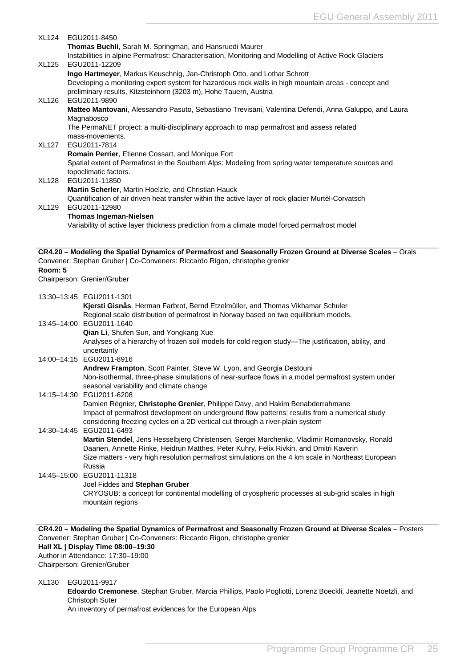<span id="page-25-0"></span>

|              | XL124 EGU2011-8450                                                                                                                                                                                                                                   |  |
|--------------|------------------------------------------------------------------------------------------------------------------------------------------------------------------------------------------------------------------------------------------------------|--|
|              | Thomas Buchli, Sarah M. Springman, and Hansruedi Maurer<br>Instabilities in alpine Permafrost: Characterisation, Monitoring and Modelling of Active Rock Glaciers                                                                                    |  |
| <b>XL125</b> | EGU2011-12209                                                                                                                                                                                                                                        |  |
|              | Ingo Hartmeyer, Markus Keuschnig, Jan-Christoph Otto, and Lothar Schrott<br>Developing a monitoring expert system for hazardous rock walls in high mountain areas - concept and<br>preliminary results, Kitzsteinhorn (3203 m), Hohe Tauern, Austria |  |
| <b>XL126</b> | EGU2011-9890<br>Matteo Mantovani, Alessandro Pasuto, Sebastiano Trevisani, Valentina Defendi, Anna Galuppo, and Laura<br>Magnabosco                                                                                                                  |  |
|              | The PermaNET project: a multi-disciplinary approach to map permafrost and assess related                                                                                                                                                             |  |
|              | mass-movements.                                                                                                                                                                                                                                      |  |
| <b>XL127</b> | EGU2011-7814<br>Romain Perrier, Etienne Cossart, and Monique Fort                                                                                                                                                                                    |  |
|              | Spatial extent of Permafrost in the Southern Alps: Modeling from spring water temperature sources and                                                                                                                                                |  |
| <b>XL128</b> | topoclimatic factors.<br>EGU2011-11850                                                                                                                                                                                                               |  |
|              | Martin Scherler, Martin Hoelzle, and Christian Hauck                                                                                                                                                                                                 |  |
|              | Quantification of air driven heat transfer within the active layer of rock glacier Murtèl-Corvatsch                                                                                                                                                  |  |
| <b>XL129</b> | EGU2011-12980<br><b>Thomas Ingeman-Nielsen</b>                                                                                                                                                                                                       |  |
|              | Variability of active layer thickness prediction from a climate model forced permafrost model                                                                                                                                                        |  |
|              |                                                                                                                                                                                                                                                      |  |
|              | CR4.20 - Modeling the Spatial Dynamics of Permafrost and Seasonally Frozen Ground at Diverse Scales - Orals                                                                                                                                          |  |
| Room: 5      | Convener: Stephan Gruber   Co-Conveners: Riccardo Rigon, christophe grenier                                                                                                                                                                          |  |
|              | Chairperson: Grenier/Gruber                                                                                                                                                                                                                          |  |
|              |                                                                                                                                                                                                                                                      |  |
|              | 13:30-13:45 EGU2011-1301<br>Kjersti Gisnås, Herman Farbrot, Bernd Etzelmüller, and Thomas Vikhamar Schuler                                                                                                                                           |  |
|              | Regional scale distribution of permafrost in Norway based on two equilibrium models.                                                                                                                                                                 |  |
|              | 13:45-14:00 EGU2011-1640                                                                                                                                                                                                                             |  |
|              | Qian Li, Shufen Sun, and Yongkang Xue<br>Analyses of a hierarchy of frozen soil models for cold region study-The justification, ability, and                                                                                                         |  |
|              | uncertainty                                                                                                                                                                                                                                          |  |
|              | 14:00-14:15 EGU2011-8916                                                                                                                                                                                                                             |  |
|              | Andrew Frampton, Scott Painter, Steve W. Lyon, and Georgia Destouni                                                                                                                                                                                  |  |
|              | Non-isothermal, three-phase simulations of near-surface flows in a model permafrost system under<br>seasonal variability and climate change                                                                                                          |  |
|              | 14:15-14:30 EGU2011-6208                                                                                                                                                                                                                             |  |
|              | Damien Régnier, Christophe Grenier, Philippe Davy, and Hakim Benabderrahmane                                                                                                                                                                         |  |
|              | Impact of permafrost development on underground flow patterns: results from a numerical study<br>considering freezing cycles on a 2D vertical cut through a river-plain system                                                                       |  |
|              | 14:30-14:45 EGU2011-6493                                                                                                                                                                                                                             |  |
|              | Martin Stendel, Jens Hesselbjerg Christensen, Sergei Marchenko, Vladimir Romanovsky, Ronald                                                                                                                                                          |  |
|              | Daanen, Annette Rinke, Heidrun Matthes, Peter Kuhry, Felix Rivkin, and Dmitri Kaverin<br>Size matters - very high resolution permafrost simulations on the 4 km scale in Northeast European                                                          |  |
|              | Russia                                                                                                                                                                                                                                               |  |
|              | 14:45-15:00 EGU2011-11318                                                                                                                                                                                                                            |  |
|              | Joel Fiddes and Stephan Gruber<br>CRYOSUB: a concept for continental modelling of cryospheric processes at sub-grid scales in high                                                                                                                   |  |
|              | mountain regions                                                                                                                                                                                                                                     |  |
|              |                                                                                                                                                                                                                                                      |  |
|              | CR4.20 - Modeling the Spatial Dynamics of Permafrost and Seasonally Frozen Ground at Diverse Scales - Posters                                                                                                                                        |  |
|              | Convener: Stephan Gruber   Co-Conveners: Riccardo Rigon, christophe grenier                                                                                                                                                                          |  |
|              | Hall XL   Display Time 08:00-19:30                                                                                                                                                                                                                   |  |
|              | Author in Attendance: 17:30-19:00                                                                                                                                                                                                                    |  |
|              | Chairperson: Grenier/Gruber                                                                                                                                                                                                                          |  |
| XL130        | EGU2011-9917                                                                                                                                                                                                                                         |  |

**Edoardo Cremonese**, Stephan Gruber, Marcia Phillips, Paolo Pogliotti, Lorenz Boeckli, Jeanette Noetzli, and Christoph Suter An inventory of permafrost evidences for the European Alps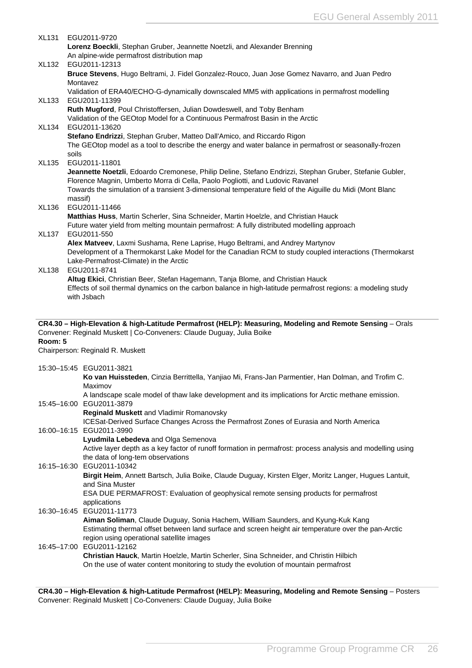<span id="page-26-0"></span>

| <b>XL131</b> | EGU2011-9720                                                                                                                                                                             |
|--------------|------------------------------------------------------------------------------------------------------------------------------------------------------------------------------------------|
|              | Lorenz Boeckli, Stephan Gruber, Jeannette Noetzli, and Alexander Brenning                                                                                                                |
|              | An alpine-wide permafrost distribution map                                                                                                                                               |
| XL132        | EGU2011-12313                                                                                                                                                                            |
|              | Bruce Stevens, Hugo Beltrami, J. Fidel Gonzalez-Rouco, Juan Jose Gomez Navarro, and Juan Pedro                                                                                           |
|              | Montavez                                                                                                                                                                                 |
|              | Validation of ERA40/ECHO-G-dynamically downscaled MM5 with applications in permafrost modelling                                                                                          |
| <b>XL133</b> | EGU2011-11399                                                                                                                                                                            |
|              | Ruth Mugford, Poul Christoffersen, Julian Dowdeswell, and Toby Benham                                                                                                                    |
|              | Validation of the GEOtop Model for a Continuous Permafrost Basin in the Arctic                                                                                                           |
| <b>XL134</b> | EGU2011-13620                                                                                                                                                                            |
|              | Stefano Endrizzi, Stephan Gruber, Matteo Dall'Amico, and Riccardo Rigon                                                                                                                  |
|              | The GEOtop model as a tool to describe the energy and water balance in permafrost or seasonally-frozen                                                                                   |
|              | soils                                                                                                                                                                                    |
| <b>XL135</b> | EGU2011-11801                                                                                                                                                                            |
|              | Jeannette Noetzli, Edoardo Cremonese, Philip Deline, Stefano Endrizzi, Stephan Gruber, Stefanie Gubler,<br>Florence Magnin, Umberto Morra di Cella, Paolo Pogliotti, and Ludovic Ravanel |
|              | Towards the simulation of a transient 3-dimensional temperature field of the Aiguille du Midi (Mont Blanc                                                                                |
|              | massif)                                                                                                                                                                                  |
| XL136        | EGU2011-11466                                                                                                                                                                            |
|              | Matthias Huss, Martin Scherler, Sina Schneider, Martin Hoelzle, and Christian Hauck                                                                                                      |
|              | Future water yield from melting mountain permafrost: A fully distributed modelling approach                                                                                              |
| <b>XL137</b> | EGU2011-550                                                                                                                                                                              |
|              | Alex Matveev, Laxmi Sushama, Rene Laprise, Hugo Beltrami, and Andrey Martynov                                                                                                            |
|              | Development of a Thermokarst Lake Model for the Canadian RCM to study coupled interactions (Thermokarst                                                                                  |
|              | Lake-Permafrost-Climate) in the Arctic                                                                                                                                                   |
| <b>XL138</b> | EGU2011-8741                                                                                                                                                                             |
|              | Altug Ekici, Christian Beer, Stefan Hagemann, Tanja Blome, and Christian Hauck                                                                                                           |
|              | Effects of soil thermal dynamics on the carbon balance in high-latitude permafrost regions: a modeling study                                                                             |
|              |                                                                                                                                                                                          |
|              | with Jsbach                                                                                                                                                                              |
|              |                                                                                                                                                                                          |
|              |                                                                                                                                                                                          |
|              | CR4.30 - High-Elevation & high-Latitude Permafrost (HELP): Measuring, Modeling and Remote Sensing - Orals                                                                                |
|              | Convener: Reginald Muskett   Co-Conveners: Claude Duguay, Julia Boike                                                                                                                    |
|              |                                                                                                                                                                                          |
|              | Chairperson: Reginald R. Muskett                                                                                                                                                         |
|              |                                                                                                                                                                                          |
|              | 15:30-15:45 EGU2011-3821                                                                                                                                                                 |
|              | Ko van Huissteden, Cinzia Berrittella, Yanjiao Mi, Frans-Jan Parmentier, Han Dolman, and Trofim C.                                                                                       |
|              | Maximov                                                                                                                                                                                  |
|              | A landscape scale model of thaw lake development and its implications for Arctic methane emission.                                                                                       |
|              | 15:45-16:00 EGU2011-3879                                                                                                                                                                 |
|              | Reginald Muskett and Vladimir Romanovsky                                                                                                                                                 |
|              | ICESat-Derived Surface Changes Across the Permafrost Zones of Eurasia and North America                                                                                                  |
|              | 16:00-16:15 EGU2011-3990                                                                                                                                                                 |
| Room: 5      | Lyudmila Lebedeva and Olga Semenova                                                                                                                                                      |
|              | Active layer depth as a key factor of runoff formation in permafrost: process analysis and modelling using                                                                               |
|              | the data of long-tem observations<br>16:15-16:30 EGU2011-10342                                                                                                                           |
|              |                                                                                                                                                                                          |
|              | Birgit Heim, Annett Bartsch, Julia Boike, Claude Duguay, Kirsten Elger, Moritz Langer, Hugues Lantuit,<br>and Sina Muster                                                                |
|              | ESA DUE PERMAFROST: Evaluation of geophysical remote sensing products for permafrost                                                                                                     |
|              | applications                                                                                                                                                                             |
|              | 16:30-16:45 EGU2011-11773                                                                                                                                                                |
|              | Aiman Soliman, Claude Duguay, Sonia Hachem, William Saunders, and Kyung-Kuk Kang                                                                                                         |
|              | Estimating thermal offset between land surface and screen height air temperature over the pan-Arctic                                                                                     |
|              | region using operational satellite images                                                                                                                                                |
|              | 16:45-17:00 EGU2011-12162                                                                                                                                                                |
|              | Christian Hauck, Martin Hoelzle, Martin Scherler, Sina Schneider, and Christin Hilbich                                                                                                   |
|              | On the use of water content monitoring to study the evolution of mountain permafrost                                                                                                     |
|              |                                                                                                                                                                                          |

**CR4.30 – High-Elevation & high-Latitude Permafrost (HELP): Measuring, Modeling and Remote Sensing** – Posters Convener: Reginald Muskett | Co-Conveners: Claude Duguay, Julia Boike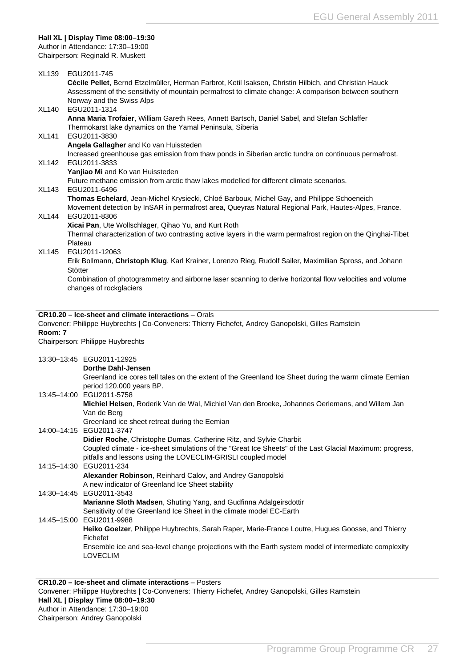#### <span id="page-27-0"></span>**Hall XL | Display Time 08:00–19:30**

Author in Attendance: 17:30–19:00 Chairperson: Reginald R. Muskett

| XL139        | EGU2011-745                                                                                                                                                |
|--------------|------------------------------------------------------------------------------------------------------------------------------------------------------------|
|              | Cécile Pellet, Bernd Etzelmüller, Herman Farbrot, Ketil Isaksen, Christin Hilbich, and Christian Hauck                                                     |
|              | Assessment of the sensitivity of mountain permafrost to climate change: A comparison between southern<br>Norway and the Swiss Alps                         |
| <b>XL140</b> | EGU2011-1314                                                                                                                                               |
|              | Anna Maria Trofaier, William Gareth Rees, Annett Bartsch, Daniel Sabel, and Stefan Schlaffer                                                               |
|              | Thermokarst lake dynamics on the Yamal Peninsula, Siberia                                                                                                  |
| <b>XL141</b> | EGU2011-3830                                                                                                                                               |
|              | Angela Gallagher and Ko van Huissteden                                                                                                                     |
| XL142        | Increased greenhouse gas emission from thaw ponds in Siberian arctic tundra on continuous permafrost.<br>EGU2011-3833                                      |
|              | Yanjiao Mi and Ko van Huissteden                                                                                                                           |
|              | Future methane emission from arctic thaw lakes modelled for different climate scenarios.                                                                   |
| XL143        | EGU2011-6496                                                                                                                                               |
|              | Thomas Echelard, Jean-Michel Krysiecki, Chloé Barboux, Michel Gay, and Philippe Schoeneich                                                                 |
|              | Movement detection by InSAR in permafrost area, Queyras Natural Regional Park, Hautes-Alpes, France.                                                       |
| XL144        | EGU2011-8306<br>Xicai Pan, Ute Wollschläger, Qihao Yu, and Kurt Roth                                                                                       |
|              | Thermal characterization of two contrasting active layers in the warm permafrost region on the Qinghai-Tibet                                               |
|              | Plateau                                                                                                                                                    |
| XL145        | EGU2011-12063                                                                                                                                              |
|              | Erik Bollmann, Christoph Klug, Karl Krainer, Lorenzo Rieg, Rudolf Sailer, Maximilian Spross, and Johann                                                    |
|              | Stötter                                                                                                                                                    |
|              | Combination of photogrammetry and airborne laser scanning to derive horizontal flow velocities and volume<br>changes of rockglaciers                       |
|              |                                                                                                                                                            |
|              |                                                                                                                                                            |
|              | CR10.20 - Ice-sheet and climate interactions - Orals<br>Convener: Philippe Huybrechts   Co-Conveners: Thierry Fichefet, Andrey Ganopolski, Gilles Ramstein |
| Room: 7      |                                                                                                                                                            |
|              | Chairperson: Philippe Huybrechts                                                                                                                           |
|              | 13:30-13:45 EGU2011-12925                                                                                                                                  |
|              | <b>Dorthe Dahl-Jensen</b>                                                                                                                                  |
|              | Greenland ice cores tell tales on the extent of the Greenland Ice Sheet during the warm climate Eemian                                                     |
|              | period 120.000 years BP.                                                                                                                                   |
|              | 13:45-14:00 EGU2011-5758                                                                                                                                   |
|              | Michiel Helsen, Roderik Van de Wal, Michiel Van den Broeke, Johannes Oerlemans, and Willem Jan                                                             |
|              | Van de Berg                                                                                                                                                |
|              | Greenland ice sheet retreat during the Eemian<br>14:00-14:15 EGU2011-3747                                                                                  |
|              | Didier Roche, Christophe Dumas, Catherine Ritz, and Sylvie Charbit                                                                                         |
|              | Coupled climate - ice-sheet simulations of the "Great Ice Sheets" of the Last Glacial Maximum: progress,                                                   |
|              | pitfalls and lessons using the LOVECLIM-GRISLI coupled model                                                                                               |
|              | 14:15-14:30 EGU2011-234                                                                                                                                    |
|              | Alexander Robinson, Reinhard Calov, and Andrey Ganopolski                                                                                                  |
|              | A new indicator of Greenland Ice Sheet stability<br>14:30-14:45 EGU2011-3543                                                                               |
|              | Marianne Sloth Madsen, Shuting Yang, and Gudfinna Adalgeirsdottir                                                                                          |
|              | Sensitivity of the Greenland Ice Sheet in the climate model EC-Earth                                                                                       |
|              | 14:45-15:00 EGU2011-9988                                                                                                                                   |
|              | Heiko Goelzer, Philippe Huybrechts, Sarah Raper, Marie-France Loutre, Hugues Goosse, and Thierry                                                           |
|              | Fichefet                                                                                                                                                   |
|              | Ensemble ice and sea-level change projections with the Earth system model of intermediate complexity                                                       |
|              | <b>LOVECLIM</b>                                                                                                                                            |
|              |                                                                                                                                                            |
|              | CR10.20 - Ice-sheet and climate interactions - Posters                                                                                                     |

**CR10.20 – Ice-sheet and climate interactions** – Posters Convener: Philippe Huybrechts | Co-Conveners: Thierry Fichefet, Andrey Ganopolski, Gilles Ramstein **Hall XL | Display Time 08:00–19:30** Author in Attendance: 17:30–19:00 Chairperson: Andrey Ganopolski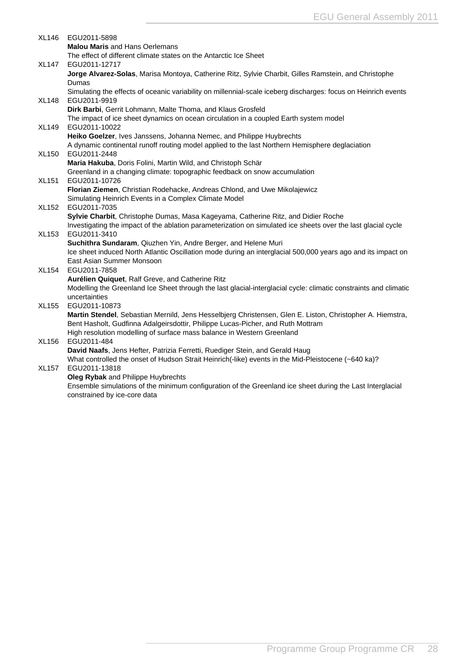| XL146        | EGU2011-5898                                                                                                                      |
|--------------|-----------------------------------------------------------------------------------------------------------------------------------|
|              | <b>Malou Maris and Hans Oerlemans</b>                                                                                             |
|              | The effect of different climate states on the Antarctic Ice Sheet                                                                 |
| <b>XL147</b> | EGU2011-12717                                                                                                                     |
|              | Jorge Alvarez-Solas, Marisa Montoya, Catherine Ritz, Sylvie Charbit, Gilles Ramstein, and Christophe                              |
|              | Dumas                                                                                                                             |
|              | Simulating the effects of oceanic variability on millennial-scale iceberg discharges: focus on Heinrich events                    |
| XL148        | EGU2011-9919<br>Dirk Barbi, Gerrit Lohmann, Malte Thoma, and Klaus Grosfeld                                                       |
|              | The impact of ice sheet dynamics on ocean circulation in a coupled Earth system model                                             |
| <b>XL149</b> | EGU2011-10022                                                                                                                     |
|              | Heiko Goelzer, Ives Janssens, Johanna Nemec, and Philippe Huybrechts                                                              |
|              | A dynamic continental runoff routing model applied to the last Northern Hemisphere deglaciation                                   |
| <b>XL150</b> | EGU2011-2448                                                                                                                      |
|              | Maria Hakuba, Doris Folini, Martin Wild, and Christoph Schär                                                                      |
|              | Greenland in a changing climate: topographic feedback on snow accumulation                                                        |
| <b>XL151</b> | EGU2011-10726                                                                                                                     |
|              | Florian Ziemen, Christian Rodehacke, Andreas Chlond, and Uwe Mikolajewicz                                                         |
|              | Simulating Heinrich Events in a Complex Climate Model                                                                             |
| XL152        | EGU2011-7035                                                                                                                      |
|              | Sylvie Charbit, Christophe Dumas, Masa Kageyama, Catherine Ritz, and Didier Roche                                                 |
|              | Investigating the impact of the ablation parameterization on simulated ice sheets over the last glacial cycle                     |
| XL153        | EGU2011-3410                                                                                                                      |
|              | Suchithra Sundaram, Qiuzhen Yin, Andre Berger, and Helene Muri                                                                    |
|              | Ice sheet induced North Atlantic Oscillation mode during an interglacial 500,000 years ago and its impact on                      |
|              | East Asian Summer Monsoon                                                                                                         |
| <b>XL154</b> | EGU2011-7858                                                                                                                      |
|              | Aurélien Quiquet, Ralf Greve, and Catherine Ritz                                                                                  |
|              | Modelling the Greenland Ice Sheet through the last glacial-interglacial cycle: climatic constraints and climatic<br>uncertainties |
| <b>XL155</b> | EGU2011-10873                                                                                                                     |
|              | Martin Stendel, Sebastian Mernild, Jens Hesselbjerg Christensen, Glen E. Liston, Christopher A. Hiemstra,                         |
|              | Bent Hasholt, Gudfinna Adalgeirsdottir, Philippe Lucas-Picher, and Ruth Mottram                                                   |
|              | High resolution modelling of surface mass balance in Western Greenland                                                            |
| XL156        | EGU2011-484                                                                                                                       |
|              | David Naafs, Jens Hefter, Patrizia Ferretti, Ruediger Stein, and Gerald Haug                                                      |
|              | What controlled the onset of Hudson Strait Heinrich(-like) events in the Mid-Pleistocene (~640 ka)?                               |
| <b>XL157</b> | EGU2011-13818                                                                                                                     |
|              | Oleg Rybak and Philippe Huybrechts                                                                                                |
|              | Ensemble simulations of the minimum configuration of the Greenland ice sheet during the Last Interglacial                         |
|              | constrained by ice-core data                                                                                                      |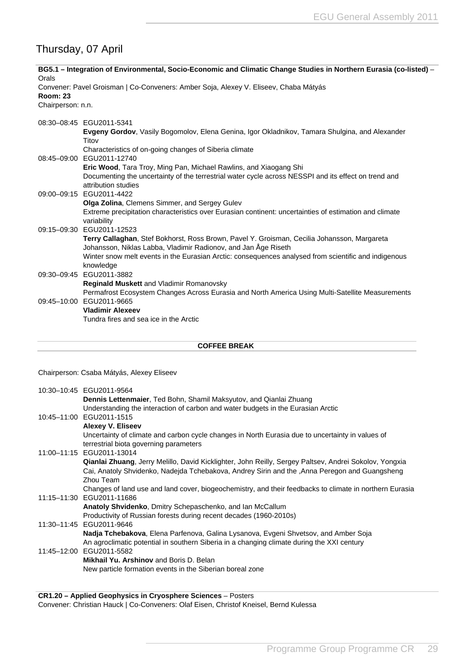## <span id="page-29-0"></span>Thursday, 07 April

| BG5.1 – Integration of Environmental, Socio-Economic and Climatic Change Studies in Northern Eurasia (co-listed) –<br>Orals                                   |  |  |
|---------------------------------------------------------------------------------------------------------------------------------------------------------------|--|--|
| Convener: Pavel Groisman   Co-Conveners: Amber Soja, Alexey V. Eliseev, Chaba Mátyás                                                                          |  |  |
| Chairperson: n.n.                                                                                                                                             |  |  |
| 08:30-08:45 EGU2011-5341                                                                                                                                      |  |  |
| Evgeny Gordov, Vasily Bogomolov, Elena Genina, Igor Okladnikov, Tamara Shulgina, and Alexander<br>Titov                                                       |  |  |
| Characteristics of on-going changes of Siberia climate                                                                                                        |  |  |
| 08:45-09:00 EGU2011-12740                                                                                                                                     |  |  |
| <b>Eric Wood, Tara Troy, Ming Pan, Michael Rawlins, and Xiaogang Shi</b>                                                                                      |  |  |
| Documenting the uncertainty of the terrestrial water cycle across NESSPI and its effect on trend and<br>attribution studies                                   |  |  |
| 09:00-09:15 EGU2011-4422                                                                                                                                      |  |  |
| Olga Zolina, Clemens Simmer, and Sergey Gulev                                                                                                                 |  |  |
| Extreme precipitation characteristics over Eurasian continent: uncertainties of estimation and climate<br>variability                                         |  |  |
| 09:15-09:30 EGU2011-12523                                                                                                                                     |  |  |
| Terry Callaghan, Stef Bokhorst, Ross Brown, Pavel Y. Groisman, Cecilia Johansson, Margareta<br>Johansson, Niklas Labba, Vladimir Radionov, and Jan Åge Riseth |  |  |
| Winter snow melt events in the Eurasian Arctic: consequences analysed from scientific and indigenous<br>knowledge                                             |  |  |
| 09:30-09:45 EGU2011-3882                                                                                                                                      |  |  |
| Reginald Muskett and Vladimir Romanovsky                                                                                                                      |  |  |
| Permafrost Ecosystem Changes Across Eurasia and North America Using Multi-Satellite Measurements                                                              |  |  |
| 09:45-10:00 EGU2011-9665                                                                                                                                      |  |  |
| <b>Vladimir Alexeev</b>                                                                                                                                       |  |  |
| Tundra fires and sea ice in the Arctic                                                                                                                        |  |  |
| <b>COFFEE BREAK</b>                                                                                                                                           |  |  |
|                                                                                                                                                               |  |  |

Chairperson: Csaba Mátyás, Alexey Eliseev

| Understanding the interaction of carbon and water budgets in the Eurasian Arctic<br>10:45-11:00 EGU2011-1515<br><b>Alexey V. Eliseev</b><br>Uncertainty of climate and carbon cycle changes in North Eurasia due to uncertainty in values of<br>terrestrial biota governing parameters<br>11:00-11:15 EGU2011-13014 |  |
|---------------------------------------------------------------------------------------------------------------------------------------------------------------------------------------------------------------------------------------------------------------------------------------------------------------------|--|
|                                                                                                                                                                                                                                                                                                                     |  |
|                                                                                                                                                                                                                                                                                                                     |  |
|                                                                                                                                                                                                                                                                                                                     |  |
|                                                                                                                                                                                                                                                                                                                     |  |
| Qianlai Zhuang, Jerry Melillo, David Kicklighter, John Reilly, Sergey Paltsev, Andrei Sokolov, Yongxia<br>Cai, Anatoly Shvidenko, Nadejda Tchebakova, Andrey Sirin and the , Anna Peregon and Guangsheng                                                                                                            |  |
| Zhou Team                                                                                                                                                                                                                                                                                                           |  |
| Changes of land use and land cover, biogeochemistry, and their feedbacks to climate in northern Eurasia<br>11:15-11:30 EGU2011-11686                                                                                                                                                                                |  |
| Anatoly Shvidenko, Dmitry Schepaschenko, and Ian McCallum                                                                                                                                                                                                                                                           |  |
| Productivity of Russian forests during recent decades (1960-2010s)                                                                                                                                                                                                                                                  |  |
| 11:30-11:45 EGU2011-9646                                                                                                                                                                                                                                                                                            |  |
| Nadja Tchebakova, Elena Parfenova, Galina Lysanova, Evgeni Shvetsov, and Amber Soja<br>An agroclimatic potential in southern Siberia in a changing climate during the XXI century                                                                                                                                   |  |
| 11:45-12:00 EGU2011-5582                                                                                                                                                                                                                                                                                            |  |
| <b>Mikhail Yu. Arshinov and Boris D. Belan</b>                                                                                                                                                                                                                                                                      |  |
| New particle formation events in the Siberian boreal zone                                                                                                                                                                                                                                                           |  |

**CR1.20 – Applied Geophysics in Cryosphere Sciences** – Posters Convener: Christian Hauck | Co-Conveners: Olaf Eisen, Christof Kneisel, Bernd Kulessa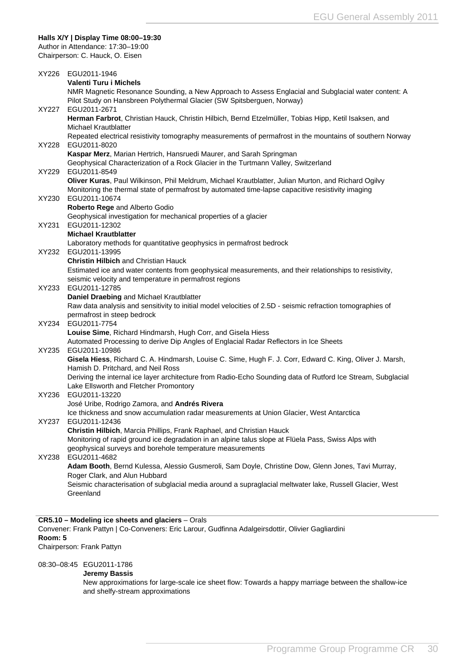#### <span id="page-30-0"></span>**Halls X/Y | Display Time 08:00–19:30**

Author in Attendance: 17:30–19:00 Chairperson: C. Hauck, O. Eisen

|       | XY226 EGU2011-1946                                                                                                                                                                                       |
|-------|----------------------------------------------------------------------------------------------------------------------------------------------------------------------------------------------------------|
|       | <b>Valenti Turu i Michels</b>                                                                                                                                                                            |
|       | NMR Magnetic Resonance Sounding, a New Approach to Assess Englacial and Subglacial water content: A<br>Pilot Study on Hansbreen Polythermal Glacier (SW Spitsberguen, Norway)                            |
| XY227 | EGU2011-2671                                                                                                                                                                                             |
|       | Herman Farbrot, Christian Hauck, Christin Hilbich, Bernd Etzelmüller, Tobias Hipp, Ketil Isaksen, and                                                                                                    |
|       | Michael Krautblatter                                                                                                                                                                                     |
|       | Repeated electrical resistivity tomography measurements of permafrost in the mountains of southern Norway                                                                                                |
| XY228 | EGU2011-8020                                                                                                                                                                                             |
|       | Kaspar Merz, Marian Hertrich, Hansruedi Maurer, and Sarah Springman                                                                                                                                      |
|       | Geophysical Characterization of a Rock Glacier in the Turtmann Valley, Switzerland                                                                                                                       |
| XY229 | EGU2011-8549                                                                                                                                                                                             |
|       | Oliver Kuras, Paul Wilkinson, Phil Meldrum, Michael Krautblatter, Julian Murton, and Richard Ogilvy<br>Monitoring the thermal state of permafrost by automated time-lapse capacitive resistivity imaging |
| XY230 | EGU2011-10674                                                                                                                                                                                            |
|       | Roberto Rege and Alberto Godio                                                                                                                                                                           |
|       | Geophysical investigation for mechanical properties of a glacier                                                                                                                                         |
| XY231 | EGU2011-12302                                                                                                                                                                                            |
|       | <b>Michael Krautblatter</b>                                                                                                                                                                              |
|       | Laboratory methods for quantitative geophysics in permafrost bedrock                                                                                                                                     |
| XY232 | EGU2011-13995                                                                                                                                                                                            |
|       | <b>Christin Hilbich and Christian Hauck</b>                                                                                                                                                              |
|       | Estimated ice and water contents from geophysical measurements, and their relationships to resistivity,<br>seismic velocity and temperature in permafrost regions                                        |
| XY233 | EGU2011-12785                                                                                                                                                                                            |
|       | Daniel Draebing and Michael Krautblatter                                                                                                                                                                 |
|       | Raw data analysis and sensitivity to initial model velocities of 2.5D - seismic refraction tomographies of                                                                                               |
|       | permafrost in steep bedrock                                                                                                                                                                              |
| XY234 | EGU2011-7754                                                                                                                                                                                             |
|       | Louise Sime, Richard Hindmarsh, Hugh Corr, and Gisela Hiess                                                                                                                                              |
|       | Automated Processing to derive Dip Angles of Englacial Radar Reflectors in Ice Sheets                                                                                                                    |
| XY235 | EGU2011-10986<br>Gisela Hiess, Richard C. A. Hindmarsh, Louise C. Sime, Hugh F. J. Corr, Edward C. King, Oliver J. Marsh,                                                                                |
|       | Hamish D. Pritchard, and Neil Ross                                                                                                                                                                       |
|       | Deriving the internal ice layer architecture from Radio-Echo Sounding data of Rutford Ice Stream, Subglacial                                                                                             |
|       | Lake Ellsworth and Fletcher Promontory                                                                                                                                                                   |
| XY236 | EGU2011-13220                                                                                                                                                                                            |
|       | José Uribe, Rodrigo Zamora, and Andrés Rivera                                                                                                                                                            |
|       | Ice thickness and snow accumulation radar measurements at Union Glacier, West Antarctica                                                                                                                 |
| XY237 | EGU2011-12436                                                                                                                                                                                            |
|       | Christin Hilbich, Marcia Phillips, Frank Raphael, and Christian Hauck                                                                                                                                    |
|       | Monitoring of rapid ground ice degradation in an alpine talus slope at Flüela Pass, Swiss Alps with<br>geophysical surveys and borehole temperature measurements                                         |
| XY238 | EGU2011-4682                                                                                                                                                                                             |
|       | Adam Booth, Bernd Kulessa, Alessio Gusmeroli, Sam Doyle, Christine Dow, Glenn Jones, Tavi Murray,                                                                                                        |
|       | Roger Clark, and Alun Hubbard                                                                                                                                                                            |
|       | Seismic characterisation of subglacial media around a supraglacial meltwater lake, Russell Glacier, West                                                                                                 |
|       | Greenland                                                                                                                                                                                                |
|       |                                                                                                                                                                                                          |
|       |                                                                                                                                                                                                          |
|       | CR5.10 - Modeling ice sheets and glaciers - Orals                                                                                                                                                        |

Convener: Frank Pattyn | Co-Conveners: Eric Larour, Gudfinna Adalgeirsdottir, Olivier Gagliardini **Room: 5** Chairperson: Frank Pattyn

08:30–08:45 EGU2011-1786

#### **Jeremy Bassis**

New approximations for large-scale ice sheet flow: Towards a happy marriage between the shallow-ice and shelfy-stream approximations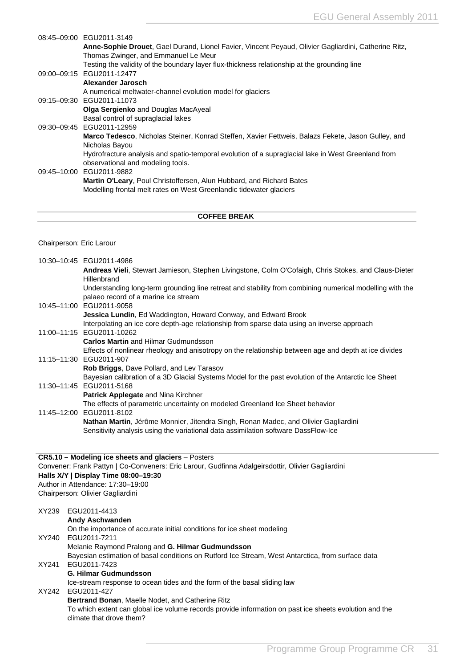| 08:45-09:00 EGU2011-3149                                                                                   |
|------------------------------------------------------------------------------------------------------------|
| Anne-Sophie Drouet, Gael Durand, Lionel Favier, Vincent Peyaud, Olivier Gagliardini, Catherine Ritz,       |
| Thomas Zwinger, and Emmanuel Le Meur                                                                       |
| Testing the validity of the boundary layer flux-thickness relationship at the grounding line               |
| 09:00-09:15 EGU2011-12477                                                                                  |
| Alexander Jarosch                                                                                          |
| A numerical meltwater-channel evolution model for glaciers                                                 |
| 09:15-09:30 EGU2011-11073                                                                                  |
| <b>Olga Sergienko</b> and Douglas MacAyeal                                                                 |
| Basal control of supraglacial lakes                                                                        |
| 09:30-09:45 EGU2011-12959                                                                                  |
| <b>Marco Tedesco</b> , Nicholas Steiner, Konrad Steffen, Xavier Fettweis, Balazs Fekete, Jason Gulley, and |
| Nicholas Bayou                                                                                             |
| Hydrofracture analysis and spatio-temporal evolution of a supraglacial lake in West Greenland from         |
| observational and modeling tools.                                                                          |
| 09:45-10:00 EGU2011-9882                                                                                   |
| <b>Martin O'Leary, Poul Christoffersen, Alun Hubbard, and Richard Bates</b>                                |
| Modelling frontal melt rates on West Greenlandic tidewater glaciers                                        |
|                                                                                                            |
|                                                                                                            |

#### Chairperson: Eric Larour

|                    | 10:30-10:45 EGU2011-4986                                                                                                                         |
|--------------------|--------------------------------------------------------------------------------------------------------------------------------------------------|
|                    | Andreas Vieli, Stewart Jamieson, Stephen Livingstone, Colm O'Cofaigh, Chris Stokes, and Claus-Dieter                                             |
|                    | Hillenbrand                                                                                                                                      |
|                    | Understanding long-term grounding line retreat and stability from combining numerical modelling with the<br>palaeo record of a marine ice stream |
|                    | 10:45-11:00 EGU2011-9058                                                                                                                         |
|                    | <b>Jessica Lundin, Ed Waddington, Howard Conway, and Edward Brook</b>                                                                            |
|                    | Interpolating an ice core depth-age relationship from sparse data using an inverse approach                                                      |
|                    | 11:00-11:15 EGU2011-10262                                                                                                                        |
|                    | <b>Carlos Martin and Hilmar Gudmundsson</b>                                                                                                      |
|                    | Effects of nonlinear rheology and anisotropy on the relationship between age and depth at ice divides                                            |
|                    | 11:15-11:30 EGU2011-907                                                                                                                          |
|                    | Rob Briggs, Dave Pollard, and Lev Tarasov                                                                                                        |
|                    | Bayesian calibration of a 3D Glacial Systems Model for the past evolution of the Antarctic Ice Sheet                                             |
|                    | 11:30-11:45 EGU2011-5168                                                                                                                         |
|                    | Patrick Applegate and Nina Kirchner                                                                                                              |
|                    | The effects of parametric uncertainty on modeled Greenland Ice Sheet behavior                                                                    |
|                    | 11:45-12:00 EGU2011-8102                                                                                                                         |
|                    | Nathan Martin, Jérôme Monnier, Jitendra Singh, Ronan Madec, and Olivier Gagliardini                                                              |
|                    | Sensitivity analysis using the variational data assimilation software DassFlow-Ice                                                               |
|                    |                                                                                                                                                  |
|                    | CR5.10 - Modeling ice sheets and glaciers - Posters                                                                                              |
|                    | Convener: Frank Pattyn   Co-Conveners: Eric Larour, Gudfinna Adalgeirsdottir, Olivier Gagliardini                                                |
|                    | Halls X/Y   Display Time 08:00-19:30                                                                                                             |
|                    | Author in Attendance: 17:30-19:00                                                                                                                |
|                    | Chairperson: Olivier Gagliardini                                                                                                                 |
| XY239 EGU2011-4413 |                                                                                                                                                  |

**Andy Aschwanden** On the importance of accurate initial conditions for ice sheet modeling XY240 EGU2011-7211 Melanie Raymond Pralong and **G. Hilmar Gudmundsson** Bayesian estimation of basal conditions on Rutford Ice Stream, West Antarctica, from surface data XY241 EGU2011-7423 **G. Hilmar Gudmundsson** Ice-stream response to ocean tides and the form of the basal sliding law XY242 EGU2011-427 **Bertrand Bonan**, Maelle Nodet, and Catherine Ritz To which extent can global ice volume records provide information on past ice sheets evolution and the climate that drove them?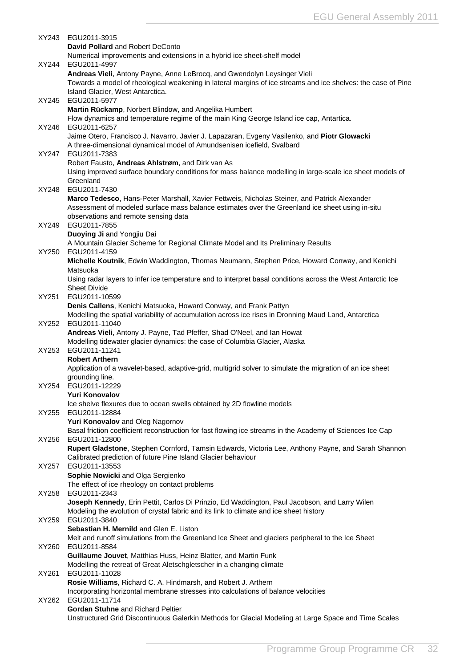|       | XY243 EGU2011-3915                                                                                                                                   |
|-------|------------------------------------------------------------------------------------------------------------------------------------------------------|
|       | David Pollard and Robert DeConto                                                                                                                     |
| XY244 | Numerical improvements and extensions in a hybrid ice sheet-shelf model<br>EGU2011-4997                                                              |
|       | Andreas Vieli, Antony Payne, Anne LeBrocq, and Gwendolyn Leysinger Vieli                                                                             |
|       | Towards a model of rheological weakening in lateral margins of ice streams and ice shelves: the case of Pine                                         |
|       | Island Glacier, West Antarctica.                                                                                                                     |
| XY245 | EGU2011-5977                                                                                                                                         |
|       | Martin Rückamp, Norbert Blindow, and Angelika Humbert                                                                                                |
| XY246 | Flow dynamics and temperature regime of the main King George Island ice cap, Antartica.<br>EGU2011-6257                                              |
|       | Jaime Otero, Francisco J. Navarro, Javier J. Lapazaran, Evgeny Vasilenko, and Piotr Glowacki                                                         |
|       | A three-dimensional dynamical model of Amundsenisen icefield, Svalbard                                                                               |
| XY247 | EGU2011-7383                                                                                                                                         |
|       | Robert Fausto, Andreas Ahlstrøm, and Dirk van As                                                                                                     |
|       | Using improved surface boundary conditions for mass balance modelling in large-scale ice sheet models of<br>Greenland                                |
| XY248 | EGU2011-7430                                                                                                                                         |
|       | Marco Tedesco, Hans-Peter Marshall, Xavier Fettweis, Nicholas Steiner, and Patrick Alexander                                                         |
|       | Assessment of modeled surface mass balance estimates over the Greenland ice sheet using in-situ                                                      |
|       | observations and remote sensing data                                                                                                                 |
| XY249 | EGU2011-7855                                                                                                                                         |
|       | Duoying Ji and Yongjiu Dai<br>A Mountain Glacier Scheme for Regional Climate Model and Its Preliminary Results                                       |
| XY250 | EGU2011-4159                                                                                                                                         |
|       | Michelle Koutnik, Edwin Waddington, Thomas Neumann, Stephen Price, Howard Conway, and Kenichi                                                        |
|       | Matsuoka                                                                                                                                             |
|       | Using radar layers to infer ice temperature and to interpret basal conditions across the West Antarctic Ice                                          |
|       | <b>Sheet Divide</b>                                                                                                                                  |
| XY251 | EGU2011-10599<br>Denis Callens, Kenichi Matsuoka, Howard Conway, and Frank Pattyn                                                                    |
|       | Modelling the spatial variability of accumulation across ice rises in Dronning Maud Land, Antarctica                                                 |
| XY252 | EGU2011-11040                                                                                                                                        |
|       | Andreas Vieli, Antony J. Payne, Tad Pfeffer, Shad O'Neel, and lan Howat                                                                              |
|       | Modelling tidewater glacier dynamics: the case of Columbia Glacier, Alaska                                                                           |
| XY253 | EGU2011-11241<br><b>Robert Arthern</b>                                                                                                               |
|       | Application of a wavelet-based, adaptive-grid, multigrid solver to simulate the migration of an ice sheet                                            |
|       | grounding line.                                                                                                                                      |
|       | XY254 EGU2011-12229                                                                                                                                  |
|       | <b>Yuri Konovalov</b>                                                                                                                                |
| XY255 | Ice shelve flexures due to ocean swells obtained by 2D flowline models<br>EGU2011-12884                                                              |
|       | Yuri Konovalov and Oleg Nagornov                                                                                                                     |
|       | Basal friction coefficient reconstruction for fast flowing ice streams in the Academy of Sciences Ice Cap                                            |
| XY256 | EGU2011-12800                                                                                                                                        |
|       | Rupert Gladstone, Stephen Cornford, Tamsin Edwards, Victoria Lee, Anthony Payne, and Sarah Shannon                                                   |
|       | Calibrated prediction of future Pine Island Glacier behaviour                                                                                        |
| XY257 | EGU2011-13553<br>Sophie Nowicki and Olga Sergienko                                                                                                   |
|       | The effect of ice rheology on contact problems                                                                                                       |
| XY258 | EGU2011-2343                                                                                                                                         |
|       | Joseph Kennedy, Erin Pettit, Carlos Di Prinzio, Ed Waddington, Paul Jacobson, and Larry Wilen                                                        |
|       | Modeling the evolution of crystal fabric and its link to climate and ice sheet history                                                               |
| XY259 | EGU2011-3840<br>Sebastian H. Mernild and Glen E. Liston                                                                                              |
|       | Melt and runoff simulations from the Greenland Ice Sheet and glaciers peripheral to the Ice Sheet                                                    |
| XY260 | EGU2011-8584                                                                                                                                         |
|       | Guillaume Jouvet, Matthias Huss, Heinz Blatter, and Martin Funk                                                                                      |
|       | Modelling the retreat of Great Aletschgletscher in a changing climate                                                                                |
| XY261 | EGU2011-11028                                                                                                                                        |
|       | Rosie Williams, Richard C. A. Hindmarsh, and Robert J. Arthern<br>Incorporating horizontal membrane stresses into calculations of balance velocities |
| XY262 | EGU2011-11714                                                                                                                                        |
|       | <b>Gordan Stuhne and Richard Peltier</b>                                                                                                             |
|       | Unstructured Grid Discontinuous Galerkin Methods for Glacial Modeling at Large Space and Time Scales                                                 |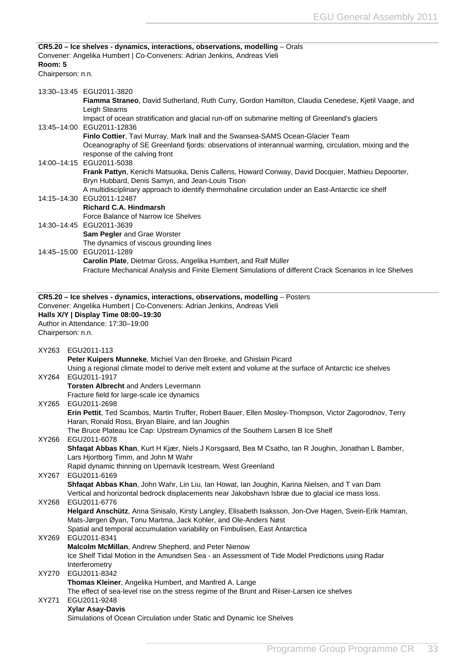<span id="page-33-0"></span>

| Room: 5<br>Chairperson: n.n. | CR5.20 - Ice shelves - dynamics, interactions, observations, modelling - Orals<br>Convener: Angelika Humbert   Co-Conveners: Adrian Jenkins, Andreas Vieli                                                                                                |  |
|------------------------------|-----------------------------------------------------------------------------------------------------------------------------------------------------------------------------------------------------------------------------------------------------------|--|
|                              |                                                                                                                                                                                                                                                           |  |
|                              | 13:30-13:45 EGU2011-3820<br>Fiamma Straneo, David Sutherland, Ruth Curry, Gordon Hamilton, Claudia Cenedese, Kjetil Vaage, and<br>Leigh Stearns                                                                                                           |  |
|                              | Impact of ocean stratification and glacial run-off on submarine melting of Greenland's glaciers<br>13:45-14:00 EGU2011-12836<br>Finlo Cottier, Tavi Murray, Mark Inall and the Swansea-SAMS Ocean-Glacier Team                                            |  |
|                              | Oceanography of SE Greenland fjords: observations of interannual warming, circulation, mixing and the<br>response of the calving front<br>14:00-14:15 EGU2011-5038                                                                                        |  |
|                              | Frank Pattyn, Kenichi Matsuoka, Denis Callens, Howard Conway, David Docquier, Mathieu Depoorter,<br>Bryn Hubbard, Denis Samyn, and Jean-Louis Tison                                                                                                       |  |
|                              | A multidisciplinary approach to identify thermohaline circulation under an East-Antarctic ice shelf<br>14:15-14:30 EGU2011-12487<br><b>Richard C.A. Hindmarsh</b>                                                                                         |  |
|                              | Force Balance of Narrow Ice Shelves<br>14:30-14:45 EGU2011-3639                                                                                                                                                                                           |  |
|                              | Sam Pegler and Grae Worster<br>The dynamics of viscous grounding lines                                                                                                                                                                                    |  |
|                              | 14:45-15:00 EGU2011-1289                                                                                                                                                                                                                                  |  |
|                              | Carolin Plate, Dietmar Gross, Angelika Humbert, and Ralf Müller<br>Fracture Mechanical Analysis and Finite Element Simulations of different Crack Scenarios in Ice Shelves                                                                                |  |
| Chairperson: n.n.            | CR5.20 - Ice shelves - dynamics, interactions, observations, modelling - Posters<br>Convener: Angelika Humbert   Co-Conveners: Adrian Jenkins, Andreas Vieli<br>Halls X/Y   Display Time 08:00-19:30<br>Author in Attendance: 17:30-19:00                 |  |
|                              | XY263 EGU2011-113<br>Peter Kuipers Munneke, Michiel Van den Broeke, and Ghislain Picard                                                                                                                                                                   |  |
| XY264                        | Using a regional climate model to derive melt extent and volume at the surface of Antarctic ice shelves<br>EGU2011-1917<br><b>Torsten Albrecht and Anders Levermann</b>                                                                                   |  |
| XY265                        | Fracture field for large-scale ice dynamics<br>EGU2011-2698                                                                                                                                                                                               |  |
|                              | Erin Pettit, Ted Scambos, Martin Truffer, Robert Bauer, Ellen Mosley-Thompson, Victor Zagorodnov, Terry<br>Haran, Ronald Ross, Bryan Blaire, and Ian Joughin<br>The Bruce Plateau Ice Cap: Upstream Dynamics of the Southern Larsen B Ice Shelf           |  |
| XY266                        | EGU2011-6078<br>Shfaqat Abbas Khan, Kurt H Kjær, Niels J Korsgaard, Bea M Csatho, Ian R Joughin, Jonathan L Bamber,<br>Lars Hjortborg Timm, and John M Wahr                                                                                               |  |
| XY267                        | Rapid dynamic thinning on Upernavik Icestream, West Greenland<br>EGU2011-6169<br>Shfaqat Abbas Khan, John Wahr, Lin Liu, lan Howat, lan Joughin, Karina Nielsen, and T van Dam                                                                            |  |
| XY268                        | Vertical and horizontal bedrock displacements near Jakobshavn Isbræ due to glacial ice mass loss.<br>EGU2011-6776                                                                                                                                         |  |
|                              | Helgard Anschütz, Anna Sinisalo, Kirsty Langley, Elisabeth Isaksson, Jon-Ove Hagen, Svein-Erik Hamran,<br>Mats-Jørgen Øyan, Tonu Martma, Jack Kohler, and Ole-Anders Nøst<br>Spatial and temporal accumulation variability on Fimbulisen, East Antarctica |  |
| XY269                        | EGU2011-8341<br>Malcolm McMillan, Andrew Shepherd, and Peter Nienow<br>Ice Shelf Tidal Motion in the Amundsen Sea - an Assessment of Tide Model Predictions using Radar<br>Interferometry                                                                 |  |
| XY270                        | EGU2011-8342<br>Thomas Kleiner, Angelika Humbert, and Manfred A. Lange<br>The effect of sea-level rise on the stress regime of the Brunt and Riiser-Larsen ice shelves                                                                                    |  |
| XY271                        | EGU2011-9248                                                                                                                                                                                                                                              |  |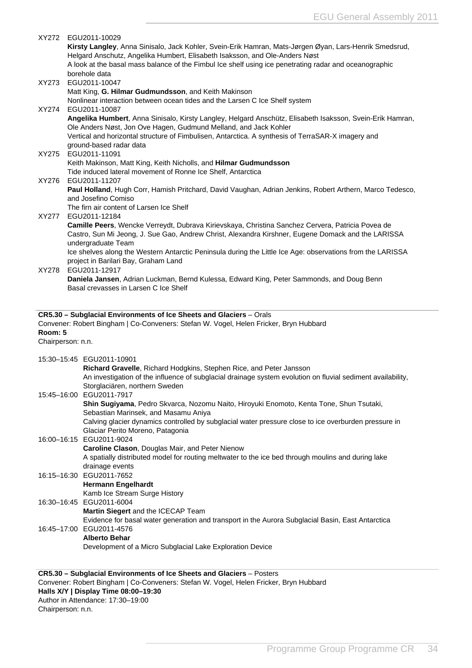<span id="page-34-0"></span>

|                              | XY272 EGU2011-10029<br>Kirsty Langley, Anna Sinisalo, Jack Kohler, Svein-Erik Hamran, Mats-Jørgen Øyan, Lars-Henrik Smedsrud,<br>Helgard Anschutz, Angelika Humbert, Elisabeth Isaksson, and Ole-Anders Nøst<br>A look at the basal mass balance of the Fimbul Ice shelf using ice penetrating radar and oceanographic<br>borehole data   |
|------------------------------|-------------------------------------------------------------------------------------------------------------------------------------------------------------------------------------------------------------------------------------------------------------------------------------------------------------------------------------------|
| XY273                        | EGU2011-10047<br>Matt King, G. Hilmar Gudmundsson, and Keith Makinson<br>Nonlinear interaction between ocean tides and the Larsen C Ice Shelf system                                                                                                                                                                                      |
| XY274                        | EGU2011-10087<br>Angelika Humbert, Anna Sinisalo, Kirsty Langley, Helgard Anschütz, Elisabeth Isaksson, Svein-Erik Hamran,<br>Ole Anders Nøst, Jon Ove Hagen, Gudmund Melland, and Jack Kohler<br>Vertical and horizontal structure of Fimbulisen, Antarctica. A synthesis of TerraSAR-X imagery and<br>ground-based radar data           |
| XY275                        | EGU2011-11091<br>Keith Makinson, Matt King, Keith Nicholls, and Hilmar Gudmundsson                                                                                                                                                                                                                                                        |
| XY276                        | Tide induced lateral movement of Ronne Ice Shelf, Antarctica<br>EGU2011-11207<br>Paul Holland, Hugh Corr, Hamish Pritchard, David Vaughan, Adrian Jenkins, Robert Arthern, Marco Tedesco,<br>and Josefino Comiso                                                                                                                          |
| XY277                        | The firn air content of Larsen Ice Shelf<br>EGU2011-12184<br>Camille Peers, Wencke Verreydt, Dubrava Kirievskaya, Christina Sanchez Cervera, Patricia Povea de<br>Castro, Sun Mi Jeong, J. Sue Gao, Andrew Christ, Alexandra Kirshner, Eugene Domack and the LARISSA<br>undergraduate Team                                                |
| XY278                        | Ice shelves along the Western Antarctic Peninsula during the Little Ice Age: observations from the LARISSA<br>project in Barilari Bay, Graham Land<br>EGU2011-12917                                                                                                                                                                       |
|                              | Daniela Jansen, Adrian Luckman, Bernd Kulessa, Edward King, Peter Sammonds, and Doug Benn<br>Basal crevasses in Larsen C Ice Shelf                                                                                                                                                                                                        |
| Room: 5<br>Chairperson: n.n. | CR5.30 - Subglacial Environments of Ice Sheets and Glaciers - Orals<br>Convener: Robert Bingham   Co-Conveners: Stefan W. Vogel, Helen Fricker, Bryn Hubbard                                                                                                                                                                              |
|                              |                                                                                                                                                                                                                                                                                                                                           |
|                              | 15:30-15:45 EGU2011-10901<br>Richard Gravelle, Richard Hodgkins, Stephen Rice, and Peter Jansson<br>An investigation of the influence of subglacial drainage system evolution on fluvial sediment availability,                                                                                                                           |
|                              | Storglaciären, northern Sweden<br>15:45-16:00 EGU2011-7917<br>Shin Sugiyama, Pedro Skvarca, Nozomu Naito, Hiroyuki Enomoto, Kenta Tone, Shun Tsutaki,<br>Sebastian Marinsek, and Masamu Aniya<br>Calving glacier dynamics controlled by subglacial water pressure close to ice overburden pressure in<br>Glaciar Perito Moreno, Patagonia |
|                              | 16:00-16:15 EGU2011-9024<br>Caroline Clason, Douglas Mair, and Peter Nienow<br>A spatially distributed model for routing meltwater to the ice bed through moulins and during lake                                                                                                                                                         |
|                              | drainage events<br>16:15-16:30 EGU2011-7652<br><b>Hermann Engelhardt</b>                                                                                                                                                                                                                                                                  |
|                              | Kamb Ice Stream Surge History<br>16:30-16:45 EGU2011-6004<br>Martin Siegert and the ICECAP Team<br>Evidence for basal water generation and transport in the Aurora Subglacial Basin, East Antarctica                                                                                                                                      |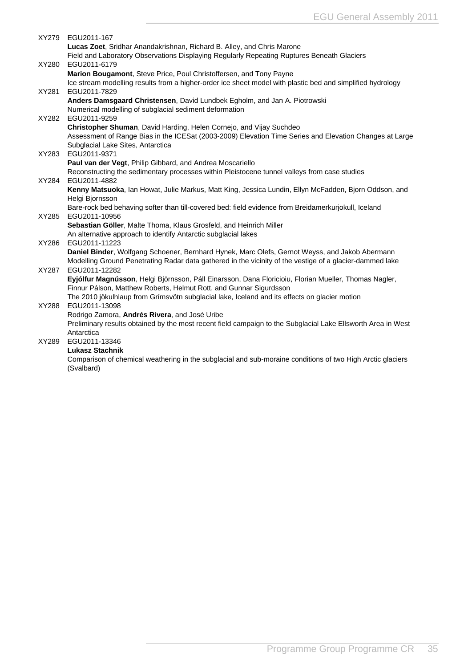|       | XY279 EGU2011-167                                                                                                                                                                                          |
|-------|------------------------------------------------------------------------------------------------------------------------------------------------------------------------------------------------------------|
|       | Lucas Zoet, Sridhar Anandakrishnan, Richard B. Alley, and Chris Marone                                                                                                                                     |
|       | Field and Laboratory Observations Displaying Regularly Repeating Ruptures Beneath Glaciers                                                                                                                 |
| XY280 | EGU2011-6179                                                                                                                                                                                               |
|       | Marion Bougamont, Steve Price, Poul Christoffersen, and Tony Payne                                                                                                                                         |
|       | Ice stream modelling results from a higher-order ice sheet model with plastic bed and simplified hydrology                                                                                                 |
| XY281 | EGU2011-7829                                                                                                                                                                                               |
|       | Anders Damsgaard Christensen, David Lundbek Egholm, and Jan A. Piotrowski                                                                                                                                  |
|       | Numerical modelling of subglacial sediment deformation                                                                                                                                                     |
| XY282 | EGU2011-9259                                                                                                                                                                                               |
|       | Christopher Shuman, David Harding, Helen Cornejo, and Vijay Suchdeo                                                                                                                                        |
|       | Assessment of Range Bias in the ICESat (2003-2009) Elevation Time Series and Elevation Changes at Large                                                                                                    |
|       | Subglacial Lake Sites, Antarctica                                                                                                                                                                          |
| XY283 | EGU2011-9371                                                                                                                                                                                               |
|       | Paul van der Vegt, Philip Gibbard, and Andrea Moscariello                                                                                                                                                  |
|       | Reconstructing the sedimentary processes within Pleistocene tunnel valleys from case studies                                                                                                               |
| XY284 | EGU2011-4882                                                                                                                                                                                               |
|       | Kenny Matsuoka, Ian Howat, Julie Markus, Matt King, Jessica Lundin, Ellyn McFadden, Bjorn Oddson, and                                                                                                      |
|       | Helgi Bjornsson                                                                                                                                                                                            |
|       | Bare-rock bed behaving softer than till-covered bed: field evidence from Breidamerkurjokull, Iceland                                                                                                       |
| XY285 | EGU2011-10956                                                                                                                                                                                              |
|       | Sebastian Göller, Malte Thoma, Klaus Grosfeld, and Heinrich Miller                                                                                                                                         |
|       | An alternative approach to identify Antarctic subglacial lakes                                                                                                                                             |
| XY286 | EGU2011-11223                                                                                                                                                                                              |
|       | Daniel Binder, Wolfgang Schoener, Bernhard Hynek, Marc Olefs, Gernot Weyss, and Jakob Abermann<br>Modelling Ground Penetrating Radar data gathered in the vicinity of the vestige of a glacier-dammed lake |
| XY287 | EGU2011-12282                                                                                                                                                                                              |
|       | Eyjólfur Magnússon, Helgi Björnsson, Páll Einarsson, Dana Floricioiu, Florian Mueller, Thomas Nagler,                                                                                                      |
|       | Finnur Pálson, Matthew Roberts, Helmut Rott, and Gunnar Sigurdsson                                                                                                                                         |
|       | The 2010 jökulhlaup from Grímsvötn subglacial lake, Iceland and its effects on glacier motion                                                                                                              |
| XY288 | EGU2011-13098                                                                                                                                                                                              |
|       | Rodrigo Zamora, Andrés Rivera, and José Uribe                                                                                                                                                              |
|       | Preliminary results obtained by the most recent field campaign to the Subglacial Lake Ellsworth Area in West                                                                                               |
|       | Antarctica                                                                                                                                                                                                 |
| XY289 | EGU2011-13346                                                                                                                                                                                              |
|       | <b>Lukasz Stachnik</b>                                                                                                                                                                                     |
|       | Comparison of chemical weathering in the subglacial and sub-moraine conditions of two High Arctic glaciers                                                                                                 |
|       | (Svalbard)                                                                                                                                                                                                 |
|       |                                                                                                                                                                                                            |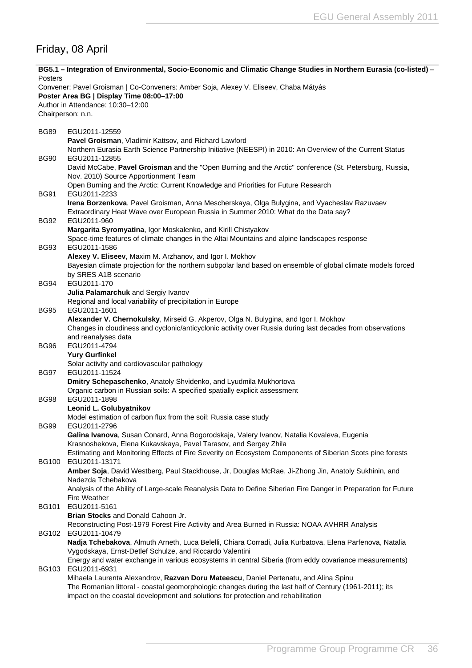# <span id="page-36-0"></span>Friday, 08 April

| Posters      | BG5.1 – Integration of Environmental, Socio-Economic and Climatic Change Studies in Northern Eurasia (co-listed) –                                                                                                                                                                   |
|--------------|--------------------------------------------------------------------------------------------------------------------------------------------------------------------------------------------------------------------------------------------------------------------------------------|
|              | Convener: Pavel Groisman   Co-Conveners: Amber Soja, Alexey V. Eliseev, Chaba Mátyás<br>Poster Area BG   Display Time 08:00-17:00<br>Author in Attendance: 10:30-12:00                                                                                                               |
|              | Chairperson: n.n.                                                                                                                                                                                                                                                                    |
| <b>BG89</b>  | EGU2011-12559                                                                                                                                                                                                                                                                        |
|              | Pavel Groisman, Vladimir Kattsov, and Richard Lawford                                                                                                                                                                                                                                |
| <b>BG90</b>  | Northern Eurasia Earth Science Partnership Initiative (NEESPI) in 2010: An Overview of the Current Status<br>EGU2011-12855                                                                                                                                                           |
|              | David McCabe, Pavel Groisman and the "Open Burning and the Arctic" conference (St. Petersburg, Russia,<br>Nov. 2010) Source Apportionment Team                                                                                                                                       |
| <b>BG91</b>  | Open Burning and the Arctic: Current Knowledge and Priorities for Future Research<br>EGU2011-2233                                                                                                                                                                                    |
| <b>BG92</b>  | Irena Borzenkova, Pavel Groisman, Anna Mescherskaya, Olga Bulygina, and Vyacheslav Razuvaev<br>Extraordinary Heat Wave over European Russia in Summer 2010: What do the Data say?<br>EGU2011-960                                                                                     |
|              | Margarita Syromyatina, Igor Moskalenko, and Kirill Chistyakov                                                                                                                                                                                                                        |
| <b>BG93</b>  | Space-time features of climate changes in the Altai Mountains and alpine landscapes response<br>EGU2011-1586                                                                                                                                                                         |
|              | Alexey V. Eliseev, Maxim M. Arzhanov, and Igor I. Mokhov<br>Bayesian climate projection for the northern subpolar land based on ensemble of global climate models forced<br>by SRES A1B scenario                                                                                     |
| <b>BG94</b>  | EGU2011-170                                                                                                                                                                                                                                                                          |
|              | Julia Palamarchuk and Sergiy Ivanov<br>Regional and local variability of precipitation in Europe                                                                                                                                                                                     |
| <b>BG95</b>  | EGU2011-1601                                                                                                                                                                                                                                                                         |
|              | Alexander V. Chernokulsky, Mirseid G. Akperov, Olga N. Bulygina, and Igor I. Mokhov<br>Changes in cloudiness and cyclonic/anticyclonic activity over Russia during last decades from observations<br>and reanalyses data                                                             |
| <b>BG96</b>  | EGU2011-4794                                                                                                                                                                                                                                                                         |
|              | <b>Yury Gurfinkel</b>                                                                                                                                                                                                                                                                |
| <b>BG97</b>  | Solar activity and cardiovascular pathology<br>EGU2011-11524                                                                                                                                                                                                                         |
|              | Dmitry Schepaschenko, Anatoly Shvidenko, and Lyudmila Mukhortova                                                                                                                                                                                                                     |
| <b>BG98</b>  | Organic carbon in Russian soils: A specified spatially explicit assessment<br>EGU2011-1898<br>Leonid L. Golubyatnikov                                                                                                                                                                |
|              | Model estimation of carbon flux from the soil: Russia case study                                                                                                                                                                                                                     |
| <b>BG99</b>  | EGU2011-2796<br>Galina Ivanova, Susan Conard, Anna Bogorodskaja, Valery Ivanov, Natalia Kovaleva, Eugenia                                                                                                                                                                            |
|              | Krasnoshekova, Elena Kukavskaya, Pavel Tarasov, and Sergey Zhila<br>Estimating and Monitoring Effects of Fire Severity on Ecosystem Components of Siberian Scots pine forests                                                                                                        |
| <b>BG100</b> | EGU2011-13171                                                                                                                                                                                                                                                                        |
|              | Amber Soja, David Westberg, Paul Stackhouse, Jr, Douglas McRae, Ji-Zhong Jin, Anatoly Sukhinin, and<br>Nadezda Tchebakova                                                                                                                                                            |
|              | Analysis of the Ability of Large-scale Reanalysis Data to Define Siberian Fire Danger in Preparation for Future<br>Fire Weather                                                                                                                                                      |
| <b>BG101</b> | EGU2011-5161                                                                                                                                                                                                                                                                         |
| BG102        | Brian Stocks and Donald Cahoon Jr.<br>Reconstructing Post-1979 Forest Fire Activity and Area Burned in Russia: NOAA AVHRR Analysis<br>EGU2011-10479                                                                                                                                  |
|              | Nadja Tchebakova, Almuth Arneth, Luca Belelli, Chiara Corradi, Julia Kurbatova, Elena Parfenova, Natalia<br>Vygodskaya, Ernst-Detlef Schulze, and Riccardo Valentini                                                                                                                 |
| BG103        | Energy and water exchange in various ecosystems in central Siberia (from eddy covariance measurements)<br>EGU2011-6931                                                                                                                                                               |
|              | Mihaela Laurenta Alexandrov, Razvan Doru Mateescu, Daniel Pertenatu, and Alina Spinu<br>The Romanian littoral - coastal geomorphologic changes during the last half of Century (1961-2011); its<br>impact on the coastal development and solutions for protection and rehabilitation |
|              |                                                                                                                                                                                                                                                                                      |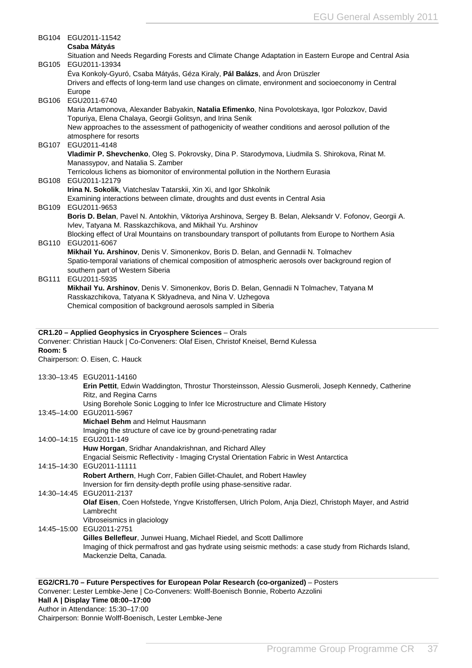<span id="page-37-0"></span>

|              | BG104 EGU2011-11542                                                                                                                                                           |
|--------------|-------------------------------------------------------------------------------------------------------------------------------------------------------------------------------|
|              | Csaba Mátyás                                                                                                                                                                  |
|              | Situation and Needs Regarding Forests and Climate Change Adaptation in Eastern Europe and Central Asia<br>BG105 EGU2011-13934                                                 |
|              | Éva Konkoly-Gyuró, Csaba Mátyás, Géza Kiraly, Pál Balázs, and Áron Drüszler                                                                                                   |
|              | Drivers and effects of long-term land use changes on climate, environment and socioeconomy in Central                                                                         |
|              | Europe                                                                                                                                                                        |
| <b>BG106</b> | EGU2011-6740                                                                                                                                                                  |
|              | Maria Artamonova, Alexander Babyakin, Natalia Efimenko, Nina Povolotskaya, Igor Polozkov, David<br>Topuriya, Elena Chalaya, Georgii Golitsyn, and Irina Senik                 |
|              | New approaches to the assessment of pathogenicity of weather conditions and aerosol pollution of the                                                                          |
|              | atmosphere for resorts                                                                                                                                                        |
| <b>BG107</b> | EGU2011-4148                                                                                                                                                                  |
|              | Vladimir P. Shevchenko, Oleg S. Pokrovsky, Dina P. Starodymova, Liudmila S. Shirokova, Rinat M.<br>Manassypov, and Natalia S. Zamber                                          |
|              | Terricolous lichens as biomonitor of environmental pollution in the Northern Eurasia                                                                                          |
| <b>BG108</b> | EGU2011-12179                                                                                                                                                                 |
|              | Irina N. Sokolik, Viatcheslav Tatarskii, Xin Xi, and Igor Shkolnik                                                                                                            |
|              | Examining interactions between climate, droughts and dust events in Central Asia                                                                                              |
|              | BG109 EGU2011-9653<br>Boris D. Belan, Pavel N. Antokhin, Viktoriya Arshinova, Sergey B. Belan, Aleksandr V. Fofonov, Georgii A.                                               |
|              | Ivlev, Tatyana M. Rasskazchikova, and Mikhail Yu. Arshinov                                                                                                                    |
|              | Blocking effect of Ural Mountains on transboundary transport of pollutants from Europe to Northern Asia                                                                       |
| <b>BG110</b> | EGU2011-6067                                                                                                                                                                  |
|              | Mikhail Yu. Arshinov, Denis V. Simonenkov, Boris D. Belan, and Gennadii N. Tolmachev                                                                                          |
|              | Spatio-temporal variations of chemical composition of atmospheric aerosols over background region of<br>southern part of Western Siberia                                      |
| <b>BG111</b> | EGU2011-5935                                                                                                                                                                  |
|              | Mikhail Yu. Arshinov, Denis V. Simonenkov, Boris D. Belan, Gennadii N Tolmachev, Tatyana M                                                                                    |
|              | Rasskazchikova, Tatyana K Sklyadneva, and Nina V. Uzhegova                                                                                                                    |
|              | Chemical composition of background aerosols sampled in Siberia                                                                                                                |
|              |                                                                                                                                                                               |
|              | CR1.20 - Applied Geophysics in Cryosphere Sciences - Orals                                                                                                                    |
|              | Convener: Christian Hauck   Co-Conveners: Olaf Eisen, Christof Kneisel, Bernd Kulessa                                                                                         |
| Room: 5      |                                                                                                                                                                               |
|              | Chairperson: O. Eisen, C. Hauck                                                                                                                                               |
|              | 13:30-13:45 EGU2011-14160                                                                                                                                                     |
|              | Erin Pettit, Edwin Waddington, Throstur Thorsteinsson, Alessio Gusmeroli, Joseph Kennedy, Catherine                                                                           |
|              | Ritz, and Regina Carns                                                                                                                                                        |
|              | Using Borehole Sonic Logging to Infer Ice Microstructure and Climate History<br>13:45-14:00 EGU2011-5967                                                                      |
|              | Michael Behm and Helmut Hausmann                                                                                                                                              |
|              | Imaging the structure of cave ice by ground-penetrating radar                                                                                                                 |
|              | 14:00-14:15 EGU2011-149                                                                                                                                                       |
|              | Huw Horgan, Sridhar Anandakrishnan, and Richard Alley                                                                                                                         |
|              | Engacial Seismic Reflectivity - Imaging Crystal Orientation Fabric in West Antarctica<br>14:15-14:30 EGU2011-11111                                                            |
|              | Robert Arthern, Hugh Corr, Fabien Gillet-Chaulet, and Robert Hawley                                                                                                           |
|              | Inversion for firn density-depth profile using phase-sensitive radar.                                                                                                         |
|              | 14:30-14:45 EGU2011-2137                                                                                                                                                      |
|              | Olaf Eisen, Coen Hofstede, Yngve Kristoffersen, Ulrich Polom, Anja Diezl, Christoph Mayer, and Astrid                                                                         |
|              | Lambrecht<br>Vibroseismics in glaciology                                                                                                                                      |
|              | 14:45-15:00 EGU2011-2751                                                                                                                                                      |
|              | Gilles Bellefleur, Junwei Huang, Michael Riedel, and Scott Dallimore                                                                                                          |
|              | Imaging of thick permafrost and gas hydrate using seismic methods: a case study from Richards Island,                                                                         |
|              |                                                                                                                                                                               |
|              | Mackenzie Delta, Canada.                                                                                                                                                      |
|              |                                                                                                                                                                               |
|              |                                                                                                                                                                               |
|              | EG2/CR1.70 - Future Perspectives for European Polar Research (co-organized) - Posters<br>Convener: Lester Lembke-Jene   Co-Conveners: Wolff-Boenisch Bonnie, Roberto Azzolini |

**Hall A | Display Time 08:00–17:00**

Author in Attendance: 15:30–17:00 Chairperson: Bonnie Wolff-Boenisch, Lester Lembke-Jene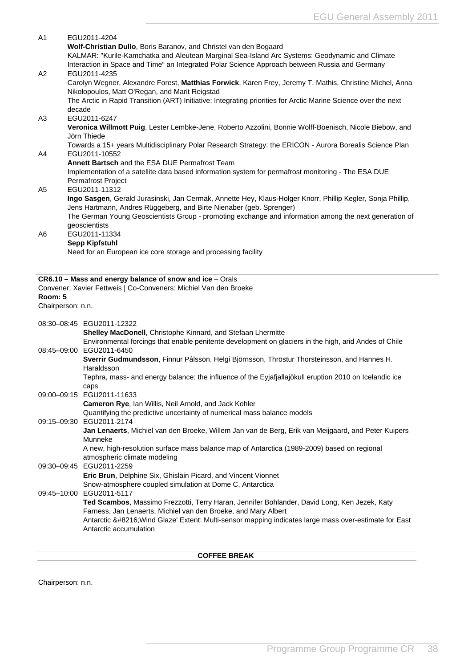<span id="page-38-0"></span>

| A1                           | EGU2011-4204<br>Wolf-Christian Dullo, Boris Baranov, and Christel van den Bogaard<br>KALMAR: "Kurile-Kamchatka and Aleutean Marginal Sea-Island Arc Systems: Geodynamic and Climate<br>Interaction in Space and Time" an Integrated Polar Science Approach between Russia and Germany |
|------------------------------|---------------------------------------------------------------------------------------------------------------------------------------------------------------------------------------------------------------------------------------------------------------------------------------|
| A <sub>2</sub>               | EGU2011-4235<br>Carolyn Wegner, Alexandre Forest, Matthias Forwick, Karen Frey, Jeremy T. Mathis, Christine Michel, Anna<br>Nikolopoulos, Matt O'Regan, and Marit Reigstad                                                                                                            |
| A3                           | The Arctic in Rapid Transition (ART) Initiative: Integrating priorities for Arctic Marine Science over the next<br>decade<br>EGU2011-6247                                                                                                                                             |
|                              | Veronica Willmott Puig, Lester Lembke-Jene, Roberto Azzolini, Bonnie Wolff-Boenisch, Nicole Biebow, and<br>Jörn Thiede                                                                                                                                                                |
| A4                           | Towards a 15+ years Multidisciplinary Polar Research Strategy: the ERICON - Aurora Borealis Science Plan<br>EGU2011-10552                                                                                                                                                             |
|                              | Annett Bartsch and the ESA DUE Permafrost Team<br>Implementation of a satellite data based information system for permafrost monitoring - The ESA DUE<br><b>Permafrost Project</b>                                                                                                    |
| A5                           | EGU2011-11312<br>Ingo Sasgen, Gerald Jurasinski, Jan Cermak, Annette Hey, Klaus-Holger Knorr, Phillip Kegler, Sonja Phillip,<br>Jens Hartmann, Andres Rüggeberg, and Birte Nienaber (geb. Sprenger)                                                                                   |
|                              | The German Young Geoscientists Group - promoting exchange and information among the next generation of<br>geoscientists                                                                                                                                                               |
| A <sub>6</sub>               | EGU2011-11334<br>Sepp Kipfstuhl                                                                                                                                                                                                                                                       |
|                              | Need for an European ice core storage and processing facility                                                                                                                                                                                                                         |
|                              | CR6.10 - Mass and energy balance of snow and ice - Orals                                                                                                                                                                                                                              |
|                              | Convener: Xavier Fettweis   Co-Conveners: Michiel Van den Broeke                                                                                                                                                                                                                      |
| Room: 5<br>Chairperson: n.n. |                                                                                                                                                                                                                                                                                       |
|                              | 08:30-08:45 EGU2011-12322                                                                                                                                                                                                                                                             |
|                              | Shelley MacDonell, Christophe Kinnard, and Stefaan Lhermitte<br>Environmental forcings that enable penitente development on glaciers in the high, arid Andes of Chile                                                                                                                 |
| 08:45-09:00                  | EGU2011-6450<br>Sverrir Gudmundsson, Finnur Pálsson, Helgi Björnsson, Thröstur Thorsteinsson, and Hannes H.                                                                                                                                                                           |
|                              | Haraldsson<br>Tephra, mass- and energy balance: the influence of the Eyjafjallajökull eruption 2010 on Icelandic ice<br>caps                                                                                                                                                          |
|                              | 09:00-09:15 EGU2011-11633                                                                                                                                                                                                                                                             |
|                              | Cameron Rye, Ian Willis, Neil Arnold, and Jack Kohler<br>Quantifying the predictive uncertainty of numerical mass balance models                                                                                                                                                      |
|                              | 09:15-09:30 EGU2011-2174<br>Jan Lenaerts, Michiel van den Broeke, Willem Jan van de Berg, Erik van Meijgaard, and Peter Kuipers<br>Munneke                                                                                                                                            |
|                              | A new, high-resolution surface mass balance map of Antarctica (1989-2009) based on regional<br>atmospheric climate modeling                                                                                                                                                           |
|                              | 09:30-09:45 EGU2011-2259<br>Eric Brun, Delphine Six, Ghislain Picard, and Vincent Vionnet                                                                                                                                                                                             |
|                              | Snow-atmosphere coupled simulation at Dome C, Antarctica<br>09:45-10:00 EGU2011-5117                                                                                                                                                                                                  |
|                              | Ted Scambos, Massimo Frezzotti, Terry Haran, Jennifer Bohlander, David Long, Ken Jezek, Katy<br>Farness, Jan Lenaerts, Michiel van den Broeke, and Mary Albert<br>Antarctic ' Wind Glaze' Extent: Multi-sensor mapping indicates large mass over-estimate for East                    |

Chairperson: n.n.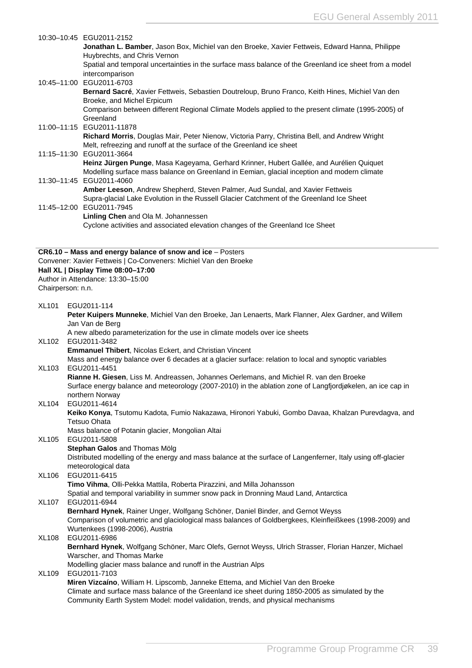|                   | 10:30-10:45 EGU2011-2152<br>Jonathan L. Bamber, Jason Box, Michiel van den Broeke, Xavier Fettweis, Edward Hanna, Philippe                                                                  |
|-------------------|---------------------------------------------------------------------------------------------------------------------------------------------------------------------------------------------|
|                   | Huybrechts, and Chris Vernon                                                                                                                                                                |
|                   | Spatial and temporal uncertainties in the surface mass balance of the Greenland ice sheet from a model<br>intercomparison                                                                   |
|                   | 10:45-11:00 EGU2011-6703                                                                                                                                                                    |
|                   | Bernard Sacré, Xavier Fettweis, Sebastien Doutreloup, Bruno Franco, Keith Hines, Michiel Van den<br>Broeke, and Michel Erpicum                                                              |
|                   | Comparison between different Regional Climate Models applied to the present climate (1995-2005) of                                                                                          |
|                   | Greenland<br>11:00-11:15 EGU2011-11878                                                                                                                                                      |
|                   | Richard Morris, Douglas Mair, Peter Nienow, Victoria Parry, Christina Bell, and Andrew Wright                                                                                               |
|                   | Melt, refreezing and runoff at the surface of the Greenland ice sheet<br>11:15-11:30 EGU2011-3664                                                                                           |
|                   | Heinz Jürgen Punge, Masa Kageyama, Gerhard Krinner, Hubert Gallée, and Aurélien Quiquet                                                                                                     |
|                   | Modelling surface mass balance on Greenland in Eemian, glacial inception and modern climate                                                                                                 |
|                   | 11:30-11:45 EGU2011-4060<br>Amber Leeson, Andrew Shepherd, Steven Palmer, Aud Sundal, and Xavier Fettweis                                                                                   |
|                   | Supra-glacial Lake Evolution in the Russell Glacier Catchment of the Greenland Ice Sheet                                                                                                    |
|                   | 11:45-12:00 EGU2011-7945<br>Linling Chen and Ola M. Johannessen                                                                                                                             |
|                   | Cyclone activities and associated elevation changes of the Greenland Ice Sheet                                                                                                              |
|                   |                                                                                                                                                                                             |
|                   | CR6.10 - Mass and energy balance of snow and ice - Posters<br>Convener: Xavier Fettweis   Co-Conveners: Michiel Van den Broeke                                                              |
|                   | Hall XL   Display Time 08:00-17:00                                                                                                                                                          |
| Chairperson: n.n. | Author in Attendance: 13:30-15:00                                                                                                                                                           |
|                   |                                                                                                                                                                                             |
| <b>XL101</b>      | EGU2011-114<br>Peter Kuipers Munneke, Michiel Van den Broeke, Jan Lenaerts, Mark Flanner, Alex Gardner, and Willem                                                                          |
|                   | Jan Van de Berg                                                                                                                                                                             |
| XL102             | A new albedo parameterization for the use in climate models over ice sheets<br>EGU2011-3482                                                                                                 |
|                   | Emmanuel Thibert, Nicolas Eckert, and Christian Vincent                                                                                                                                     |
| XL103             | Mass and energy balance over 6 decades at a glacier surface: relation to local and synoptic variables<br>EGU2011-4451                                                                       |
|                   | Rianne H. Giesen, Liss M. Andreassen, Johannes Oerlemans, and Michiel R. van den Broeke                                                                                                     |
|                   | Surface energy balance and meteorology (2007-2010) in the ablation zone of Langfjordjøkelen, an ice cap in                                                                                  |
| <b>XL104</b>      | northern Norway<br>EGU2011-4614                                                                                                                                                             |
|                   | Keiko Konya, Tsutomu Kadota, Fumio Nakazawa, Hironori Yabuki, Gombo Davaa, Khalzan Purevdagva, and                                                                                          |
|                   | <b>Tetsuo Ohata</b><br>Mass balance of Potanin glacier, Mongolian Altai                                                                                                                     |
| XL105             | EGU2011-5808                                                                                                                                                                                |
|                   | Stephan Galos and Thomas Mölg<br>Distributed modelling of the energy and mass balance at the surface of Langenferner, Italy using off-glacier                                               |
|                   | meteorological data                                                                                                                                                                         |
| XL106             | EGU2011-6415                                                                                                                                                                                |
|                   | Timo Vihma, Olli-Pekka Mattila, Roberta Pirazzini, and Milla Johansson<br>Spatial and temporal variability in summer snow pack in Dronning Maud Land, Antarctica                            |
| <b>XL107</b>      | EGU2011-6944                                                                                                                                                                                |
|                   | Bernhard Hynek, Rainer Unger, Wolfgang Schöner, Daniel Binder, and Gernot Weyss<br>Comparison of volumetric and glaciological mass balances of Goldbergkees, Kleinfleißkees (1998-2009) and |
|                   | Wurtenkees (1998-2006), Austria                                                                                                                                                             |
| <b>XL108</b>      | EGU2011-6986                                                                                                                                                                                |
|                   | Bernhard Hynek, Wolfgang Schöner, Marc Olefs, Gernot Weyss, Ulrich Strasser, Florian Hanzer, Michael<br>Warscher, and Thomas Marke                                                          |
|                   | Modelling glacier mass balance and runoff in the Austrian Alps                                                                                                                              |
| XL109             | EGU2011-7103<br>Miren Vizcaíno, William H. Lipscomb, Janneke Ettema, and Michiel Van den Broeke                                                                                             |
|                   | Climate and surface mass balance of the Greenland ice sheet during 1850-2005 as simulated by the                                                                                            |
|                   | Community Earth System Model: model validation, trends, and physical mechanisms                                                                                                             |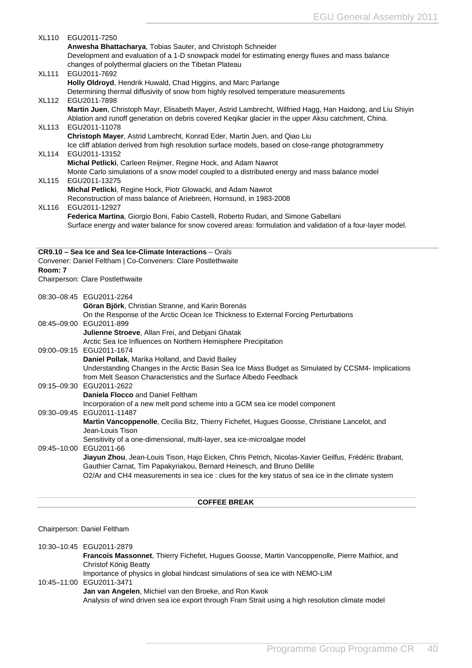<span id="page-40-0"></span>

| <b>XL110</b> | EGU2011-7250<br>Anwesha Bhattacharya, Tobias Sauter, and Christoph Schneider<br>Development and evaluation of a 1-D snowpack model for estimating energy fluxes and mass balance<br>changes of polythermal glaciers on the Tibetan Plateau                                          |
|--------------|-------------------------------------------------------------------------------------------------------------------------------------------------------------------------------------------------------------------------------------------------------------------------------------|
| <b>XL111</b> | EGU2011-7692<br>Holly Oldroyd, Hendrik Huwald, Chad Higgins, and Marc Parlange                                                                                                                                                                                                      |
| <b>XL112</b> | Determining thermal diffusivity of snow from highly resolved temperature measurements<br>EGU2011-7898                                                                                                                                                                               |
| <b>XL113</b> | Martin Juen, Christoph Mayr, Elisabeth Mayer, Astrid Lambrecht, Wilfried Hagg, Han Haidong, and Liu Shiyin<br>Ablation and runoff generation on debris covered Keqikar glacier in the upper Aksu catchment, China.<br>EGU2011-11078                                                 |
|              | Christoph Mayer, Astrid Lambrecht, Konrad Eder, Martin Juen, and Qiao Liu<br>Ice cliff ablation derived from high resolution surface models, based on close-range photogrammetry                                                                                                    |
| <b>XL114</b> | EGU2011-13152                                                                                                                                                                                                                                                                       |
|              | Michal Petlicki, Carleen Reijmer, Regine Hock, and Adam Nawrot<br>Monte Carlo simulations of a snow model coupled to a distributed energy and mass balance model                                                                                                                    |
| <b>XL115</b> | EGU2011-13275<br>Michal Petlicki, Regine Hock, Piotr Glowacki, and Adam Nawrot                                                                                                                                                                                                      |
| <b>XL116</b> | Reconstruction of mass balance of Ariebreen, Hornsund, in 1983-2008<br>EGU2011-12927                                                                                                                                                                                                |
|              | Federica Martina, Giorgio Boni, Fabio Castelli, Roberto Rudari, and Simone Gabellani<br>Surface energy and water balance for snow covered areas: formulation and validation of a four-layer model.                                                                                  |
|              | CR9.10 - Sea Ice and Sea Ice-Climate Interactions - Orals                                                                                                                                                                                                                           |
|              |                                                                                                                                                                                                                                                                                     |
|              | Convener: Daniel Feltham   Co-Conveners: Clare Postlethwaite                                                                                                                                                                                                                        |
| Room: 7      | Chairperson: Clare Postlethwaite                                                                                                                                                                                                                                                    |
|              | 08:30-08:45 EGU2011-2264                                                                                                                                                                                                                                                            |
|              | Göran Björk, Christian Stranne, and Karin Borenäs                                                                                                                                                                                                                                   |
|              | On the Response of the Arctic Ocean Ice Thickness to External Forcing Perturbations<br>08:45-09:00 EGU2011-899                                                                                                                                                                      |
|              | Julienne Stroeve, Allan Frei, and Debjani Ghatak<br>Arctic Sea Ice Influences on Northern Hemisphere Precipitation                                                                                                                                                                  |
|              | 09:00-09:15 EGU2011-1674                                                                                                                                                                                                                                                            |
|              | Daniel Pollak, Marika Holland, and David Bailey<br>Understanding Changes in the Arctic Basin Sea Ice Mass Budget as Simulated by CCSM4- Implications                                                                                                                                |
|              | from Melt Season Characteristics and the Surface Albedo Feedback<br>09:15-09:30 EGU2011-2622                                                                                                                                                                                        |
|              | Daniela Flocco and Daniel Feltham<br>Incorporation of a new melt pond scheme into a GCM sea ice model component                                                                                                                                                                     |
|              | 09:30-09:45 EGU2011-11487                                                                                                                                                                                                                                                           |
|              | Martin Vancoppenolle, Cecilia Bitz, Thierry Fichefet, Hugues Goosse, Christiane Lancelot, and<br>Jean-Louis Tison                                                                                                                                                                   |
|              | Sensitivity of a one-dimensional, multi-layer, sea ice-microalgae model<br>09:45-10:00 EGU2011-66                                                                                                                                                                                   |
|              | Jiayun Zhou, Jean-Louis Tison, Hajo Eicken, Chris Petrich, Nicolas-Xavier Geilfus, Frédéric Brabant,<br>Gauthier Carnat, Tim Papakyriakou, Bernard Heinesch, and Bruno Delille<br>O2/Ar and CH4 measurements in sea ice : clues for the key status of sea ice in the climate system |

Chairperson: Daniel Feltham

10:30–10:45 EGU2011-2879 **Francois Massonnet**, Thierry Fichefet, Hugues Goosse, Martin Vancoppenolle, Pierre Mathiot, and Christof König Beatty Importance of physics in global hindcast simulations of sea ice with NEMO-LIM 10:45–11:00 EGU2011-3471 **Jan van Angelen**, Michiel van den Broeke, and Ron Kwok Analysis of wind driven sea ice export through Fram Strait using a high resolution climate model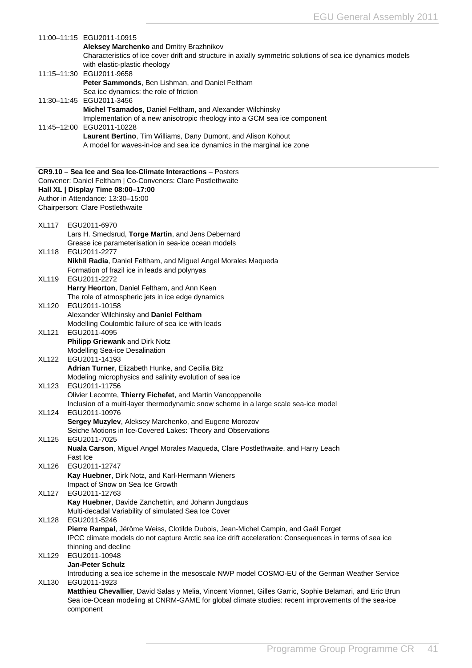|              | 11:00-11:15 EGU2011-10915                                                                                  |
|--------------|------------------------------------------------------------------------------------------------------------|
|              | Aleksey Marchenko and Dmitry Brazhnikov                                                                    |
|              | Characteristics of ice cover drift and structure in axially symmetric solutions of sea ice dynamics models |
|              | with elastic-plastic rheology                                                                              |
|              | 11:15-11:30 EGU2011-9658<br>Peter Sammonds, Ben Lishman, and Daniel Feltham                                |
|              | Sea ice dynamics: the role of friction                                                                     |
|              | 11:30-11:45 EGU2011-3456                                                                                   |
|              | Michel Tsamados, Daniel Feltham, and Alexander Wilchinsky                                                  |
|              | Implementation of a new anisotropic rheology into a GCM sea ice component                                  |
|              | 11:45-12:00 EGU2011-10228                                                                                  |
|              | Laurent Bertino, Tim Williams, Dany Dumont, and Alison Kohout                                              |
|              | A model for waves-in-ice and sea ice dynamics in the marginal ice zone                                     |
|              |                                                                                                            |
|              | CR9.10 - Sea Ice and Sea Ice-Climate Interactions - Posters                                                |
|              | Convener: Daniel Feltham   Co-Conveners: Clare Postlethwaite                                               |
|              | Hall XL   Display Time 08:00-17:00                                                                         |
|              | Author in Attendance: 13:30-15:00                                                                          |
|              | Chairperson: Clare Postlethwaite                                                                           |
| <b>XL117</b> | EGU2011-6970                                                                                               |
|              | Lars H. Smedsrud, Torge Martin, and Jens Debernard                                                         |
|              | Grease ice parameterisation in sea-ice ocean models                                                        |
| <b>XL118</b> | EGU2011-2277                                                                                               |
|              | Nikhil Radia, Daniel Feltham, and Miguel Angel Morales Maqueda                                             |
|              | Formation of frazil ice in leads and polynyas                                                              |
| <b>XL119</b> | EGU2011-2272                                                                                               |
|              | Harry Heorton, Daniel Feltham, and Ann Keen                                                                |
| <b>XL120</b> | The role of atmospheric jets in ice edge dynamics<br>EGU2011-10158                                         |
|              | Alexander Wilchinsky and Daniel Feltham                                                                    |
|              | Modelling Coulombic failure of sea ice with leads                                                          |
| <b>XL121</b> | EGU2011-4095                                                                                               |
|              | Philipp Griewank and Dirk Notz                                                                             |
|              | <b>Modelling Sea-ice Desalination</b>                                                                      |
| <b>XL122</b> | EGU2011-14193                                                                                              |
|              | Adrian Turner, Elizabeth Hunke, and Cecilia Bitz                                                           |
|              | Modeling microphysics and salinity evolution of sea ice                                                    |
| <b>XL123</b> | EGU2011-11756<br>Olivier Lecomte, Thierry Fichefet, and Martin Vancoppenolle                               |
|              | Inclusion of a multi-layer thermodynamic snow scheme in a large scale sea-ice model                        |
| <b>XL124</b> | EGU2011-10976                                                                                              |
|              | Sergey Muzylev, Aleksey Marchenko, and Eugene Morozov                                                      |
|              | Seiche Motions in Ice-Covered Lakes: Theory and Observations                                               |
| <b>XL125</b> | EGU2011-7025                                                                                               |
|              | Nuala Carson, Miguel Angel Morales Maqueda, Clare Postlethwaite, and Harry Leach                           |
|              | Fast Ice                                                                                                   |
| <b>XL126</b> | EGU2011-12747<br>Kay Huebner, Dirk Notz, and Karl-Hermann Wieners                                          |
|              | Impact of Snow on Sea Ice Growth                                                                           |
| <b>XL127</b> | EGU2011-12763                                                                                              |
|              | Kay Huebner, Davide Zanchettin, and Johann Jungclaus                                                       |
|              | Multi-decadal Variability of simulated Sea Ice Cover                                                       |
| <b>XL128</b> | EGU2011-5246                                                                                               |
|              | Pierre Rampal, Jérôme Weiss, Clotilde Dubois, Jean-Michel Campin, and Gaël Forget                          |
|              | IPCC climate models do not capture Arctic sea ice drift acceleration: Consequences in terms of sea ice     |
| <b>XL129</b> | thinning and decline<br>EGU2011-10948                                                                      |
|              | <b>Jan-Peter Schulz</b>                                                                                    |
|              | Introducing a sea ice scheme in the mesoscale NWP model COSMO-EU of the German Weather Service             |
| <b>XL130</b> | EGU2011-1923                                                                                               |
|              | Matthieu Chevallier, David Salas y Melia, Vincent Vionnet, Gilles Garric, Sophie Belamari, and Eric Brun   |
|              | Sea ice-Ocean modeling at CNRM-GAME for global climate studies: recent improvements of the sea-ice         |
|              | component                                                                                                  |
|              |                                                                                                            |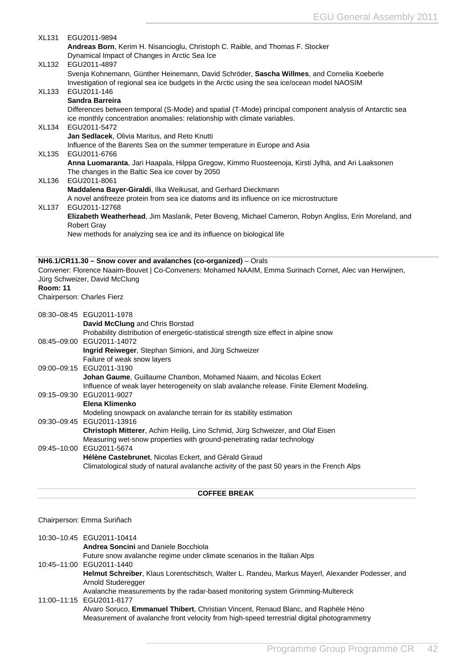<span id="page-42-0"></span>

| <b>XL131</b>    | EGU2011-9894                                                                                                                                                                               |
|-----------------|--------------------------------------------------------------------------------------------------------------------------------------------------------------------------------------------|
|                 | Andreas Born, Kerim H. Nisancioglu, Christoph C. Raible, and Thomas F. Stocker<br>Dynamical Impact of Changes in Arctic Sea Ice                                                            |
| <b>XL132</b>    | EGU2011-4897                                                                                                                                                                               |
|                 | Svenja Kohnemann, Günther Heinemann, David Schröder, Sascha Willmes, and Cornelia Koeberle<br>Investigation of regional sea ice budgets in the Arctic using the sea ice/ocean model NAOSIM |
| <b>XL133</b>    | EGU2011-146                                                                                                                                                                                |
|                 | Sandra Barreira                                                                                                                                                                            |
|                 | Differences between temporal (S-Mode) and spatial (T-Mode) principal component analysis of Antarctic sea                                                                                   |
| <b>XL134</b>    | ice monthly concentration anomalies: relationship with climate variables.<br>EGU2011-5472                                                                                                  |
|                 | Jan Sedlacek, Olivia Maritus, and Reto Knutti                                                                                                                                              |
|                 | Influence of the Barents Sea on the summer temperature in Europe and Asia                                                                                                                  |
| <b>XL135</b>    | EGU2011-6766<br>Anna Luomaranta, Jari Haapala, Hilppa Gregow, Kimmo Ruosteenoja, Kirsti Jylhä, and Ari Laaksonen                                                                           |
|                 | The changes in the Baltic Sea ice cover by 2050                                                                                                                                            |
| <b>XL136</b>    | EGU2011-8061                                                                                                                                                                               |
|                 | Maddalena Bayer-Giraldi, Ilka Weikusat, and Gerhard Dieckmann                                                                                                                              |
| <b>XL137</b>    | A novel antifreeze protein from sea ice diatoms and its influence on ice microstructure<br>EGU2011-12768                                                                                   |
|                 | Elizabeth Weatherhead, Jim Maslanik, Peter Boveng, Michael Cameron, Robyn Angliss, Erin Moreland, and                                                                                      |
|                 | <b>Robert Gray</b>                                                                                                                                                                         |
|                 | New methods for analyzing sea ice and its influence on biological life                                                                                                                     |
|                 |                                                                                                                                                                                            |
|                 |                                                                                                                                                                                            |
|                 | NH6.1/CR11.30 - Snow cover and avalanches (co-organized) - Orals                                                                                                                           |
|                 | Convener: Florence Naaim-Bouvet   Co-Conveners: Mohamed NAAIM, Emma Surinach Cornet, Alec van Herwijnen,                                                                                   |
|                 | Jürg Schweizer, David McClung                                                                                                                                                              |
| <b>Room: 11</b> | Chairperson: Charles Fierz                                                                                                                                                                 |
|                 |                                                                                                                                                                                            |
|                 | 08:30-08:45 EGU2011-1978<br>David McClung and Chris Borstad                                                                                                                                |
|                 | Probability distribution of energetic-statistical strength size effect in alpine snow                                                                                                      |
|                 | 08:45-09:00 EGU2011-14072                                                                                                                                                                  |
|                 | Ingrid Reiweger, Stephan Simioni, and Jürg Schweizer                                                                                                                                       |
|                 | Failure of weak snow layers<br>09:00-09:15 EGU2011-3190                                                                                                                                    |
|                 | Johan Gaume, Guillaume Chambon, Mohamed Naaim, and Nicolas Eckert                                                                                                                          |
|                 | Influence of weak layer heterogeneity on slab avalanche release. Finite Element Modeling.                                                                                                  |
|                 | 09:15-09:30 EGU2011-9027<br>Elena Klimenko                                                                                                                                                 |
|                 | Modeling snowpack on avalanche terrain for its stability estimation                                                                                                                        |
|                 | 09:30-09:45 EGU2011-13916                                                                                                                                                                  |
|                 | Christoph Mitterer, Achim Heilig, Lino Schmid, Jürg Schweizer, and Olaf Eisen                                                                                                              |
| 09:45-10:00     | Measuring wet-snow properties with ground-penetrating radar technology<br>EGU2011-5674                                                                                                     |
|                 | Hélène Castebrunet, Nicolas Eckert, and Gérald Giraud<br>Climatological study of natural avalanche activity of the past 50 years in the French Alps                                        |

### Chairperson: Emma Suriñach

| 10:30-10:45 EGU2011-10414<br><b>Andrea Soncini</b> and Daniele Bocchiola                                                                                                                         |
|--------------------------------------------------------------------------------------------------------------------------------------------------------------------------------------------------|
| Future snow avalanche regime under climate scenarios in the Italian Alps<br>10:45-11:00 EGU2011-1440                                                                                             |
| Helmut Schreiber, Klaus Lorentschitsch, Walter L. Randeu, Markus Mayerl, Alexander Podesser, and<br>Arnold Studeregger                                                                           |
| Avalanche measurements by the radar-based monitoring system Grimming-Multereck<br>11:00-11:15 EGU2011-8177<br>Alvaro Soruco, Emmanuel Thibert, Christian Vincent, Renaud Blanc, and Raphële Héno |
| Measurement of avalanche front velocity from high-speed terrestrial digital photogrammetry                                                                                                       |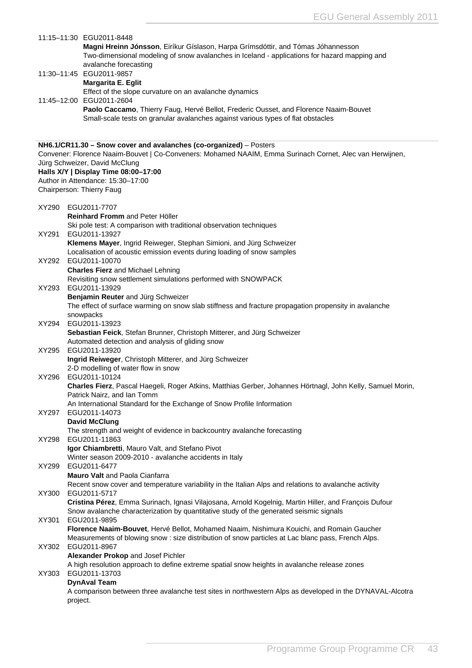|       | 11:15-11:30 EGU2011-8448<br>Magni Hreinn Jónsson, Eiríkur Gíslason, Harpa Grímsdóttir, and Tómas Jóhannesson<br>Two-dimensional modeling of snow avalanches in Iceland - applications for hazard mapping and<br>avalanche forecasting |
|-------|---------------------------------------------------------------------------------------------------------------------------------------------------------------------------------------------------------------------------------------|
|       | 11:30-11:45 EGU2011-9857<br>Margarita E. Eglit                                                                                                                                                                                        |
|       | Effect of the slope curvature on an avalanche dynamics<br>11:45-12:00 EGU2011-2604                                                                                                                                                    |
|       | Paolo Caccamo, Thierry Faug, Hervé Bellot, Frederic Ousset, and Florence Naaim-Bouvet<br>Small-scale tests on granular avalanches against various types of flat obstacles                                                             |
|       | NH6.1/CR11.30 - Snow cover and avalanches (co-organized) - Posters                                                                                                                                                                    |
|       | Convener: Florence Naaim-Bouvet   Co-Conveners: Mohamed NAAIM, Emma Surinach Cornet, Alec van Herwijnen,<br>Jürg Schweizer, David McClung                                                                                             |
|       | Halls X/Y   Display Time 08:00-17:00<br>Author in Attendance: 15:30-17:00                                                                                                                                                             |
|       | Chairperson: Thierry Faug                                                                                                                                                                                                             |
|       | XY290 EGU2011-7707<br><b>Reinhard Fromm and Peter Höller</b>                                                                                                                                                                          |
|       | Ski pole test: A comparison with traditional observation techniques                                                                                                                                                                   |
| XY291 | EGU2011-13927<br>Klemens Mayer, Ingrid Reiweger, Stephan Simioni, and Jürg Schweizer                                                                                                                                                  |
|       | Localisation of acoustic emission events during loading of snow samples<br>XY292 EGU2011-10070                                                                                                                                        |
|       | <b>Charles Fierz</b> and Michael Lehning<br>Revisiting snow settlement simulations performed with SNOWPACK                                                                                                                            |
| XY293 | EGU2011-13929                                                                                                                                                                                                                         |
|       | Benjamin Reuter and Jürg Schweizer<br>The effect of surface warming on snow slab stiffness and fracture propagation propensity in avalanche                                                                                           |
| XY294 | snowpacks<br>EGU2011-13923                                                                                                                                                                                                            |
|       | Sebastian Feick, Stefan Brunner, Christoph Mitterer, and Jürg Schweizer<br>Automated detection and analysis of gliding snow                                                                                                           |
| XY295 | EGU2011-13920                                                                                                                                                                                                                         |
|       | Ingrid Reiweger, Christoph Mitterer, and Jürg Schweizer<br>2-D modelling of water flow in snow                                                                                                                                        |
|       | XY296 EGU2011-10124<br>Charles Fierz, Pascal Haegeli, Roger Atkins, Matthias Gerber, Johannes Hörtnagl, John Kelly, Samuel Morin,                                                                                                     |
|       | Patrick Nairz, and Ian Tomm<br>An International Standard for the Exchange of Snow Profile Information                                                                                                                                 |
| XY297 | EGU2011-14073<br><b>David McClung</b>                                                                                                                                                                                                 |
|       | The strength and weight of evidence in backcountry avalanche forecasting                                                                                                                                                              |
| XY298 | EGU2011-11863<br>Igor Chiambretti, Mauro Valt, and Stefano Pivot                                                                                                                                                                      |
| XY299 | Winter season 2009-2010 - avalanche accidents in Italy<br>EGU2011-6477                                                                                                                                                                |
|       | Mauro Valt and Paola Cianfarra<br>Recent snow cover and temperature variability in the Italian Alps and relations to avalanche activity                                                                                               |
| XY300 | EGU2011-5717                                                                                                                                                                                                                          |
|       | Cristina Pérez, Emma Surinach, Ignasi Vilajosana, Arnold Kogelnig, Martin Hiller, and François Dufour<br>Snow avalanche characterization by quantitative study of the generated seismic signals                                       |
| XY301 | EGU2011-9895<br>Florence Naaim-Bouvet, Hervé Bellot, Mohamed Naaim, Nishimura Kouichi, and Romain Gaucher                                                                                                                             |
| XY302 | Measurements of blowing snow : size distribution of snow particles at Lac blanc pass, French Alps.<br>EGU2011-8967                                                                                                                    |
|       | Alexander Prokop and Josef Pichler<br>A high resolution approach to define extreme spatial snow heights in avalanche release zones                                                                                                    |
| XY303 | EGU2011-13703                                                                                                                                                                                                                         |
|       | <b>DynAval Team</b><br>A comparison between three avalanche test sites in northwestern Alps as developed in the DYNAVAL-Alcotra                                                                                                       |
|       | project.                                                                                                                                                                                                                              |